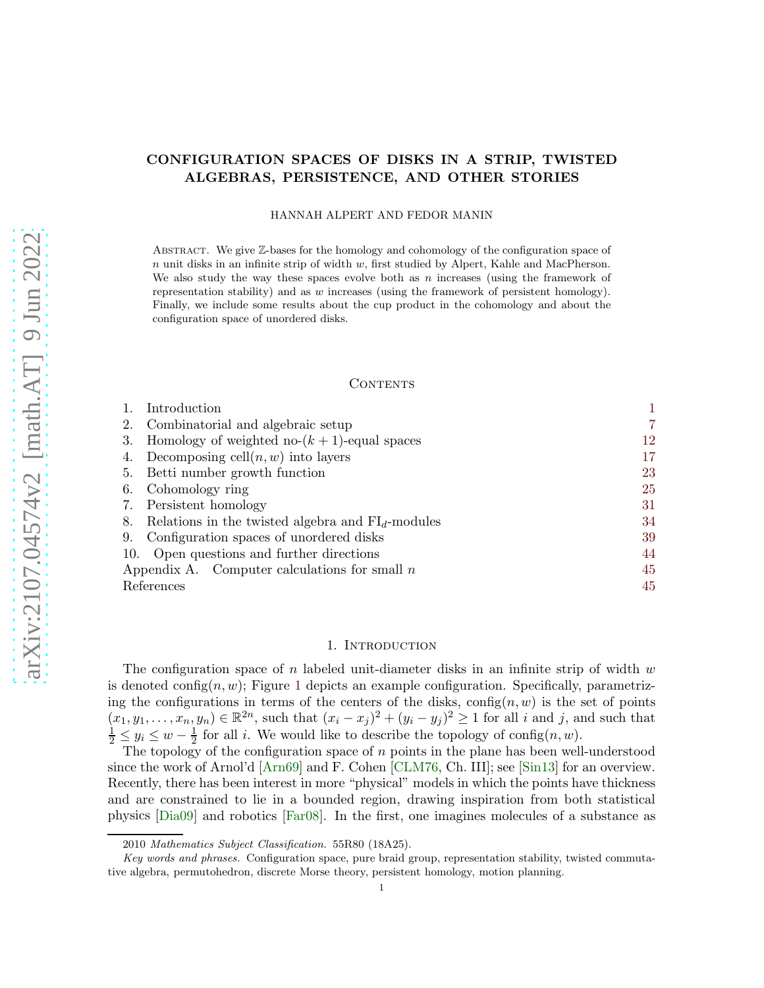# CONFIGURATION SPACES OF DISKS IN A STRIP, TWISTED ALGEBRAS, PERSISTENCE, AND OTHER STORIES

HANNAH ALPERT AND FEDOR MANIN

ABSTRACT. We give  $\mathbb{Z}$ -bases for the homology and cohomology of the configuration space of  $n$  unit disks in an infinite strip of width  $w$ , first studied by Alpert, Kahle and MacPherson. We also study the way these spaces evolve both as  $n$  increases (using the framework of representation stability) and as w increases (using the framework of persistent homology). Finally, we include some results about the cup product in the cohomology and about the configuration space of unordered disks.

#### **CONTENTS**

| Introduction                                              |  |    |
|-----------------------------------------------------------|--|----|
| Combinatorial and algebraic setup<br>2.                   |  |    |
| Homology of weighted no- $(k + 1)$ -equal spaces<br>3.    |  | 12 |
| Decomposing cell $(n, w)$ into layers                     |  | 17 |
| Betti number growth function<br>5.                        |  | 23 |
| Cohomology ring<br>6.                                     |  | 25 |
| 7. Persistent homology                                    |  | 31 |
| Relations in the twisted algebra and $FId$ -modules<br>8. |  | 34 |
| Configuration spaces of unordered disks<br>9.             |  | 39 |
| 10. Open questions and further directions                 |  | 44 |
| Appendix A. Computer calculations for small $n$           |  | 45 |
| References                                                |  | 45 |

#### 1. INTRODUCTION

<span id="page-0-0"></span>The configuration space of n labeled unit-diameter disks in an infinite strip of width  $w$ is denoted config $(n, w)$ ; Figure [1](#page-1-0) depicts an example configuration. Specifically, parametrizing the configurations in terms of the centers of the disks,  $\text{config}(n, w)$  is the set of points  $(x_1, y_1, \ldots, x_n, y_n) \in \mathbb{R}^{2n}$ , such that  $(x_i - x_j)^2 + (y_i - y_j)^2 \ge 1$  for all i and j, and such that  $\frac{1}{2} \le y_i \le w - \frac{1}{2}$  $\frac{1}{2}$  for all *i*. We would like to describe the topology of config $(n, w)$ .

The topology of the configuration space of  $n$  points in the plane has been well-understood since the work of Arnol'd [\[Arn69\]](#page-45-0) and F. Cohen [\[CLM76,](#page-47-0) Ch. III]; see [\[Sin13\]](#page-48-0) for an overview. Recently, there has been interest in more "physical" models in which the points have thickness and are constrained to lie in a bounded region, drawing inspiration from both statistical physics [\[Dia09\]](#page-47-1) and robotics [\[Far08\]](#page-48-1). In the first, one imagines molecules of a substance as

<sup>2010</sup> Mathematics Subject Classification. 55R80 (18A25).

Key words and phrases. Configuration space, pure braid group, representation stability, twisted commutative algebra, permutohedron, discrete Morse theory, persistent homology, motion planning.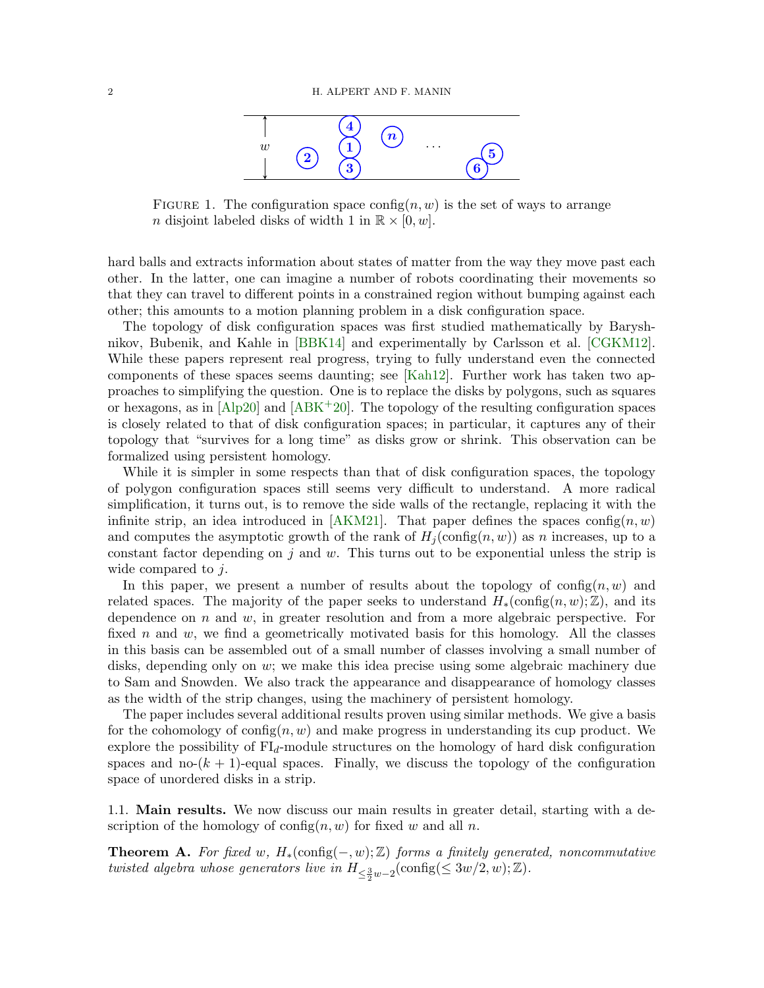

<span id="page-1-0"></span>FIGURE 1. The configuration space config $(n, w)$  is the set of ways to arrange n disjoint labeled disks of width 1 in  $\mathbb{R} \times [0, w]$ .

hard balls and extracts information about states of matter from the way they move past each other. In the latter, one can imagine a number of robots coordinating their movements so that they can travel to different points in a constrained region without bumping against each other; this amounts to a motion planning problem in a disk configuration space.

The topology of disk configuration spaces was first studied mathematically by Baryshnikov, Bubenik, and Kahle in [\[BBK14\]](#page-47-2) and experimentally by Carlsson et al. [\[CGKM12\]](#page-47-3). While these papers represent real progress, trying to fully understand even the connected components of these spaces seems daunting; see [\[Kah12\]](#page-48-2). Further work has taken two approaches to simplifying the question. One is to replace the disks by polygons, such as squares or hexagons, as in  $[A\bar{p}20]$  and  $[A\bar{B}K^+20]$ . The topology of the resulting configuration spaces is closely related to that of disk configuration spaces; in particular, it captures any of their topology that "survives for a long time" as disks grow or shrink. This observation can be formalized using persistent homology.

While it is simpler in some respects than that of disk configuration spaces, the topology of polygon configuration spaces still seems very difficult to understand. A more radical simplification, it turns out, is to remove the side walls of the rectangle, replacing it with the infinite strip, an idea introduced in [\[AKM21\]](#page-44-4). That paper defines the spaces config $(n, w)$ and computes the asymptotic growth of the rank of  $H_i$  (config $(n, w)$ ) as n increases, up to a constant factor depending on  $j$  and  $w$ . This turns out to be exponential unless the strip is wide compared to *j*.

In this paper, we present a number of results about the topology of config $(n, w)$  and related spaces. The majority of the paper seeks to understand  $H_*(\text{config}(n, w); \mathbb{Z})$ , and its dependence on  $n$  and  $w$ , in greater resolution and from a more algebraic perspective. For fixed n and w, we find a geometrically motivated basis for this homology. All the classes in this basis can be assembled out of a small number of classes involving a small number of disks, depending only on w; we make this idea precise using some algebraic machinery due to Sam and Snowden. We also track the appearance and disappearance of homology classes as the width of the strip changes, using the machinery of persistent homology.

The paper includes several additional results proven using similar methods. We give a basis for the cohomology of config $(n, w)$  and make progress in understanding its cup product. We explore the possibility of  $FI<sub>d</sub>$ -module structures on the homology of hard disk configuration spaces and no- $(k + 1)$ -equal spaces. Finally, we discuss the topology of the configuration space of unordered disks in a strip.

1.1. Main results. We now discuss our main results in greater detail, starting with a description of the homology of config $(n, w)$  for fixed w and all n.

<span id="page-1-1"></span>**Theorem A.** For fixed w,  $H_*(\text{config}(-, w); \mathbb{Z})$  forms a finitely generated, noncommutative twisted algebra whose generators live in  $H_{\leq \frac{3}{2}w-2}(\text{config}(\leq 3w/2,w);\mathbb{Z}).$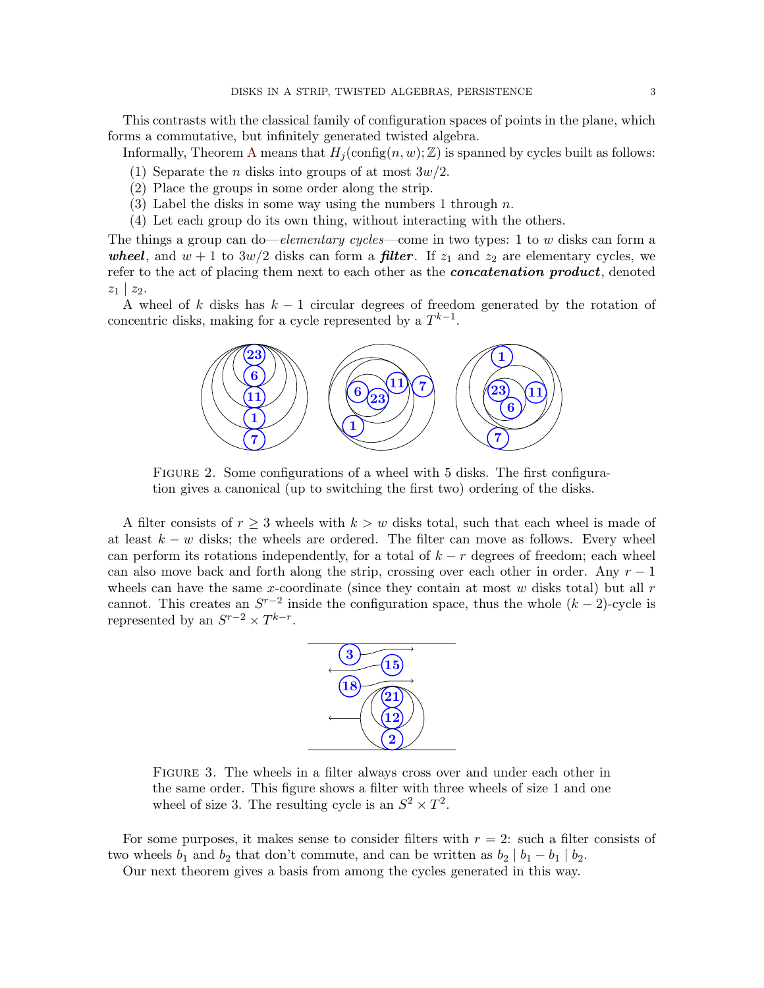This contrasts with the classical family of configuration spaces of points in the plane, which forms a commutative, but infinitely generated twisted algebra.

Informally, Theorem [A](#page-1-1) means that  $H_i(\text{config}(n, w); \mathbb{Z})$  is spanned by cycles built as follows:

- (1) Separate the *n* disks into groups of at most  $3w/2$ .
- (2) Place the groups in some order along the strip.
- (3) Label the disks in some way using the numbers 1 through  $n$ .
- (4) Let each group do its own thing, without interacting with the others.

The things a group can do—elementary cycles—come in two types: 1 to w disks can form a wheel, and  $w + 1$  to  $3w/2$  disks can form a **filter**. If  $z_1$  and  $z_2$  are elementary cycles, we refer to the act of placing them next to each other as the *concatenation product*, denoted  $z_1 \mid z_2$ .

<span id="page-2-0"></span>A wheel of k disks has  $k - 1$  circular degrees of freedom generated by the rotation of concentric disks, making for a cycle represented by a  $T^{k-1}$ .



FIGURE 2. Some configurations of a wheel with 5 disks. The first configuration gives a canonical (up to switching the first two) ordering of the disks.

A filter consists of  $r \geq 3$  wheels with  $k > w$  disks total, such that each wheel is made of at least  $k - w$  disks; the wheels are ordered. The filter can move as follows. Every wheel can perform its rotations independently, for a total of  $k - r$  degrees of freedom; each wheel can also move back and forth along the strip, crossing over each other in order. Any  $r-1$ wheels can have the same x-coordinate (since they contain at most  $w$  disks total) but all  $r$ cannot. This creates an  $S^{r-2}$  inside the configuration space, thus the whole  $(k-2)$ -cycle is represented by an  $S^{r-2} \times T^{k-r}$ .



Figure 3. The wheels in a filter always cross over and under each other in the same order. This figure shows a filter with three wheels of size 1 and one wheel of size 3. The resulting cycle is an  $S^2 \times T^2$ .

For some purposes, it makes sense to consider filters with  $r = 2$ : such a filter consists of two wheels  $b_1$  and  $b_2$  that don't commute, and can be written as  $b_2 | b_1 - b_1 | b_2$ .

Our next theorem gives a basis from among the cycles generated in this way.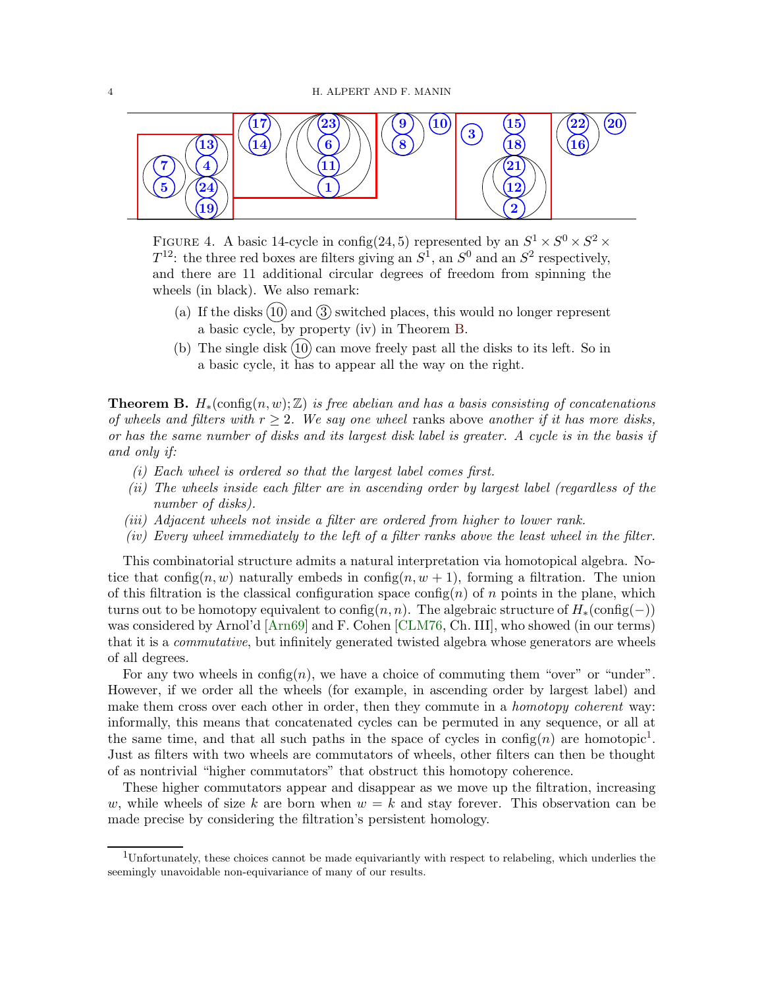

FIGURE 4. A basic 14-cycle in config(24,5) represented by an  $S^1 \times S^0 \times S^2 \times$  $T^{12}$ : the three red boxes are filters giving an  $S^1$ , an  $S^0$  and an  $S^2$  respectively, and there are 11 additional circular degrees of freedom from spinning the wheels (in black). We also remark:

- (a) If the disks  $(10)$  and  $(3)$  switched places, this would no longer represent a basic cycle, by property (iv) in Theorem [B.](#page-3-0)
- <span id="page-3-2"></span>(b) The single disk  $(10)$  can move freely past all the disks to its left. So in a basic cycle, it has to appear all the way on the right.

<span id="page-3-0"></span>**Theorem B.**  $H_*(\text{config}(n, w); \mathbb{Z})$  is free abelian and has a basis consisting of concatenations of wheels and filters with  $r > 2$ . We say one wheel ranks above another if it has more disks, or has the same number of disks and its largest disk label is greater. A cycle is in the basis if and only if:

- (i) Each wheel is ordered so that the largest label comes first.
- (ii) The wheels inside each filter are in ascending order by largest label (regardless of the number of disks).
- (iii) Adjacent wheels not inside a filter are ordered from higher to lower rank.
- (iv) Every wheel immediately to the left of a filter ranks above the least wheel in the filter.

This combinatorial structure admits a natural interpretation via homotopical algebra. Notice that config $(n, w)$  naturally embeds in config $(n, w + 1)$ , forming a filtration. The union of this filtration is the classical configuration space config(n) of n points in the plane, which turns out to be homotopy equivalent to config $(n, n)$ . The algebraic structure of  $H_*(\text{config}(-))$ was considered by Arnol'd [\[Arn69\]](#page-45-0) and F. Cohen [\[CLM76,](#page-47-0) Ch. III], who showed (in our terms) that it is a commutative, but infinitely generated twisted algebra whose generators are wheels of all degrees.

For any two wheels in  $\text{config}(n)$ , we have a choice of commuting them "over" or "under". However, if we order all the wheels (for example, in ascending order by largest label) and make them cross over each other in order, then they commute in a *homotopy coherent* way: informally, this means that concatenated cycles can be permuted in any sequence, or all at the same time, and that all such paths in the space of cycles in  $\text{config}(n)$  are homotopic<sup>[1](#page-3-1)</sup>. Just as filters with two wheels are commutators of wheels, other filters can then be thought of as nontrivial "higher commutators" that obstruct this homotopy coherence.

These higher commutators appear and disappear as we move up the filtration, increasing w, while wheels of size k are born when  $w = k$  and stay forever. This observation can be made precise by considering the filtration's persistent homology.

<span id="page-3-1"></span><sup>1</sup>Unfortunately, these choices cannot be made equivariantly with respect to relabeling, which underlies the seemingly unavoidable non-equivariance of many of our results.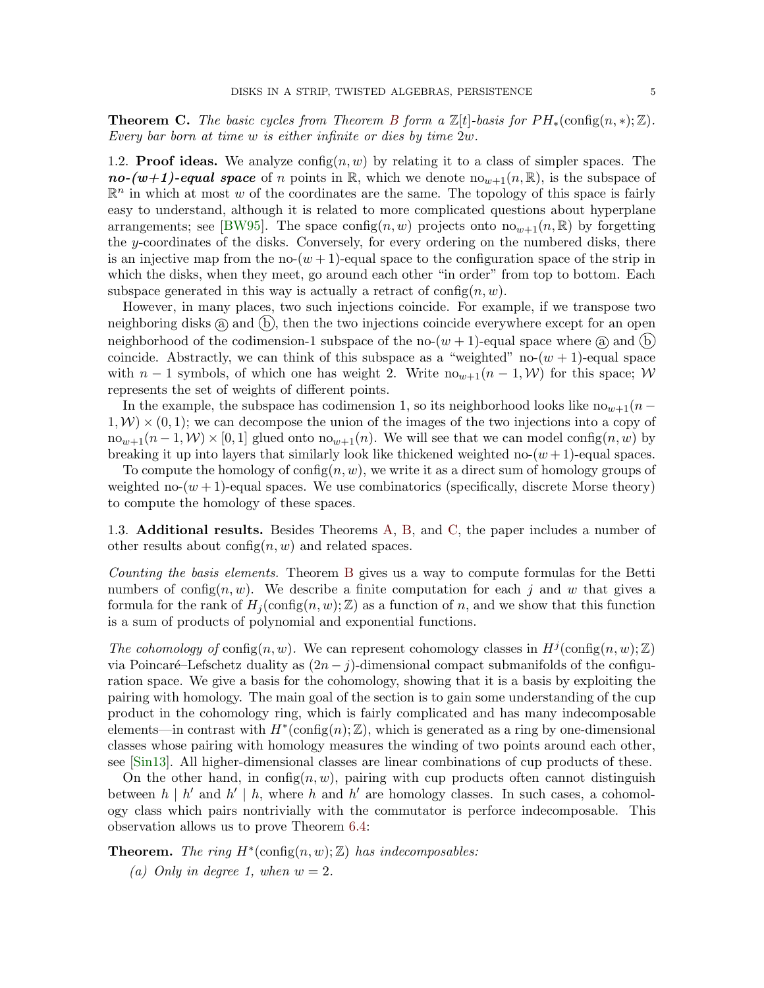<span id="page-4-0"></span>**Theorem C.** The basic cycles from Theorem [B](#page-3-0) form a  $\mathbb{Z}[t]$ -basis for  $PH_*(\text{config}(n,*); \mathbb{Z})$ . Every bar born at time w is either infinite or dies by time 2w.

1.2. **Proof ideas.** We analyze  $\text{config}(n, w)$  by relating it to a class of simpler spaces. The no-(w+1)-equal space of n points in R, which we denote  $\text{no}_{w+1}(n,\mathbb{R})$ , is the subspace of  $\mathbb{R}^n$  in which at most w of the coordinates are the same. The topology of this space is fairly easy to understand, although it is related to more complicated questions about hyperplane arrangements; see [\[BW95\]](#page-47-4). The space config(n, w) projects onto  $\text{no}_{w+1}(n,\mathbb{R})$  by forgetting the y-coordinates of the disks. Conversely, for every ordering on the numbered disks, there is an injective map from the no- $(w + 1)$ -equal space to the configuration space of the strip in which the disks, when they meet, go around each other "in order" from top to bottom. Each subspace generated in this way is actually a retract of  $\text{config}(n, w)$ .

However, in many places, two such injections coincide. For example, if we transpose two neighboring disks  $(a)$  and  $(b)$ , then the two injections coincide everywhere except for an open neighborhood of the codimension-1 subspace of the no- $(w + 1)$ -equal space where  $\alpha$  and  $\beta$ coincide. Abstractly, we can think of this subspace as a "weighted" no- $(w + 1)$ -equal space with  $n-1$  symbols, of which one has weight 2. Write  $n\omega_{\nu+1}(n-1,\mathcal{W})$  for this space; W represents the set of weights of different points.

In the example, the subspace has codimension 1, so its neighborhood looks like  $no_{w+1}(n 1, \mathcal{W} \times (0, 1)$ ; we can decompose the union of the images of the two injections into a copy of  $n\omega_{w+1}(n-1,\mathcal{W})\times[0,1]$  glued onto  $n\omega_{w+1}(n)$ . We will see that we can model config $(n,w)$  by breaking it up into layers that similarly look like thickened weighted no- $(w + 1)$ -equal spaces.

To compute the homology of config $(n, w)$ , we write it as a direct sum of homology groups of weighted no- $(w + 1)$ -equal spaces. We use combinatorics (specifically, discrete Morse theory) to compute the homology of these spaces.

1.3. Additional results. Besides Theorems [A,](#page-1-1) [B,](#page-3-0) and [C,](#page-4-0) the paper includes a number of other results about  $\text{config}(n, w)$  and related spaces.

Counting the basis elements. Theorem [B](#page-3-0) gives us a way to compute formulas for the Betti numbers of config $(n, w)$ . We describe a finite computation for each j and w that gives a formula for the rank of  $H_i(\text{config}(n, w); \mathbb{Z})$  as a function of n, and we show that this function is a sum of products of polynomial and exponential functions.

The cohomology of config $(n, w)$ . We can represent cohomology classes in  $H^j(\text{config}(n, w); \mathbb{Z})$ via Poincaré–Lefschetz duality as  $(2n - j)$ -dimensional compact submanifolds of the configuration space. We give a basis for the cohomology, showing that it is a basis by exploiting the pairing with homology. The main goal of the section is to gain some understanding of the cup product in the cohomology ring, which is fairly complicated and has many indecomposable elements—in contrast with  $H^*(\text{config}(n);\mathbb{Z})$ , which is generated as a ring by one-dimensional classes whose pairing with homology measures the winding of two points around each other, see [\[Sin13\]](#page-48-0). All higher-dimensional classes are linear combinations of cup products of these.

On the other hand, in config $(n, w)$ , pairing with cup products often cannot distinguish between  $h \mid h'$  and  $h' \mid h$ , where h and h' are homology classes. In such cases, a cohomology class which pairs nontrivially with the commutator is perforce indecomposable. This observation allows us to prove Theorem [6.4:](#page-27-0)

**Theorem.** The ring  $H^*(\text{config}(n, w); \mathbb{Z})$  has indecomposables: (a) Only in degree 1, when  $w = 2$ .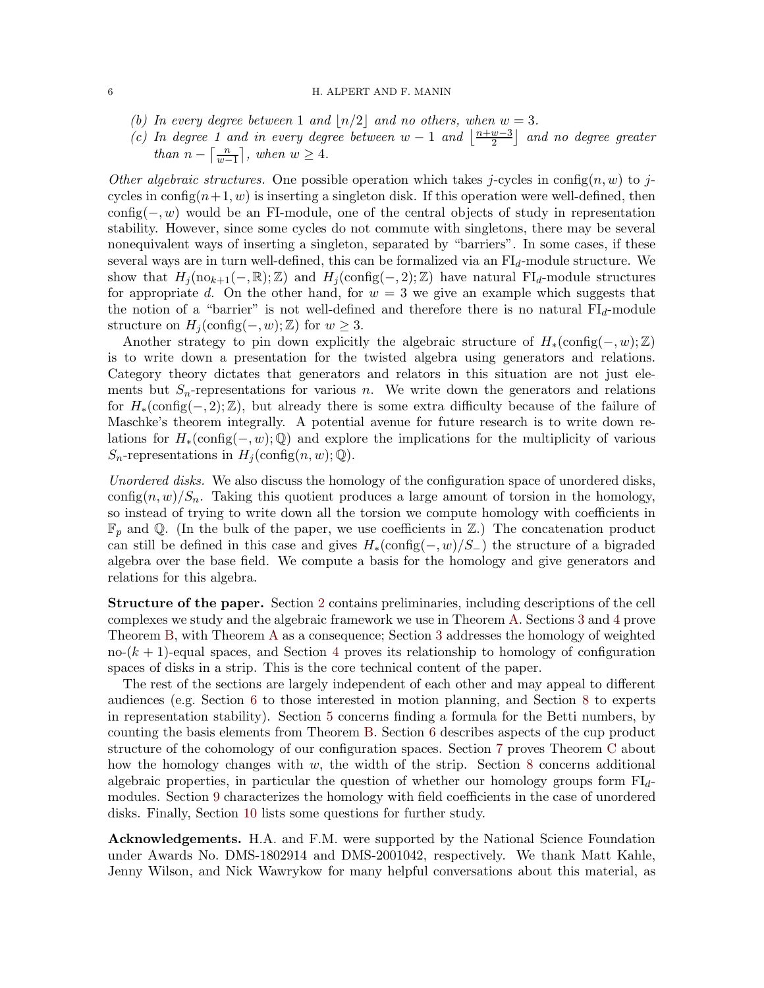#### 6 H. ALPERT AND F. MANIN

- (b) In every degree between 1 and  $\lfloor n/2 \rfloor$  and no others, when  $w = 3$ .
- (c) In degree 1 and in every degree between  $w-1$  and  $\frac{n+w-3}{2}$  $\left(\frac{w-3}{2}\right)$  and no degree greater than  $n - \left\lceil \frac{n}{m} \right\rceil$  $\left\lfloor \frac{n}{w-1} \right\rfloor$ , when  $w \geq 4$ .

Other algebraic structures. One possible operation which takes j-cycles in config(n, w) to jcycles in config $(n+1, w)$  is inserting a singleton disk. If this operation were well-defined, then  $\text{config}(-, w)$  would be an FI-module, one of the central objects of study in representation stability. However, since some cycles do not commute with singletons, there may be several nonequivalent ways of inserting a singleton, separated by "barriers". In some cases, if these several ways are in turn well-defined, this can be formalized via an  $FI<sub>d</sub>$ -module structure. We show that  $H_j(\text{no}_{k+1}(-, \mathbb{R}); \mathbb{Z})$  and  $H_j(\text{config}(-, 2); \mathbb{Z})$  have natural FI<sub>d</sub>-module structures for appropriate d. On the other hand, for  $w = 3$  we give an example which suggests that the notion of a "barrier" is not well-defined and therefore there is no natural  $FI<sub>d</sub>$ -module structure on  $H_i(\text{config}(-, w); \mathbb{Z})$  for  $w \geq 3$ .

Another strategy to pin down explicitly the algebraic structure of  $H_*(\text{config}(-, w); \mathbb{Z})$ is to write down a presentation for the twisted algebra using generators and relations. Category theory dictates that generators and relators in this situation are not just elements but  $S_n$ -representations for various n. We write down the generators and relations for  $H_*(\text{config}(-,2);\mathbb{Z})$ , but already there is some extra difficulty because of the failure of Maschke's theorem integrally. A potential avenue for future research is to write down relations for  $H_*(\text{config}(-, w); \mathbb{Q})$  and explore the implications for the multiplicity of various  $S_n$ -representations in  $H_i(\text{config}(n, w); \mathbb{Q})$ .

Unordered disks. We also discuss the homology of the configuration space of unordered disks, config $(n, w)/S_n$ . Taking this quotient produces a large amount of torsion in the homology, so instead of trying to write down all the torsion we compute homology with coefficients in  $\mathbb{F}_p$  and Q. (In the bulk of the paper, we use coefficients in Z.) The concatenation product can still be defined in this case and gives  $H_*(\text{config}(-, w)/S_-)$  the structure of a bigraded algebra over the base field. We compute a basis for the homology and give generators and relations for this algebra.

Structure of the paper. Section [2](#page-6-0) contains preliminaries, including descriptions of the cell complexes we study and the algebraic framework we use in Theorem [A.](#page-1-1) Sections [3](#page-11-0) and [4](#page-16-0) prove Theorem [B,](#page-3-0) with Theorem [A](#page-1-1) as a consequence; Section [3](#page-11-0) addresses the homology of weighted no- $(k + 1)$ -equal spaces, and Section [4](#page-16-0) proves its relationship to homology of configuration spaces of disks in a strip. This is the core technical content of the paper.

The rest of the sections are largely independent of each other and may appeal to different audiences (e.g. Section [6](#page-24-0) to those interested in motion planning, and Section [8](#page-33-0) to experts in representation stability). Section [5](#page-22-0) concerns finding a formula for the Betti numbers, by counting the basis elements from Theorem [B.](#page-3-0) Section [6](#page-24-0) describes aspects of the cup product structure of the cohomology of our configuration spaces. Section [7](#page-30-0) proves Theorem [C](#page-4-0) about how the homology changes with w, the width of the strip. Section [8](#page-33-0) concerns additional algebraic properties, in particular the question of whether our homology groups form  $FI<sub>d</sub>$ modules. Section [9](#page-38-0) characterizes the homology with field coefficients in the case of unordered disks. Finally, Section [10](#page-43-0) lists some questions for further study.

Acknowledgements. H.A. and F.M. were supported by the National Science Foundation under Awards No. DMS-1802914 and DMS-2001042, respectively. We thank Matt Kahle, Jenny Wilson, and Nick Wawrykow for many helpful conversations about this material, as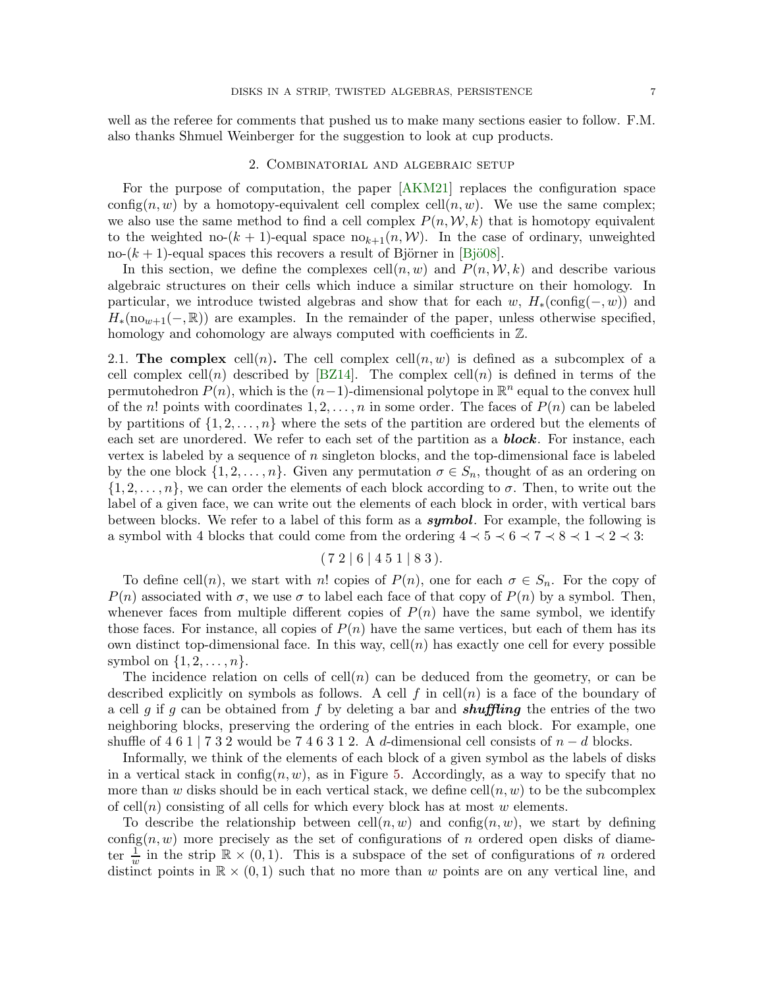<span id="page-6-0"></span>well as the referee for comments that pushed us to make many sections easier to follow. F.M. also thanks Shmuel Weinberger for the suggestion to look at cup products.

## 2. Combinatorial and algebraic setup

For the purpose of computation, the paper [\[AKM21\]](#page-44-4) replaces the configuration space config(n, w) by a homotopy-equivalent cell complex cell(n, w). We use the same complex; we also use the same method to find a cell complex  $P(n, W, k)$  that is homotopy equivalent to the weighted no- $(k + 1)$ -equal space no<sub>k+1</sub> $(n, W)$ . In the case of ordinary, unweighted no- $(k + 1)$ -equal spaces this recovers a result of Björner in [Bjö08].

In this section, we define the complexes cell $(n, w)$  and  $P(n, W, k)$  and describe various algebraic structures on their cells which induce a similar structure on their homology. In particular, we introduce twisted algebras and show that for each w,  $H_*(\text{config}(-, w))$  and  $H_*(no_{w+1}(-, \mathbb{R}))$  are examples. In the remainder of the paper, unless otherwise specified, homology and cohomology are always computed with coefficients in  $\mathbb{Z}$ .

2.1. The complex cell(n). The cell complex cell(n, w) is defined as a subcomplex of a cell complex cell(n) described by [\[BZ14\]](#page-47-6). The complex cell(n) is defined in terms of the permutohedron  $P(n)$ , which is the  $(n-1)$ -dimensional polytope in  $\mathbb{R}^n$  equal to the convex hull of the n! points with coordinates  $1, 2, ..., n$  in some order. The faces of  $P(n)$  can be labeled by partitions of  $\{1, 2, \ldots, n\}$  where the sets of the partition are ordered but the elements of each set are unordered. We refer to each set of the partition as a **block**. For instance, each vertex is labeled by a sequence of  $n$  singleton blocks, and the top-dimensional face is labeled by the one block  $\{1, 2, \ldots, n\}$ . Given any permutation  $\sigma \in S_n$ , thought of as an ordering on  $\{1, 2, \ldots, n\}$ , we can order the elements of each block according to  $\sigma$ . Then, to write out the label of a given face, we can write out the elements of each block in order, with vertical bars between blocks. We refer to a label of this form as a **symbol**. For example, the following is a symbol with 4 blocks that could come from the ordering  $4 \lt 5 \lt 6 \lt 7 \lt 8 \lt 1 \lt 2 \lt 3$ :

# $(72 | 6 | 4 5 1 | 8 3).$

To define cell(n), we start with n! copies of  $P(n)$ , one for each  $\sigma \in S_n$ . For the copy of  $P(n)$  associated with  $\sigma$ , we use  $\sigma$  to label each face of that copy of  $P(n)$  by a symbol. Then, whenever faces from multiple different copies of  $P(n)$  have the same symbol, we identify those faces. For instance, all copies of  $P(n)$  have the same vertices, but each of them has its own distinct top-dimensional face. In this way,  $\text{cell}(n)$  has exactly one cell for every possible symbol on  $\{1, 2, \ldots, n\}$ .

The incidence relation on cells of  $\text{cell}(n)$  can be deduced from the geometry, or can be described explicitly on symbols as follows. A cell f in cell(n) is a face of the boundary of a cell g if g can be obtained from f by deleting a bar and **shuffling** the entries of the two neighboring blocks, preserving the ordering of the entries in each block. For example, one shuffle of 4 6 1 | 7 3 2 would be 7 4 6 3 1 2. A d-dimensional cell consists of  $n - d$  blocks.

Informally, we think of the elements of each block of a given symbol as the labels of disks in a vertical stack in config $(n, w)$ , as in Figure [5.](#page-7-0) Accordingly, as a way to specify that no more than w disks should be in each vertical stack, we define cell $(n, w)$  to be the subcomplex of cell(n) consisting of all cells for which every block has at most w elements.

To describe the relationship between  $\text{cell}(n, w)$  and  $\text{config}(n, w)$ , we start by defining config $(n, w)$  more precisely as the set of configurations of n ordered open disks of diameter  $\frac{1}{w}$  in the strip  $\mathbb{R} \times (0,1)$ . This is a subspace of the set of configurations of *n* ordered distinct points in  $\mathbb{R} \times (0,1)$  such that no more than w points are on any vertical line, and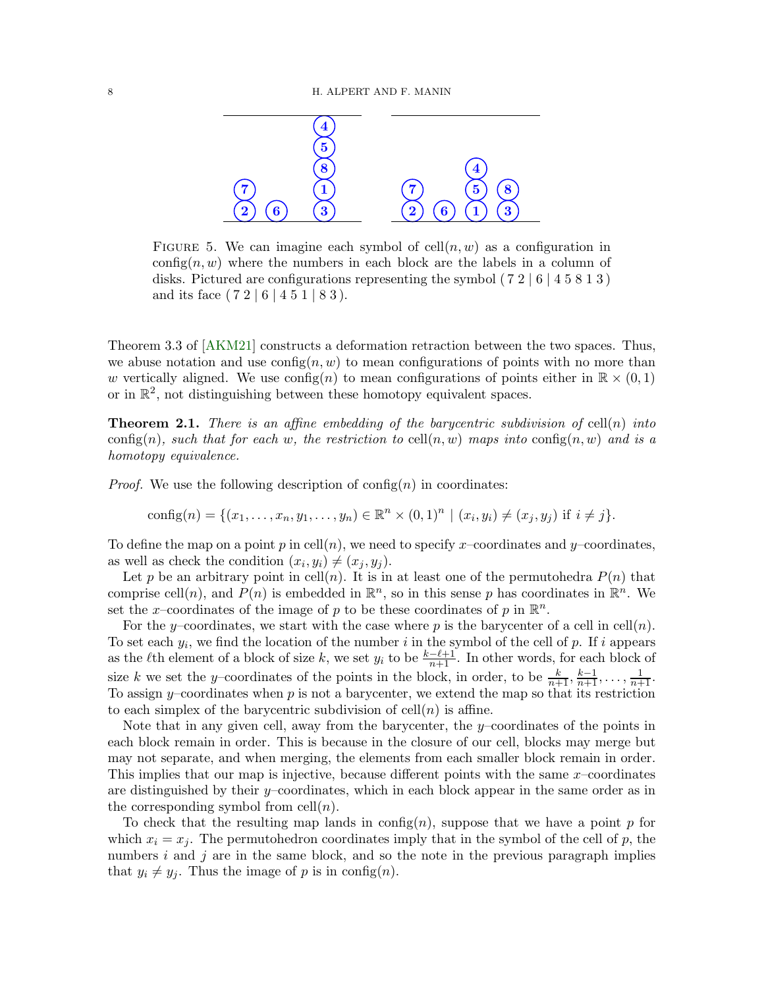<span id="page-7-0"></span>

FIGURE 5. We can imagine each symbol of  $\text{cell}(n, w)$  as a configuration in config(n, w) where the numbers in each block are the labels in a column of disks. Pictured are configurations representing the symbol  $(72 | 6 | 4 5 8 1 3)$ and its face  $(7\ 2\ 6\ 4\ 5\ 1\ 8\ 3).$ 

Theorem 3.3 of [\[AKM21\]](#page-44-4) constructs a deformation retraction between the two spaces. Thus, we abuse notation and use  $\text{config}(n, w)$  to mean configurations of points with no more than w vertically aligned. We use  $\text{config}(n)$  to mean configurations of points either in  $\mathbb{R} \times (0,1)$ or in  $\mathbb{R}^2$ , not distinguishing between these homotopy equivalent spaces.

<span id="page-7-1"></span>**Theorem 2.1.** There is an affine embedding of the barycentric subdivision of cell(n) into config(n), such that for each w, the restriction to cell(n, w) maps into config(n, w) and is a homotopy equivalence.

*Proof.* We use the following description of  $\text{config}(n)$  in coordinates:

config(n) = {
$$
(x_1,...,x_n,y_1,...,y_n) \in \mathbb{R}^n \times (0,1)^n | (x_i,y_i) \neq (x_j,y_j)
$$
 if  $i \neq j$  }.

To define the map on a point p in cell(n), we need to specify x-coordinates and y-coordinates, as well as check the condition  $(x_i, y_i) \neq (x_j, y_j)$ .

Let p be an arbitrary point in cell(n). It is in at least one of the permutohedra  $P(n)$  that comprise cell $(n)$ , and  $P(n)$  is embedded in  $\mathbb{R}^n$ , so in this sense p has coordinates in  $\mathbb{R}^n$ . We set the x-coordinates of the image of p to be these coordinates of p in  $\mathbb{R}^n$ .

For the y–coordinates, we start with the case where p is the barycenter of a cell in cell(n). To set each  $y_i$ , we find the location of the number i in the symbol of the cell of p. If i appears as the  $\ell$ th element of a block of size k, we set  $y_i$  to be  $\frac{k-\ell+1}{n+1}$ . In other words, for each block of size k we set the y–coordinates of the points in the block, in order, to be  $\frac{k}{n+1}, \frac{k-1}{n+1}, \ldots, \frac{1}{n+1}$ . To assign y–coordinates when  $p$  is not a barycenter, we extend the map so that its restriction to each simplex of the barycentric subdivision of  $\text{cell}(n)$  is affine.

Note that in any given cell, away from the barycenter, the  $y$ –coordinates of the points in each block remain in order. This is because in the closure of our cell, blocks may merge but may not separate, and when merging, the elements from each smaller block remain in order. This implies that our map is injective, because different points with the same x–coordinates are distinguished by their  $y$ –coordinates, which in each block appear in the same order as in the corresponding symbol from cell $(n)$ .

To check that the resulting map lands in config(n), suppose that we have a point  $p$  for which  $x_i = x_j$ . The permutohedron coordinates imply that in the symbol of the cell of p, the numbers  $i$  and  $j$  are in the same block, and so the note in the previous paragraph implies that  $y_i \neq y_j$ . Thus the image of p is in config(n).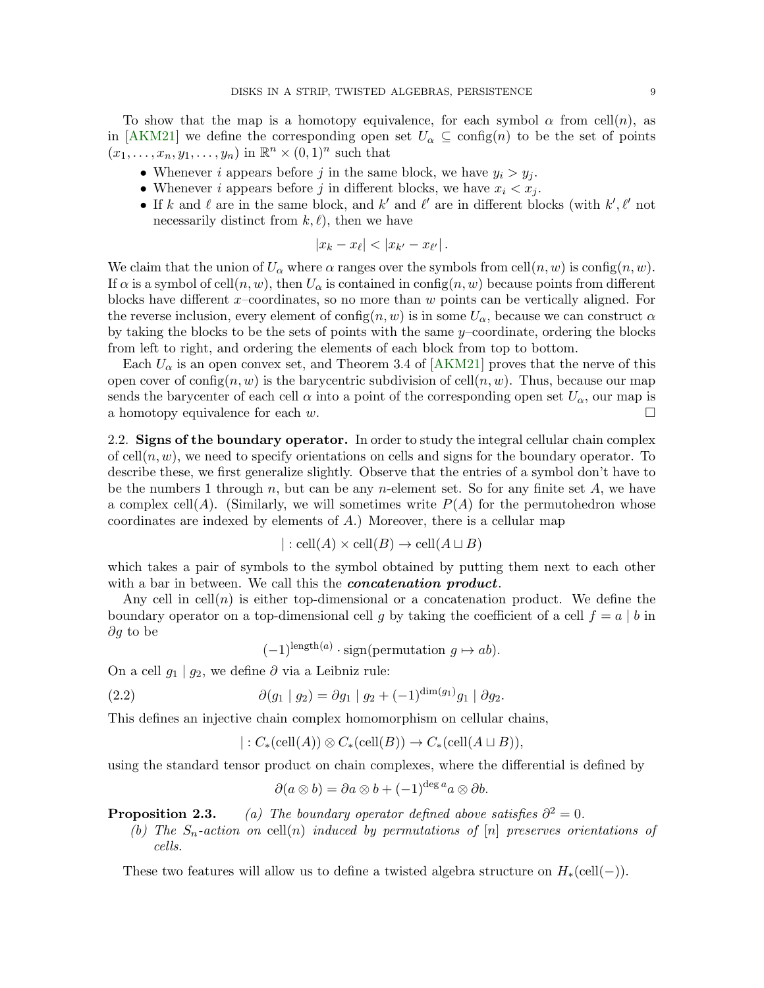To show that the map is a homotopy equivalence, for each symbol  $\alpha$  from cell $(n)$ , as in [\[AKM21\]](#page-44-4) we define the corresponding open set  $U_{\alpha} \subseteq \text{config}(n)$  to be the set of points  $(x_1, \ldots, x_n, y_1, \ldots, y_n)$  in  $\mathbb{R}^n \times (0,1)^n$  such that

- Whenever i appears before j in the same block, we have  $y_i > y_j$ .
- Whenever *i* appears before *j* in different blocks, we have  $x_i < x_j$ .
- If k and l are in the same block, and k' and l' are in different blocks (with  $k', \ell'$  not necessarily distinct from  $k, \ell$ , then we have

$$
|x_k-x_\ell|<|x_{k'}-x_{\ell'}|.
$$

We claim that the union of  $U_{\alpha}$  where  $\alpha$  ranges over the symbols from cell $(n, w)$  is config $(n, w)$ . If  $\alpha$  is a symbol of cell $(n, w)$ , then  $U_{\alpha}$  is contained in config $(n, w)$  because points from different blocks have different  $x$ –coordinates, so no more than  $w$  points can be vertically aligned. For the reverse inclusion, every element of config $(n, w)$  is in some  $U_{\alpha}$ , because we can construct  $\alpha$ by taking the blocks to be the sets of points with the same y–coordinate, ordering the blocks from left to right, and ordering the elements of each block from top to bottom.

Each  $U_{\alpha}$  is an open convex set, and Theorem 3.4 of [\[AKM21\]](#page-44-4) proves that the nerve of this open cover of config $(n, w)$  is the barycentric subdivision of cell $(n, w)$ . Thus, because our map sends the barycenter of each cell  $\alpha$  into a point of the corresponding open set  $U_{\alpha}$ , our map is a homotopy equivalence for each w.

<span id="page-8-0"></span>2.2. Signs of the boundary operator. In order to study the integral cellular chain complex of cell $(n, w)$ , we need to specify orientations on cells and signs for the boundary operator. To describe these, we first generalize slightly. Observe that the entries of a symbol don't have to be the numbers 1 through  $n$ , but can be any n-element set. So for any finite set  $A$ , we have a complex cell(A). (Similarly, we will sometimes write  $P(A)$  for the permutohedron whose coordinates are indexed by elements of  $A$ .) Moreover, there is a cellular map

$$
|: \text{cell}(A) \times \text{cell}(B) \to \text{cell}(A \sqcup B)
$$

which takes a pair of symbols to the symbol obtained by putting them next to each other with a bar in between. We call this the *concatenation product*.

Any cell in cell(n) is either top-dimensional or a concatenation product. We define the boundary operator on a top-dimensional cell g by taking the coefficient of a cell  $f = a \mid b$  in ∂g to be

<span id="page-8-1"></span> $(-1)^{\operatorname{length}(a)} \cdot \operatorname{sign}(\text{permutation } g \mapsto ab).$ 

On a cell  $g_1 | g_2$ , we define  $\partial$  via a Leibniz rule:

(2.2) 
$$
\partial(g_1 \mid g_2) = \partial g_1 \mid g_2 + (-1)^{\dim(g_1)} g_1 \mid \partial g_2.
$$

This defines an injective chain complex homomorphism on cellular chains,

$$
|: C_*(\operatorname{cell}(A)) \otimes C_*(\operatorname{cell}(B)) \to C_*(\operatorname{cell}(A \sqcup B)),
$$

using the standard tensor product on chain complexes, where the differential is defined by

$$
\partial(a\otimes b) = \partial a\otimes b + (-1)^{\deg a} a\otimes \partial b.
$$

**Proposition 2.3.** (a) The boundary operator defined above satisfies  $\partial^2 = 0$ .

(b) The  $S_n$ -action on cell(n) induced by permutations of [n] preserves orientations of cells.

These two features will allow us to define a twisted algebra structure on  $H_*(\text{cell}(-))$ .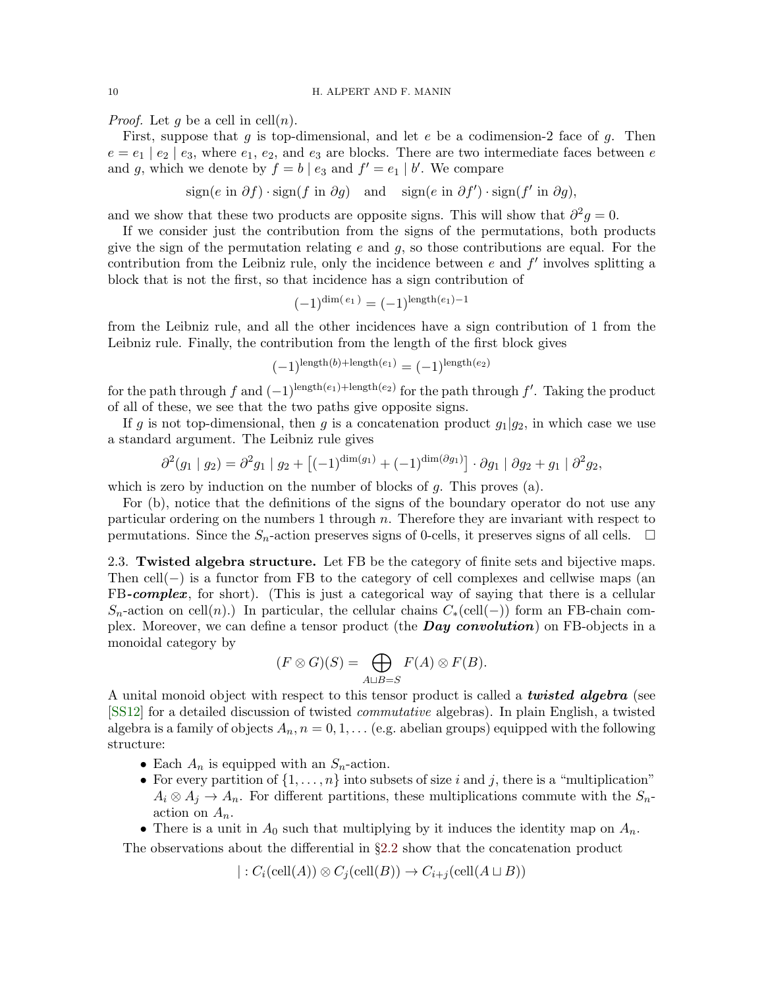*Proof.* Let q be a cell in cell $(n)$ .

First, suppose that g is top-dimensional, and let  $e$  be a codimension-2 face of g. Then  $e = e_1 \mid e_2 \mid e_3$ , where  $e_1, e_2$ , and  $e_3$  are blocks. There are two intermediate faces between e and g, which we denote by  $f = b \mid e_3$  and  $f' = e_1 \mid b'$ . We compare

$$
sign(e \text{ in } \partial f) \cdot sign(f \text{ in } \partial g)
$$
 and  $sign(e \text{ in } \partial f') \cdot sign(f' \text{ in } \partial g)$ ,

and we show that these two products are opposite signs. This will show that  $\partial^2 g = 0$ .

If we consider just the contribution from the signs of the permutations, both products give the sign of the permutation relating  $e$  and  $g$ , so those contributions are equal. For the contribution from the Leibniz rule, only the incidence between  $e$  and  $f'$  involves splitting a block that is not the first, so that incidence has a sign contribution of

$$
(-1)^{\dim(e_1)} = (-1)^{\operatorname{length}(e_1) - 1}
$$

from the Leibniz rule, and all the other incidences have a sign contribution of 1 from the Leibniz rule. Finally, the contribution from the length of the first block gives

$$
(-1)^{\operatorname{length}(b) + \operatorname{length}(e_1)} = (-1)^{\operatorname{length}(e_2)}
$$

for the path through f and  $(-1)^{\text{length}(e_1)+\text{length}(e_2)}$  for the path through f'. Taking the product of all of these, we see that the two paths give opposite signs.

If g is not top-dimensional, then g is a concatenation product  $g_1|g_2$ , in which case we use a standard argument. The Leibniz rule gives

$$
\partial^2(g_1 \mid g_2) = \partial^2 g_1 \mid g_2 + \left[(-1)^{\dim(g_1)} + (-1)^{\dim(\partial g_1)}\right] \cdot \partial g_1 \mid \partial g_2 + g_1 \mid \partial^2 g_2,
$$

which is zero by induction on the number of blocks of  $g$ . This proves (a).

For (b), notice that the definitions of the signs of the boundary operator do not use any particular ordering on the numbers  $1$  through  $n$ . Therefore they are invariant with respect to permutations. Since the  $S_n$ -action preserves signs of 0-cells, it preserves signs of all cells.  $\Box$ 

<span id="page-9-0"></span>2.3. Twisted algebra structure. Let FB be the category of finite sets and bijective maps. Then cell(−) is a functor from FB to the category of cell complexes and cellwise maps (an FB-complex, for short). (This is just a categorical way of saying that there is a cellular  $S_n$ -action on cell(n).) In particular, the cellular chains  $C_*(\text{cell}(-))$  form an FB-chain complex. Moreover, we can define a tensor product (the **Day convolution**) on FB-objects in a monoidal category by

$$
(F \otimes G)(S) = \bigoplus_{A \sqcup B = S} F(A) \otimes F(B).
$$

A unital monoid object with respect to this tensor product is called a **twisted algebra** (see [\[SS12\]](#page-48-3) for a detailed discussion of twisted commutative algebras). In plain English, a twisted algebra is a family of objects  $A_n$ ,  $n = 0, 1, \ldots$  (e.g. abelian groups) equipped with the following structure:

- Each  $A_n$  is equipped with an  $S_n$ -action.
- For every partition of  $\{1, \ldots, n\}$  into subsets of size i and j, there is a "multiplication"  $A_i \otimes A_j \to A_n$ . For different partitions, these multiplications commute with the  $S_n$ action on  $A_n$ .
- There is a unit in  $A_0$  such that multiplying by it induces the identity map on  $A_n$ . The observations about the differential in §[2.2](#page-8-0) show that the concatenation product

$$
|: C_i(\text{cell}(A)) \otimes C_j(\text{cell}(B)) \to C_{i+j}(\text{cell}(A \sqcup B))
$$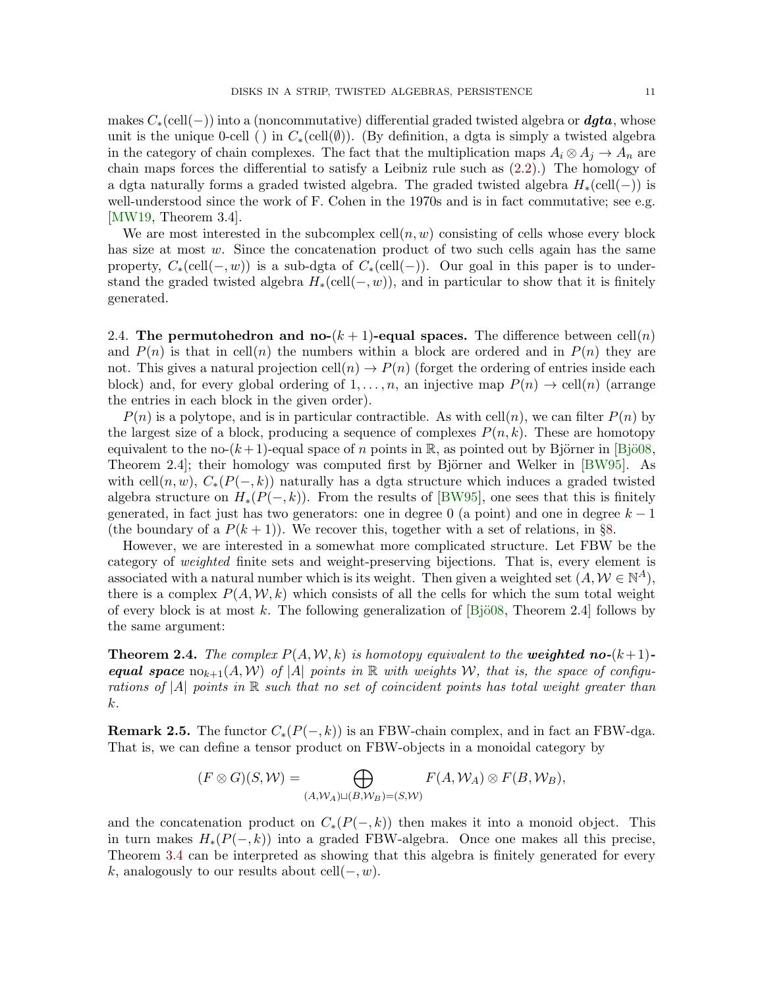makes  $C_*(\text{cell}(-))$  into a (noncommutative) differential graded twisted algebra or **dgta**, whose unit is the unique 0-cell () in  $C_*(\text{cell}(\emptyset))$ . (By definition, a dgta is simply a twisted algebra in the category of chain complexes. The fact that the multiplication maps  $A_i \otimes A_j \to A_n$  are chain maps forces the differential to satisfy a Leibniz rule such as [\(2.2\)](#page-8-1).) The homology of a dgta naturally forms a graded twisted algebra. The graded twisted algebra  $H_*(\text{cell}(-))$  is well-understood since the work of F. Cohen in the 1970s and is in fact commutative; see e.g. [\[MW19,](#page-48-4) Theorem 3.4].

We are most interested in the subcomplex  $\text{cell}(n, w)$  consisting of cells whose every block has size at most w. Since the concatenation product of two such cells again has the same property,  $C_*(\text{cell}(-, w))$  is a sub-dgta of  $C_*(\text{cell}(-))$ . Our goal in this paper is to understand the graded twisted algebra  $H_*(\text{cell}(-, w))$ , and in particular to show that it is finitely generated.

2.4. The permutohedron and no- $(k + 1)$ -equal spaces. The difference between cell $(n)$ and  $P(n)$  is that in cell(n) the numbers within a block are ordered and in  $P(n)$  they are not. This gives a natural projection cell $(n) \to P(n)$  (forget the ordering of entries inside each block) and, for every global ordering of  $1, \ldots, n$ , an injective map  $P(n) \to \text{cell}(n)$  (arrange the entries in each block in the given order).

 $P(n)$  is a polytope, and is in particular contractible. As with cell $(n)$ , we can filter  $P(n)$  by the largest size of a block, producing a sequence of complexes  $P(n, k)$ . These are homotopy equivalent to the no- $(k+1)$ -equal space of n points in R, as pointed out by Björner in [Bjö08, Theorem 2.4]; their homology was computed first by Björner and Welker in [\[BW95\]](#page-47-4). As with cell $(n, w)$ ,  $C_*(P(-, k))$  naturally has a dgta structure which induces a graded twisted algebra structure on  $H_*(P(-, k))$ . From the results of [\[BW95\]](#page-47-4), one sees that this is finitely generated, in fact just has two generators: one in degree 0 (a point) and one in degree  $k-1$ (the boundary of a  $P(k+1)$ ). We recover this, together with a set of relations, in §[8.](#page-33-0)

However, we are interested in a somewhat more complicated structure. Let FBW be the category of weighted finite sets and weight-preserving bijections. That is, every element is associated with a natural number which is its weight. Then given a weighted set  $(A, \mathcal{W} \in \mathbb{N}^A)$ , there is a complex  $P(A, W, k)$  which consists of all the cells for which the sum total weight of every block is at most k. The following generalization of  $[Bj\ddot{o}08,$  Theorem 2.4] follows by the same argument:

**Theorem 2.4.** The complex  $P(A, W, k)$  is homotopy equivalent to the **weighted no-** $(k+1)$ **equal space**  $\text{no}_{k+1}(A, W)$  of |A| points in R with weights W, that is, the space of configurations of |A| points in  $\mathbb R$  such that no set of coincident points has total weight greater than k.

**Remark 2.5.** The functor  $C_*(P(-,k))$  is an FBW-chain complex, and in fact an FBW-dga. That is, we can define a tensor product on FBW-objects in a monoidal category by

$$
(F \otimes G)(S, W) = \bigoplus_{(A, W_A) \sqcup (B, W_B) = (S, W)} F(A, W_A) \otimes F(B, W_B),
$$

and the concatenation product on  $C_*(P(-,k))$  then makes it into a monoid object. This in turn makes  $H_*(P(-,k))$  into a graded FBW-algebra. Once one makes all this precise, Theorem [3.4](#page-15-0) can be interpreted as showing that this algebra is finitely generated for every k, analogously to our results about cell $(-, w)$ .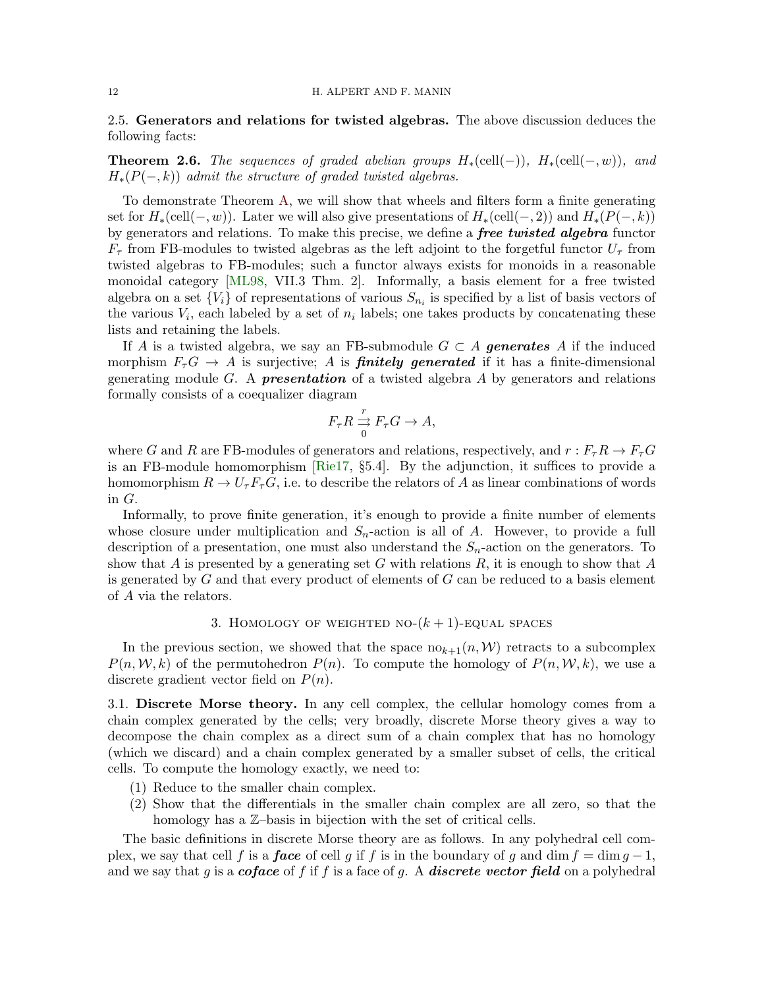2.5. Generators and relations for twisted algebras. The above discussion deduces the following facts:

**Theorem 2.6.** The sequences of graded abelian groups  $H_*(\text{cell}(-))$ ,  $H_*(\text{cell}(-, w))$ , and  $H_*(P(-,k))$  admit the structure of graded twisted algebras.

To demonstrate Theorem [A,](#page-1-1) we will show that wheels and filters form a finite generating set for  $H_*(\text{cell}(-, w))$ . Later we will also give presentations of  $H_*(\text{cell}(-, 2))$  and  $H_*(P(-, k))$ by generators and relations. To make this precise, we define a *free twisted algebra* functor  $F_{\tau}$  from FB-modules to twisted algebras as the left adjoint to the forgetful functor  $U_{\tau}$  from twisted algebras to FB-modules; such a functor always exists for monoids in a reasonable monoidal category [\[ML98,](#page-48-5) VII.3 Thm. 2]. Informally, a basis element for a free twisted algebra on a set  $\{V_i\}$  of representations of various  $S_{n_i}$  is specified by a list of basis vectors of the various  $V_i$ , each labeled by a set of  $n_i$  labels; one takes products by concatenating these lists and retaining the labels.

If A is a twisted algebra, we say an FB-submodule  $G \subset A$  generates A if the induced morphism  $F_{\tau}G \to A$  is surjective; A is **finitely generated** if it has a finite-dimensional generating module G. A **presentation** of a twisted algebra A by generators and relations formally consists of a coequalizer diagram

$$
F_{\tau}R \xrightarrow[0]{r} F_{\tau}G \to A,
$$

where G and R are FB-modules of generators and relations, respectively, and  $r : F_{\tau}R \to F_{\tau}G$ is an FB-module homomorphism [\[Rie17,](#page-48-6) §5.4]. By the adjunction, it suffices to provide a homomorphism  $R \to U_{\tau}F_{\tau}G$ , i.e. to describe the relators of A as linear combinations of words in G.

Informally, to prove finite generation, it's enough to provide a finite number of elements whose closure under multiplication and  $S_n$ -action is all of A. However, to provide a full description of a presentation, one must also understand the  $S_n$ -action on the generators. To show that A is presented by a generating set G with relations  $R$ , it is enough to show that A is generated by  $G$  and that every product of elements of  $G$  can be reduced to a basis element of A via the relators.

# 3. HOMOLOGY OF WEIGHTED NO- $(k + 1)$ -EQUAL SPACES

<span id="page-11-0"></span>In the previous section, we showed that the space  $n\omega_{k+1}(n, \mathcal{W})$  retracts to a subcomplex  $P(n, \mathcal{W}, k)$  of the permutohedron  $P(n)$ . To compute the homology of  $P(n, \mathcal{W}, k)$ , we use a discrete gradient vector field on  $P(n)$ .

3.1. Discrete Morse theory. In any cell complex, the cellular homology comes from a chain complex generated by the cells; very broadly, discrete Morse theory gives a way to decompose the chain complex as a direct sum of a chain complex that has no homology (which we discard) and a chain complex generated by a smaller subset of cells, the critical cells. To compute the homology exactly, we need to:

- (1) Reduce to the smaller chain complex.
- (2) Show that the differentials in the smaller chain complex are all zero, so that the homology has a  $\mathbb{Z}$ -basis in bijection with the set of critical cells.

The basic definitions in discrete Morse theory are as follows. In any polyhedral cell complex, we say that cell f is a **face** of cell g if f is in the boundary of g and dim  $f = \dim g - 1$ , and we say that g is a *coface* of f if f is a face of g. A *discrete vector field* on a polyhedral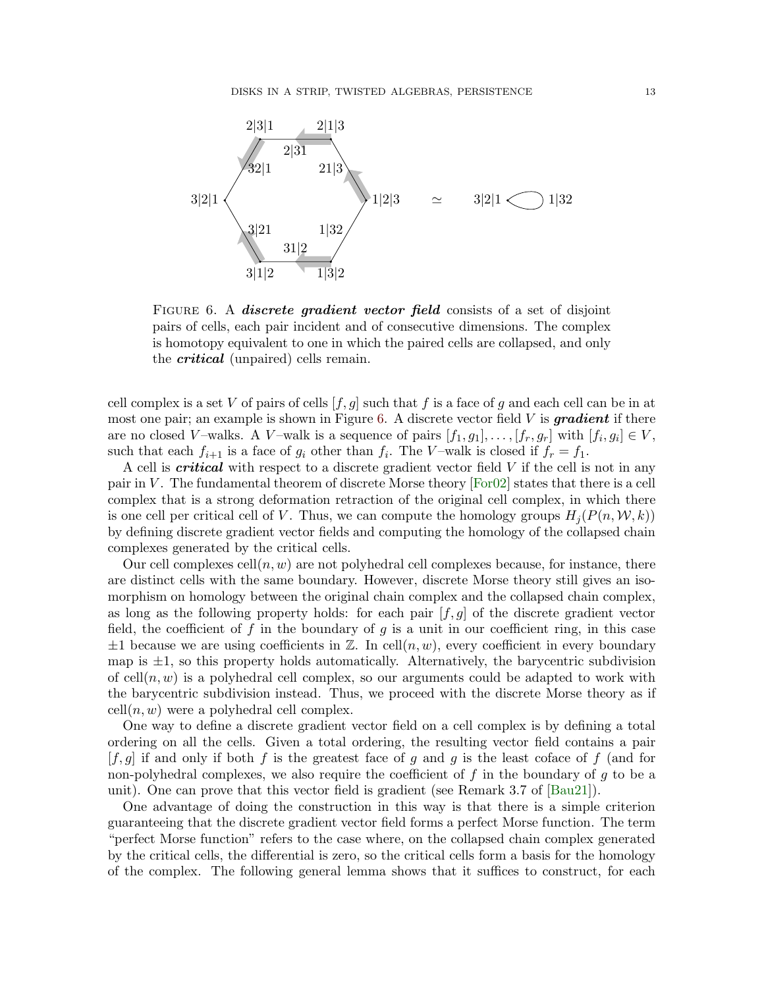<span id="page-12-0"></span>

FIGURE 6. A *discrete gradient vector field* consists of a set of disjoint pairs of cells, each pair incident and of consecutive dimensions. The complex is homotopy equivalent to one in which the paired cells are collapsed, and only the *critical* (unpaired) cells remain.

cell complex is a set V of pairs of cells  $[f, g]$  such that f is a face of g and each cell can be in at most one pair; an example is shown in Figure [6.](#page-12-0) A discrete vector field  $V$  is gradient if there are no closed V-walks. A V-walk is a sequence of pairs  $[f_1, g_1], \ldots, [f_r, g_r]$  with  $[f_i, g_i] \in V$ , such that each  $f_{i+1}$  is a face of  $g_i$  other than  $f_i$ . The V-walk is closed if  $f_r = f_1$ .

A cell is critical with respect to a discrete gradient vector field V if the cell is not in any pair in V. The fundamental theorem of discrete Morse theory  $[For 02]$  states that there is a cell complex that is a strong deformation retraction of the original cell complex, in which there is one cell per critical cell of V. Thus, we can compute the homology groups  $H_i(P(n,\mathcal{W},k))$ by defining discrete gradient vector fields and computing the homology of the collapsed chain complexes generated by the critical cells.

Our cell complexes cell $(n, w)$  are not polyhedral cell complexes because, for instance, there are distinct cells with the same boundary. However, discrete Morse theory still gives an isomorphism on homology between the original chain complex and the collapsed chain complex, as long as the following property holds: for each pair  $[f, g]$  of the discrete gradient vector field, the coefficient of f in the boundary of g is a unit in our coefficient ring, in this case  $\pm 1$  because we are using coefficients in Z. In cell $(n, w)$ , every coefficient in every boundary map is  $\pm 1$ , so this property holds automatically. Alternatively, the barycentric subdivision of cell $(n, w)$  is a polyhedral cell complex, so our arguments could be adapted to work with the barycentric subdivision instead. Thus, we proceed with the discrete Morse theory as if  $cell(n, w)$  were a polyhedral cell complex.

One way to define a discrete gradient vector field on a cell complex is by defining a total ordering on all the cells. Given a total ordering, the resulting vector field contains a pair  $[f, g]$  if and only if both f is the greatest face of g and g is the least coface of f (and for non-polyhedral complexes, we also require the coefficient of  $f$  in the boundary of  $g$  to be a unit). One can prove that this vector field is gradient (see Remark 3.7 of [\[Bau21\]](#page-45-1)).

One advantage of doing the construction in this way is that there is a simple criterion guaranteeing that the discrete gradient vector field forms a perfect Morse function. The term "perfect Morse function" refers to the case where, on the collapsed chain complex generated by the critical cells, the differential is zero, so the critical cells form a basis for the homology of the complex. The following general lemma shows that it suffices to construct, for each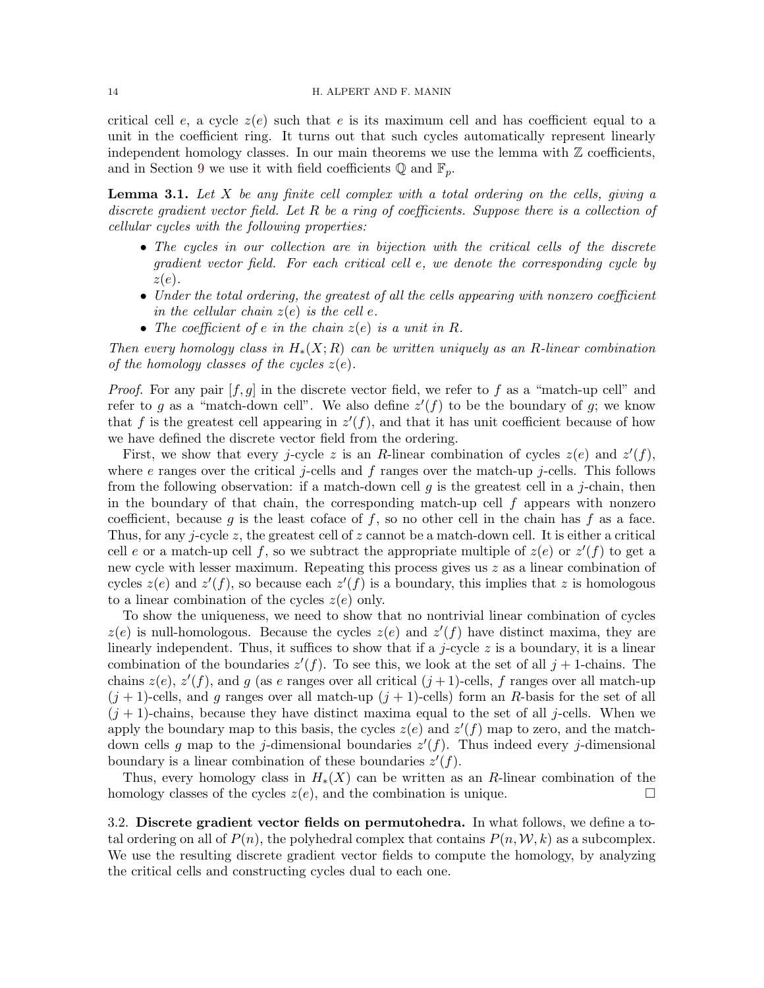critical cell e, a cycle  $z(e)$  such that e is its maximum cell and has coefficient equal to a unit in the coefficient ring. It turns out that such cycles automatically represent linearly independent homology classes. In our main theorems we use the lemma with  $\mathbb Z$  coefficients, and in Section [9](#page-38-0) we use it with field coefficients  $\mathbb{Q}$  and  $\mathbb{F}_p$ .

<span id="page-13-0"></span>**Lemma 3.1.** Let X be any finite cell complex with a total ordering on the cells, giving a discrete gradient vector field. Let R be a ring of coefficients. Suppose there is a collection of cellular cycles with the following properties:

- The cycles in our collection are in bijection with the critical cells of the discrete gradient vector field. For each critical cell e, we denote the corresponding cycle by  $z(e)$ .
- Under the total ordering, the greatest of all the cells appearing with nonzero coefficient in the cellular chain  $z(e)$  is the cell e.
- The coefficient of e in the chain  $z(e)$  is a unit in R.

Then every homology class in  $H_*(X;R)$  can be written uniquely as an R-linear combination of the homology classes of the cycles  $z(e)$ .

*Proof.* For any pair  $[f, g]$  in the discrete vector field, we refer to f as a "match-up cell" and refer to g as a "match-down cell". We also define  $z'(f)$  to be the boundary of g; we know that f is the greatest cell appearing in  $z'(f)$ , and that it has unit coefficient because of how we have defined the discrete vector field from the ordering.

First, we show that every j-cycle z is an R-linear combination of cycles  $z(e)$  and  $z'(f)$ , where e ranges over the critical j-cells and f ranges over the match-up j-cells. This follows from the following observation: if a match-down cell g is the greatest cell in a j-chain, then in the boundary of that chain, the corresponding match-up cell  $f$  appears with nonzero coefficient, because g is the least coface of f, so no other cell in the chain has f as a face. Thus, for any j-cycle z, the greatest cell of z cannot be a match-down cell. It is either a critical cell e or a match-up cell f, so we subtract the appropriate multiple of  $z(e)$  or  $z'(f)$  to get a new cycle with lesser maximum. Repeating this process gives us z as a linear combination of cycles  $z(e)$  and  $z'(f)$ , so because each  $z'(f)$  is a boundary, this implies that z is homologous to a linear combination of the cycles  $z(e)$  only.

To show the uniqueness, we need to show that no nontrivial linear combination of cycles  $z(e)$  is null-homologous. Because the cycles  $z(e)$  and  $z'(f)$  have distinct maxima, they are linearly independent. Thus, it suffices to show that if a j-cycle  $z$  is a boundary, it is a linear combination of the boundaries  $z'(f)$ . To see this, we look at the set of all  $j+1$ -chains. The chains  $z(e)$ ,  $z'(f)$ , and g (as e ranges over all critical  $(j+1)$ -cells, f ranges over all match-up  $(j+1)$ -cells, and g ranges over all match-up  $(j+1)$ -cells) form an R-basis for the set of all  $(j + 1)$ -chains, because they have distinct maxima equal to the set of all j-cells. When we apply the boundary map to this basis, the cycles  $z(e)$  and  $z'(f)$  map to zero, and the matchdown cells g map to the j-dimensional boundaries  $z'(f)$ . Thus indeed every j-dimensional boundary is a linear combination of these boundaries  $z'(f)$ .

Thus, every homology class in  $H_*(X)$  can be written as an R-linear combination of the homology classes of the cycles  $z(e)$ , and the combination is unique.

3.2. Discrete gradient vector fields on permutohedra. In what follows, we define a total ordering on all of  $P(n)$ , the polyhedral complex that contains  $P(n, \mathcal{W}, k)$  as a subcomplex. We use the resulting discrete gradient vector fields to compute the homology, by analyzing the critical cells and constructing cycles dual to each one.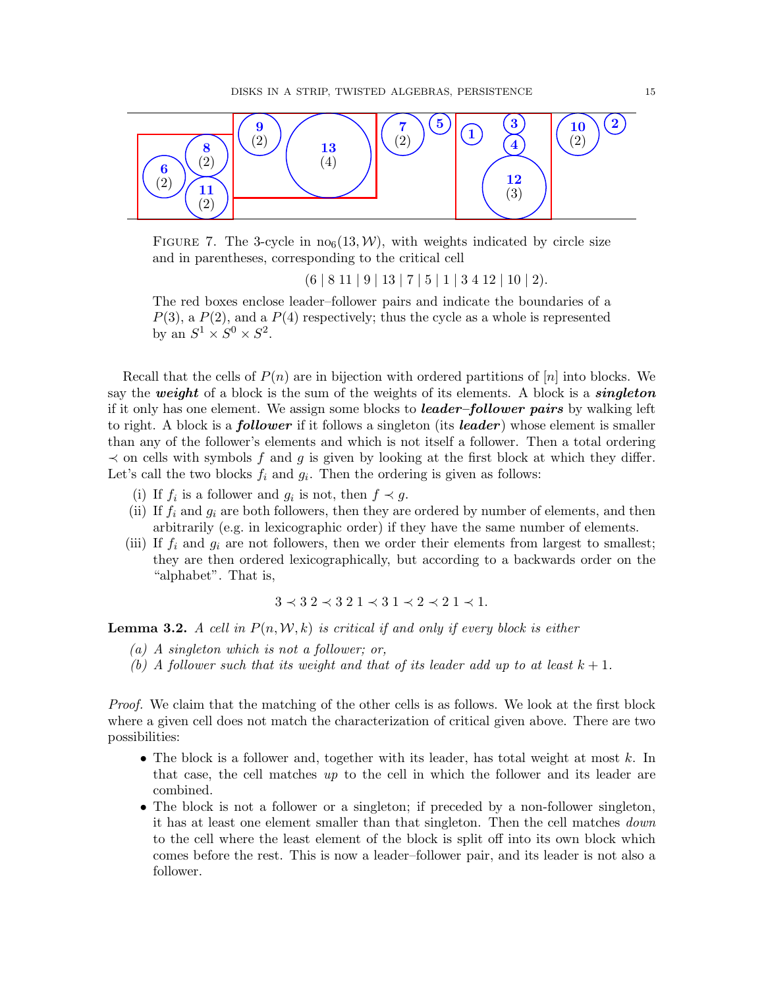<span id="page-14-0"></span>

FIGURE 7. The 3-cycle in  $\text{no}_6(13,\mathcal{W})$ , with weights indicated by circle size and in parentheses, corresponding to the critical cell

 $(6 | 8 11 | 9 | 13 | 7 | 5 | 1 | 3 4 12 | 10 | 2).$ 

The red boxes enclose leader–follower pairs and indicate the boundaries of a  $P(3)$ , a  $P(2)$ , and a  $P(4)$  respectively; thus the cycle as a whole is represented by an  $S^1 \times S^0 \times S^2$ .

Recall that the cells of  $P(n)$  are in bijection with ordered partitions of  $[n]$  into blocks. We say the weight of a block is the sum of the weights of its elements. A block is a *singleton* if it only has one element. We assign some blocks to *leader–follower pairs* by walking left to right. A block is a **follower** if it follows a singleton (its **leader**) whose element is smaller than any of the follower's elements and which is not itself a follower. Then a total ordering  $\prec$  on cells with symbols f and g is given by looking at the first block at which they differ. Let's call the two blocks  $f_i$  and  $g_i$ . Then the ordering is given as follows:

- (i) If  $f_i$  is a follower and  $g_i$  is not, then  $f \prec g$ .
- (ii) If  $f_i$  and  $g_i$  are both followers, then they are ordered by number of elements, and then arbitrarily (e.g. in lexicographic order) if they have the same number of elements.
- (iii) If  $f_i$  and  $g_i$  are not followers, then we order their elements from largest to smallest; they are then ordered lexicographically, but according to a backwards order on the "alphabet". That is,

 $3 \prec 3$  2  $\prec 3$  2 1  $\prec 3$  1  $\prec 2$   $\prec 2$  1  $\prec 1$ .

<span id="page-14-1"></span>**Lemma 3.2.** A cell in  $P(n, \mathcal{W}, k)$  is critical if and only if every block is either

- (a) A singleton which is not a follower; or,
- (b) A follower such that its weight and that of its leader add up to at least  $k + 1$ .

Proof. We claim that the matching of the other cells is as follows. We look at the first block where a given cell does not match the characterization of critical given above. There are two possibilities:

- The block is a follower and, together with its leader, has total weight at most  $k$ . In that case, the cell matches up to the cell in which the follower and its leader are combined.
- The block is not a follower or a singleton; if preceded by a non-follower singleton, it has at least one element smaller than that singleton. Then the cell matches down to the cell where the least element of the block is split off into its own block which comes before the rest. This is now a leader–follower pair, and its leader is not also a follower.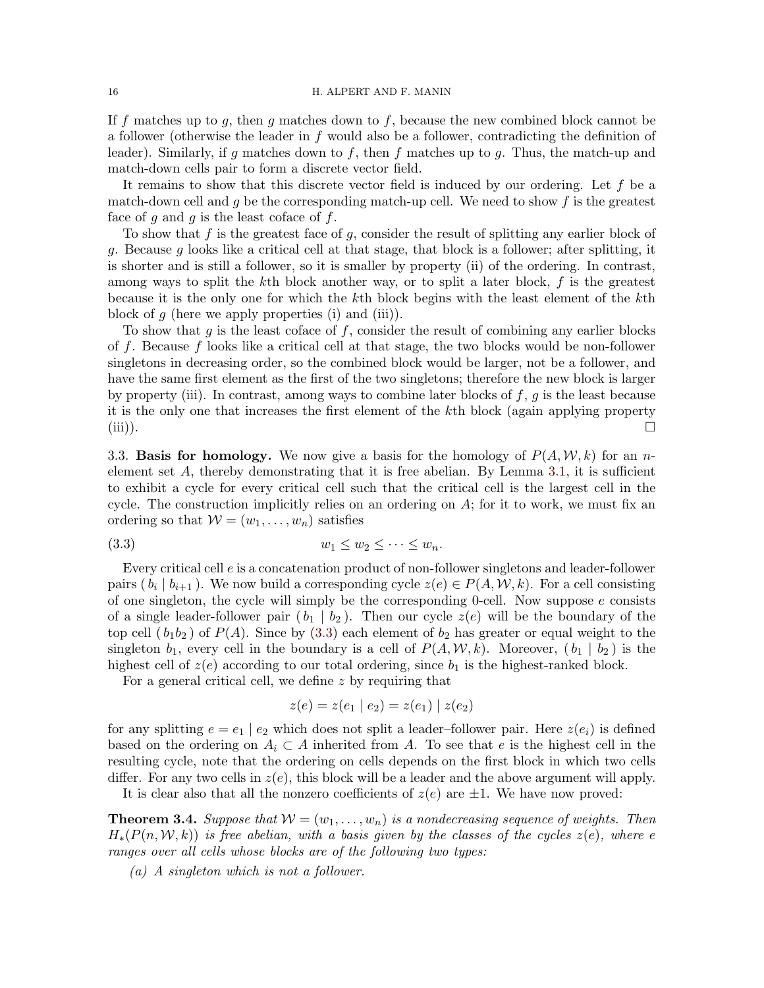If f matches up to g, then g matches down to f, because the new combined block cannot be a follower (otherwise the leader in f would also be a follower, contradicting the definition of leader). Similarly, if g matches down to f, then f matches up to g. Thus, the match-up and match-down cells pair to form a discrete vector field.

It remains to show that this discrete vector field is induced by our ordering. Let  $f$  be a match-down cell and  $g$  be the corresponding match-up cell. We need to show  $f$  is the greatest face of q and q is the least coface of  $f$ .

To show that  $f$  is the greatest face of  $g$ , consider the result of splitting any earlier block of g. Because g looks like a critical cell at that stage, that block is a follower; after splitting, it is shorter and is still a follower, so it is smaller by property (ii) of the ordering. In contrast, among ways to split the  $k$ th block another way, or to split a later block,  $f$  is the greatest because it is the only one for which the kth block begins with the least element of the kth block of  $g$  (here we apply properties (i) and (iii)).

To show that  $g$  is the least coface of  $f$ , consider the result of combining any earlier blocks of f. Because f looks like a critical cell at that stage, the two blocks would be non-follower singletons in decreasing order, so the combined block would be larger, not be a follower, and have the same first element as the first of the two singletons; therefore the new block is larger by property (iii). In contrast, among ways to combine later blocks of  $f, g$  is the least because it is the only one that increases the first element of the kth block (again applying property (iii)).  $\Box$ 

3.3. **Basis for homology.** We now give a basis for the homology of  $P(A, W, k)$  for an nelement set  $A$ , thereby demonstrating that it is free abelian. By Lemma [3.1,](#page-13-0) it is sufficient to exhibit a cycle for every critical cell such that the critical cell is the largest cell in the cycle. The construction implicitly relies on an ordering on  $A$ ; for it to work, we must fix an ordering so that  $W = (w_1, \ldots, w_n)$  satisfies

$$
(3.3) \t\t\t w_1 \leq w_2 \leq \cdots \leq w_n.
$$

Every critical cell e is a concatenation product of non-follower singletons and leader-follower pairs  $(b_i | b_{i+1})$ . We now build a corresponding cycle  $z(e) \in P(A, W, k)$ . For a cell consisting of one singleton, the cycle will simply be the corresponding 0-cell. Now suppose  $e$  consists of a single leader-follower pair  $(b_1 | b_2)$ . Then our cycle  $z(e)$  will be the boundary of the top cell  $(b_1b_2)$  of  $P(A)$ . Since by [\(3.3\)](#page-15-1) each element of  $b_2$  has greater or equal weight to the singleton  $b_1$ , every cell in the boundary is a cell of  $P(A, W, k)$ . Moreover,  $(b_1 | b_2)$  is the highest cell of  $z(e)$  according to our total ordering, since  $b_1$  is the highest-ranked block.

For a general critical cell, we define z by requiring that

<span id="page-15-1"></span>
$$
z(e) = z(e_1 \mid e_2) = z(e_1) \mid z(e_2)
$$

for any splitting  $e = e_1 \mid e_2$  which does not split a leader-follower pair. Here  $z(e_i)$  is defined based on the ordering on  $A_i \subset A$  inherited from A. To see that e is the highest cell in the resulting cycle, note that the ordering on cells depends on the first block in which two cells differ. For any two cells in  $z(e)$ , this block will be a leader and the above argument will apply.

It is clear also that all the nonzero coefficients of  $z(e)$  are  $\pm 1$ . We have now proved:

<span id="page-15-0"></span>**Theorem 3.4.** Suppose that  $W = (w_1, \ldots, w_n)$  is a nondecreasing sequence of weights. Then  $H_*(P(n, \mathcal{W}, k))$  is free abelian, with a basis given by the classes of the cycles  $z(e)$ , where e ranges over all cells whose blocks are of the following two types:

(a) A singleton which is not a follower.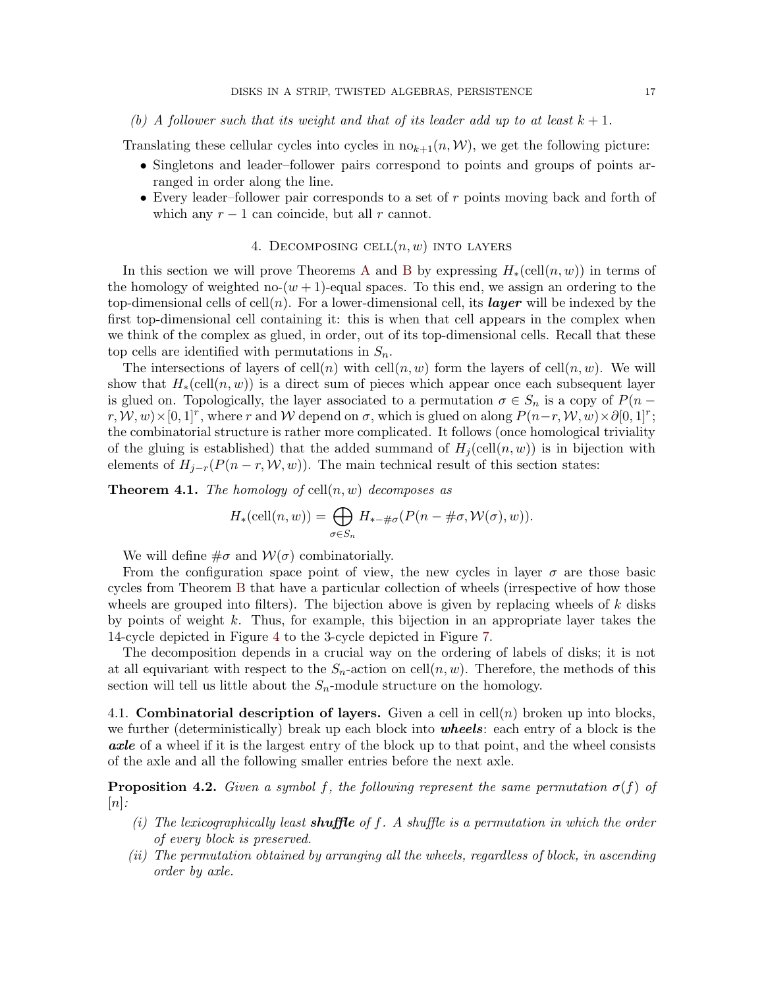## (b) A follower such that its weight and that of its leader add up to at least  $k + 1$ .

Translating these cellular cycles into cycles in  $n\omega_{k+1}(n,\mathcal{W})$ , we get the following picture:

- Singletons and leader–follower pairs correspond to points and groups of points arranged in order along the line.
- Every leader–follower pair corresponds to a set of  $r$  points moving back and forth of which any  $r - 1$  can coincide, but all r cannot.

## 4. DECOMPOSING CELL $(n, w)$  INTO LAYERS

<span id="page-16-0"></span>In this section we will prove Theorems [A](#page-1-1) and [B](#page-3-0) by expressing  $H_*(\text{cell}(n, w))$  in terms of the homology of weighted no- $(w + 1)$ -equal spaces. To this end, we assign an ordering to the top-dimensional cells of cell(n). For a lower-dimensional cell, its **layer** will be indexed by the first top-dimensional cell containing it: this is when that cell appears in the complex when we think of the complex as glued, in order, out of its top-dimensional cells. Recall that these top cells are identified with permutations in  $S_n$ .

The intersections of layers of cell(n) with cell(n, w) form the layers of cell(n, w). We will show that  $H_*(\text{cell}(n, w))$  is a direct sum of pieces which appear once each subsequent layer is glued on. Topologically, the layer associated to a permutation  $\sigma \in S_n$  is a copy of  $P(n$  $r, \mathcal{W}, w) \times [0, 1]^r$ , where r and W depend on  $\sigma$ , which is glued on along  $P(n-r, \mathcal{W}, w) \times \partial [0, 1]^r$ ; the combinatorial structure is rather more complicated. It follows (once homological triviality of the gluing is established) that the added summand of  $H_i(\text{cell}(n, w))$  is in bijection with elements of  $H_{j-r}(P(n-r,W,w))$ . The main technical result of this section states:

<span id="page-16-2"></span>**Theorem 4.1.** The homology of cell $(n, w)$  decomposes as

$$
H_*\left(\text{cell}(n, w)\right) = \bigoplus_{\sigma \in S_n} H_{*-\#\sigma}(P(n - \#\sigma, \mathcal{W}(\sigma), w)).
$$

We will define  $\#\sigma$  and  $\mathcal{W}(\sigma)$  combinatorially.

From the configuration space point of view, the new cycles in layer  $\sigma$  are those basic cycles from Theorem [B](#page-3-0) that have a particular collection of wheels (irrespective of how those wheels are grouped into filters). The bijection above is given by replacing wheels of  $k$  disks by points of weight k. Thus, for example, this bijection in an appropriate layer takes the 14-cycle depicted in Figure [4](#page-3-2) to the 3-cycle depicted in Figure [7.](#page-14-0)

The decomposition depends in a crucial way on the ordering of labels of disks; it is not at all equivariant with respect to the  $S_n$ -action on cell $(n, w)$ . Therefore, the methods of this section will tell us little about the  $S_n$ -module structure on the homology.

4.1. Combinatorial description of layers. Given a cell in cell $(n)$  broken up into blocks, we further (deterministically) break up each block into **wheels**: each entry of a block is the axle of a wheel if it is the largest entry of the block up to that point, and the wheel consists of the axle and all the following smaller entries before the next axle.

<span id="page-16-1"></span>**Proposition 4.2.** Given a symbol f, the following represent the same permutation  $\sigma(f)$  of  $|n|$ :

- (i) The lexicographically least **shuffle** of f. A shuffle is a permutation in which the order of every block is preserved.
- (ii) The permutation obtained by arranging all the wheels, regardless of block, in ascending order by axle.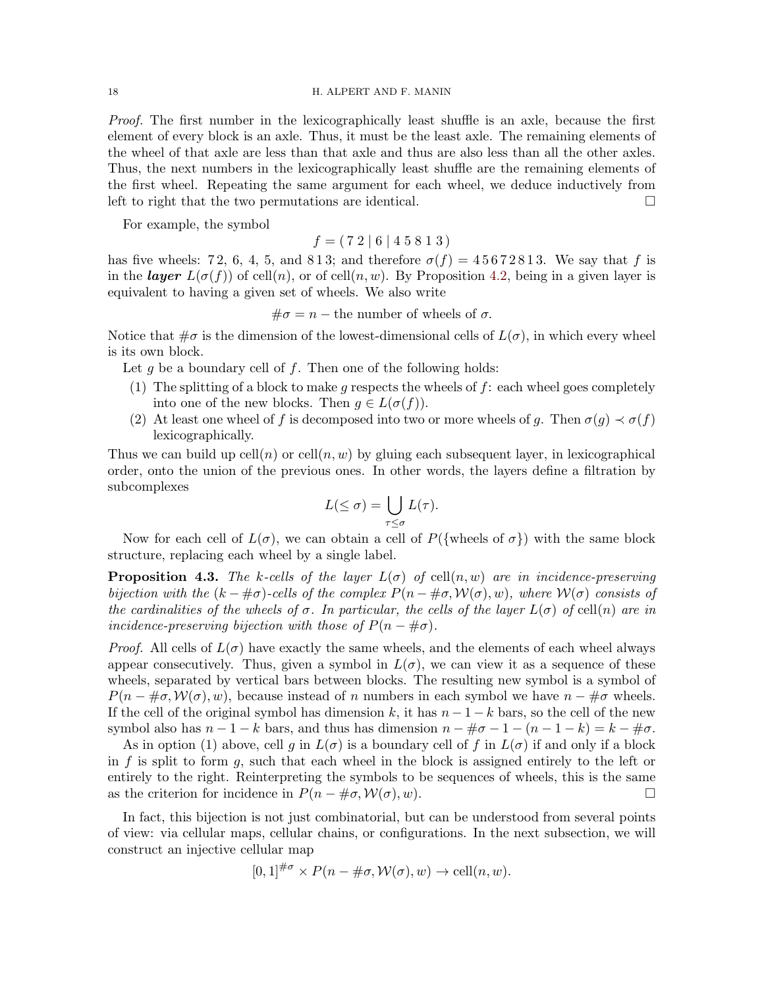Proof. The first number in the lexicographically least shuffle is an axle, because the first element of every block is an axle. Thus, it must be the least axle. The remaining elements of the wheel of that axle are less than that axle and thus are also less than all the other axles. Thus, the next numbers in the lexicographically least shuffle are the remaining elements of the first wheel. Repeating the same argument for each wheel, we deduce inductively from left to right that the two permutations are identical.  $\Box$ 

For example, the symbol

 $f = (72 | 6 | 4 5 8 1 3)$ 

has five wheels: 72, 6, 4, 5, and 813; and therefore  $\sigma(f) = 45672813$ . We say that f is in the **layer**  $L(\sigma(f))$  of cell(n), or of cell(n, w). By Proposition [4.2,](#page-16-1) being in a given layer is equivalent to having a given set of wheels. We also write

 $\#\sigma = n$  – the number of wheels of  $\sigma$ .

Notice that  $\#\sigma$  is the dimension of the lowest-dimensional cells of  $L(\sigma)$ , in which every wheel is its own block.

Let g be a boundary cell of f. Then one of the following holds:

- (1) The splitting of a block to make q respects the wheels of  $f$ : each wheel goes completely into one of the new blocks. Then  $g \in L(\sigma(f))$ .
- (2) At least one wheel of f is decomposed into two or more wheels of g. Then  $\sigma(g) \prec \sigma(f)$ lexicographically.

Thus we can build up  $\text{cell}(n)$  or  $\text{cell}(n, w)$  by gluing each subsequent layer, in lexicographical order, onto the union of the previous ones. In other words, the layers define a filtration by subcomplexes

$$
L(\leq \sigma) = \bigcup_{\tau \leq \sigma} L(\tau).
$$

Now for each cell of  $L(\sigma)$ , we can obtain a cell of  $P({\text{wheels of }\sigma})$  with the same block structure, replacing each wheel by a single label.

**Proposition 4.3.** The k-cells of the layer  $L(\sigma)$  of cell $(n, w)$  are in incidence-preserving bijection with the  $(k - \# \sigma)$ -cells of the complex  $P(n - \# \sigma, \mathcal{W}(\sigma), w)$ , where  $\mathcal{W}(\sigma)$  consists of the cardinalities of the wheels of  $\sigma$ . In particular, the cells of the layer  $L(\sigma)$  of cell(n) are in incidence-preserving bijection with those of  $P(n - \# \sigma)$ .

*Proof.* All cells of  $L(\sigma)$  have exactly the same wheels, and the elements of each wheel always appear consecutively. Thus, given a symbol in  $L(\sigma)$ , we can view it as a sequence of these wheels, separated by vertical bars between blocks. The resulting new symbol is a symbol of  $P(n - \# \sigma, \mathcal{W}(\sigma), w)$ , because instead of n numbers in each symbol we have  $n - \# \sigma$  wheels. If the cell of the original symbol has dimension k, it has  $n-1-k$  bars, so the cell of the new symbol also has  $n-1-k$  bars, and thus has dimension  $n-\#\sigma-1-(n-1-k)=k-\#\sigma$ .

As in option (1) above, cell g in  $L(\sigma)$  is a boundary cell of f in  $L(\sigma)$  if and only if a block in  $f$  is split to form  $g$ , such that each wheel in the block is assigned entirely to the left or entirely to the right. Reinterpreting the symbols to be sequences of wheels, this is the same as the criterion for incidence in  $P(n - \text{\#}\sigma, \mathcal{W}(\sigma), w)$ .

In fact, this bijection is not just combinatorial, but can be understood from several points of view: via cellular maps, cellular chains, or configurations. In the next subsection, we will construct an injective cellular map

$$
[0,1]^{\#\sigma} \times P(n - \#\sigma, \mathcal{W}(\sigma), w) \to \text{cell}(n, w).
$$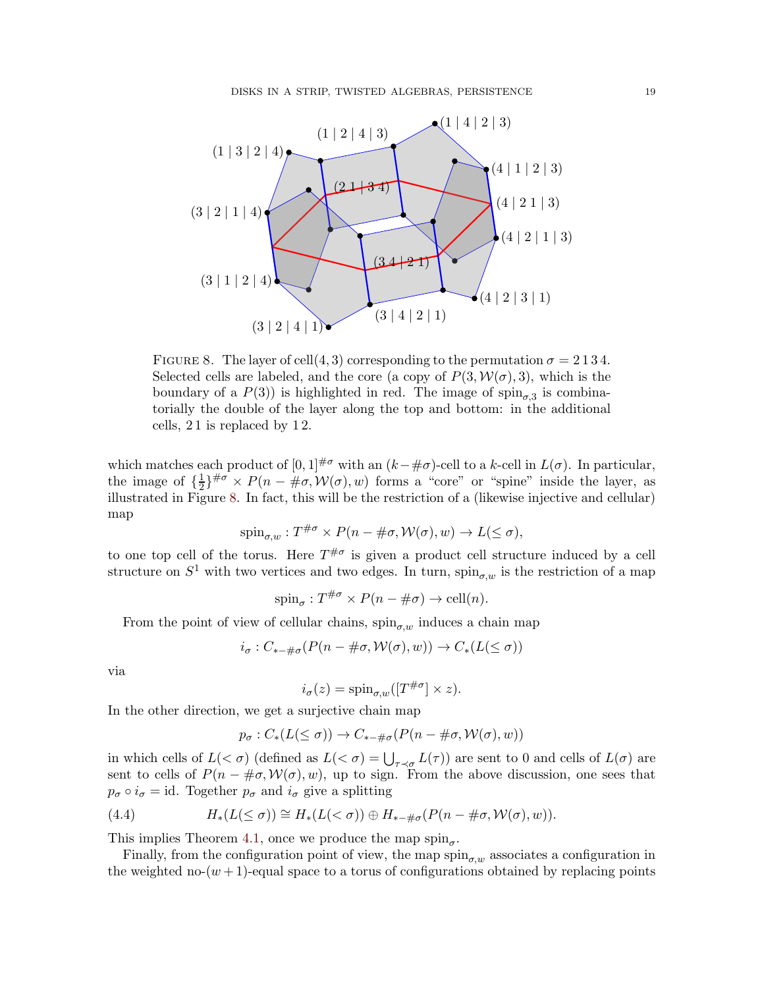<span id="page-18-0"></span>

FIGURE 8. The layer of cell $(4,3)$  corresponding to the permutation  $\sigma = 2134$ . Selected cells are labeled, and the core (a copy of  $P(3, W(\sigma), 3)$ , which is the boundary of a  $P(3)$  is highlighted in red. The image of  $\text{spin}_{\sigma,3}$  is combinatorially the double of the layer along the top and bottom: in the additional cells, 2 1 is replaced by 1 2.

which matches each product of  $[0,1]^{H\sigma}$  with an  $(k-\text{\#}\sigma)$ -cell to a k-cell in  $L(\sigma)$ . In particular, the image of  $\{\frac{1}{2}\}$  $\frac{1}{2}\}^{\# \sigma} \times P(n - \text{#}\sigma, \mathcal{W}(\sigma), w)$  forms a "core" or "spine" inside the layer, as illustrated in Figure [8.](#page-18-0) In fact, this will be the restriction of a (likewise injective and cellular) map

$$
spin_{\sigma,w}: T^{\#\sigma} \times P(n - \#\sigma, \mathcal{W}(\sigma), w) \to L(\leq \sigma),
$$

to one top cell of the torus. Here  $T^{\# \sigma}$  is given a product cell structure induced by a cell structure on  $S^1$  with two vertices and two edges. In turn,  $\text{spin}_{\sigma,w}$  is the restriction of a map

$$
spin_{\sigma}: T^{\#\sigma} \times P(n - \#\sigma) \to \text{cell}(n).
$$

From the point of view of cellular chains,  $\sin_{\sigma,w}$  induces a chain map

$$
i_{\sigma}: C_{*-\#\sigma}(P(n-\#\sigma, \mathcal{W}(\sigma), w)) \to C_*(L(\leq \sigma))
$$

via

$$
i_{\sigma}(z) = \text{spin}_{\sigma,w}([T^{\# \sigma}] \times z).
$$

In the other direction, we get a surjective chain map

$$
p_{\sigma}: C_*(L(\leq \sigma)) \to C_{*-\#\sigma}(P(n-\#\sigma, \mathcal{W}(\sigma), w))
$$

in which cells of  $L( $\sigma$ )$  (defined as  $L( $\sigma$ ) = \bigcup_{\tau \prec \sigma} L(\tau)$ ) are sent to 0 and cells of  $L(\sigma)$  are sent to cells of  $P(n - \#\sigma, \mathcal{W}(\sigma), w)$ , up to sign. From the above discussion, one sees that  $p_{\sigma} \circ i_{\sigma} = id$ . Together  $p_{\sigma}$  and  $i_{\sigma}$  give a splitting

(4.4) 
$$
H_*(L(\leq \sigma)) \cong H_*(L(<\sigma)) \oplus H_{*-\#\sigma}(P(n-\#\sigma, \mathcal{W}(\sigma), w)).
$$

This implies Theorem [4.1,](#page-16-2) once we produce the map  $\text{spin}_{\sigma}$ .

Finally, from the configuration point of view, the map  $\text{spin}_{\sigma,w}$  associates a configuration in the weighted no- $(w + 1)$ -equal space to a torus of configurations obtained by replacing points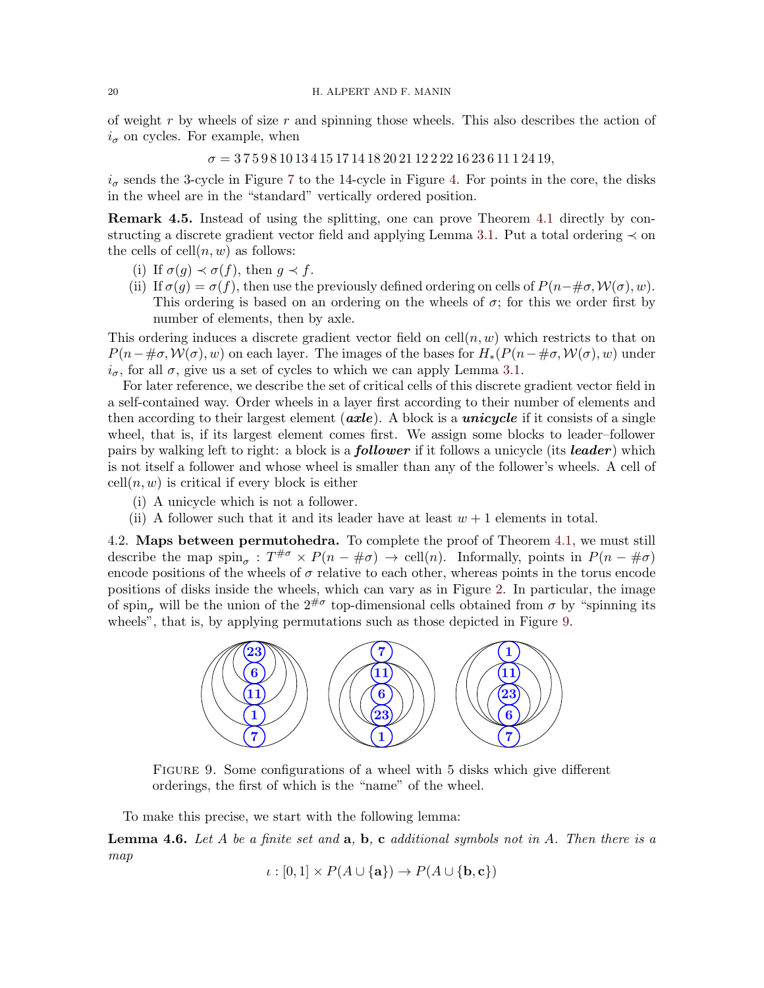of weight  $r$  by wheels of size  $r$  and spinning those wheels. This also describes the action of  $i_{\sigma}$  on cycles. For example, when

 $\sigma = 375981013415171418202112222162361112419,$ 

 $i_{\sigma}$  sends the 3-cycle in Figure [7](#page-14-0) to the 14-cycle in Figure [4.](#page-3-2) For points in the core, the disks in the wheel are in the "standard" vertically ordered position.

<span id="page-19-2"></span>Remark 4.5. Instead of using the splitting, one can prove Theorem [4.1](#page-16-2) directly by con-structing a discrete gradient vector field and applying Lemma [3.1.](#page-13-0) Put a total ordering  $\prec$  on the cells of  $\text{cell}(n, w)$  as follows:

- (i) If  $\sigma(q) \prec \sigma(f)$ , then  $q \prec f$ .
- (ii) If  $\sigma(g) = \sigma(f)$ , then use the previously defined ordering on cells of  $P(n-\#\sigma, \mathcal{W}(\sigma), w)$ . This ordering is based on an ordering on the wheels of  $\sigma$ ; for this we order first by number of elements, then by axle.

This ordering induces a discrete gradient vector field on cell $(n, w)$  which restricts to that on  $P(n-\text{\#}\sigma,\mathcal{W}(\sigma),w)$  on each layer. The images of the bases for  $H_*(P(n-\text{\#}\sigma,\mathcal{W}(\sigma),w))$  under  $i_{\sigma}$ , for all  $\sigma$ , give us a set of cycles to which we can apply Lemma [3.1.](#page-13-0)

For later reference, we describe the set of critical cells of this discrete gradient vector field in a self-contained way. Order wheels in a layer first according to their number of elements and then according to their largest element ( $\alpha x \leq e$ ). A block is a *unicycle* if it consists of a single wheel, that is, if its largest element comes first. We assign some blocks to leader–follower pairs by walking left to right: a block is a **follower** if it follows a unicycle (its **leader**) which is not itself a follower and whose wheel is smaller than any of the follower's wheels. A cell of  $cell(n, w)$  is critical if every block is either

- (i) A unicycle which is not a follower.
- (ii) A follower such that it and its leader have at least  $w + 1$  elements in total.

4.2. Maps between permutohedra. To complete the proof of Theorem [4.1,](#page-16-2) we must still describe the map  $\text{spin}_{\sigma}: T^{\#\sigma} \times P(n - \#\sigma) \to \text{cell}(n)$ . Informally, points in  $P(n - \#\sigma)$ encode positions of the wheels of  $\sigma$  relative to each other, whereas points in the torus encode positions of disks inside the wheels, which can vary as in Figure [2.](#page-2-0) In particular, the image of spin<sub>σ</sub> will be the union of the  $2^{\# \sigma}$  top-dimensional cells obtained from  $\sigma$  by "spinning its wheels", that is, by applying permutations such as those depicted in Figure [9.](#page-19-0)

<span id="page-19-0"></span>

Figure 9. Some configurations of a wheel with 5 disks which give different orderings, the first of which is the "name" of the wheel.

To make this precise, we start with the following lemma:

<span id="page-19-1"></span>**Lemma 4.6.** Let A be a finite set and  $a, b, c$  additional symbols not in A. Then there is a map

$$
\iota : [0,1] \times P(A \cup \{a\}) \to P(A \cup \{b,c\})
$$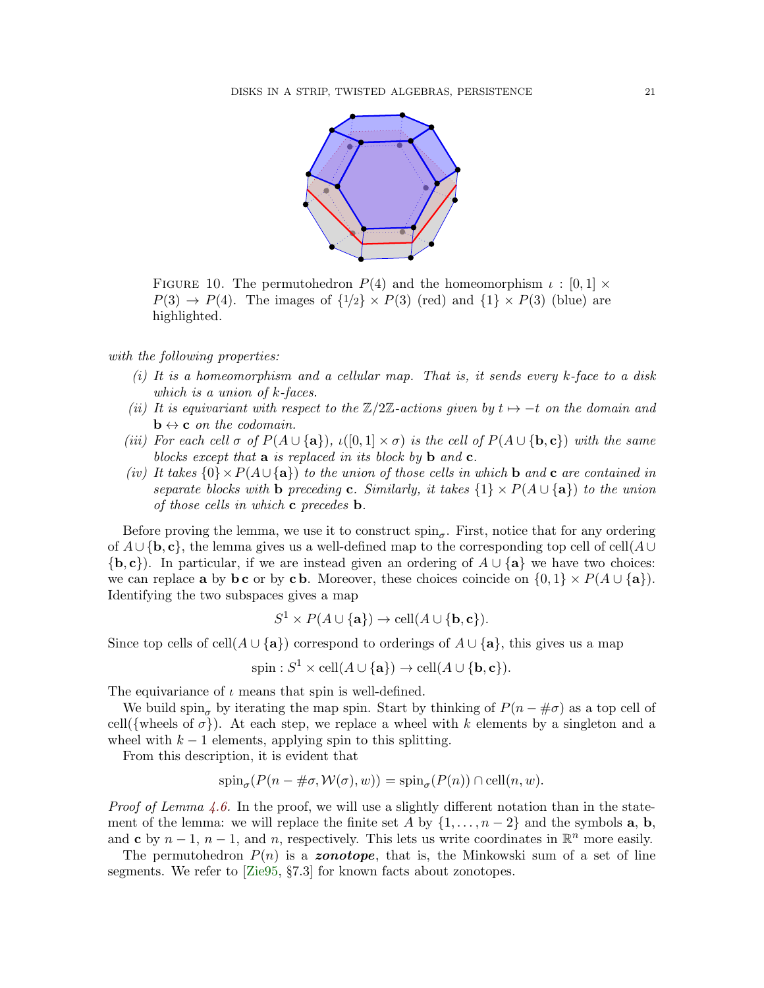

FIGURE 10. The permutohedron  $P(4)$  and the homeomorphism  $\iota : [0,1] \times$  $P(3) \rightarrow P(4)$ . The images of  $\{1/2\} \times P(3)$  (red) and  $\{1\} \times P(3)$  (blue) are highlighted.

## with the following properties:

- $(i)$  It is a homeomorphism and a cellular map. That is, it sends every  $k$ -face to a disk which is a union of k-faces.
- (ii) It is equivariant with respect to the  $\mathbb{Z}/2\mathbb{Z}$ -actions given by  $t \mapsto -t$  on the domain and  $\mathbf{b} \leftrightarrow \mathbf{c}$  on the codomain.
- (iii) For each cell  $\sigma$  of  $P(A \cup \{a\})$ ,  $\iota([0,1] \times \sigma)$  is the cell of  $P(A \cup \{b,c\})$  with the same blocks except that  $\bf{a}$  is replaced in its block by  $\bf{b}$  and  $\bf{c}$ .
- (iv) It takes  ${0 \times P(A \cup \{a\})}$  to the union of those cells in which b and c are contained in separate blocks with b preceding c. Similarly, it takes  $\{1\} \times P(A \cup \{a\})$  to the union of those cells in which  $c$  precedes  $b$ .

Before proving the lemma, we use it to construct  $\text{spin}_{\sigma}$ . First, notice that for any ordering of  $A \cup \{b, c\}$ , the lemma gives us a well-defined map to the corresponding top cell of cell $(A \cup$  ${b, c}$ . In particular, if we are instead given an ordering of  $A \cup \{a\}$  we have two choices: we can replace **a** by **bc** or by **c b**. Moreover, these choices coincide on  $\{0, 1\} \times P(A \cup \{a\})$ . Identifying the two subspaces gives a map

$$
S^1 \times P(A \cup \{a\}) \to \text{cell}(A \cup \{b, c\}).
$$

Since top cells of cell(A ∪ {a}) correspond to orderings of  $A \cup \{a\}$ , this gives us a map

$$
\text{spin}: S^1 \times \text{cell}(A \cup \{\mathbf{a}\}) \to \text{cell}(A \cup \{\mathbf{b}, \mathbf{c}\}).
$$

The equivariance of  $\iota$  means that spin is well-defined.

We build spin<sub>σ</sub> by iterating the map spin. Start by thinking of  $P(n - \# \sigma)$  as a top cell of cell({wheels of  $\sigma$ }). At each step, we replace a wheel with k elements by a singleton and a wheel with  $k - 1$  elements, applying spin to this splitting.

From this description, it is evident that

$$
\operatorname{spin}_{\sigma}(P(n - \#\sigma, \mathcal{W}(\sigma), w)) = \operatorname{spin}_{\sigma}(P(n)) \cap \operatorname{cell}(n, w).
$$

*Proof of Lemma [4.6.](#page-19-1)* In the proof, we will use a slightly different notation than in the statement of the lemma: we will replace the finite set A by  $\{1, \ldots, n-2\}$  and the symbols **a**, **b**, and c by  $n-1$ ,  $n-1$ , and n, respectively. This lets us write coordinates in  $\mathbb{R}^n$  more easily.

The permutohedron  $P(n)$  is a zonotope, that is, the Minkowski sum of a set of line segments. We refer to [\[Zie95,](#page-48-8) §7.3] for known facts about zonotopes.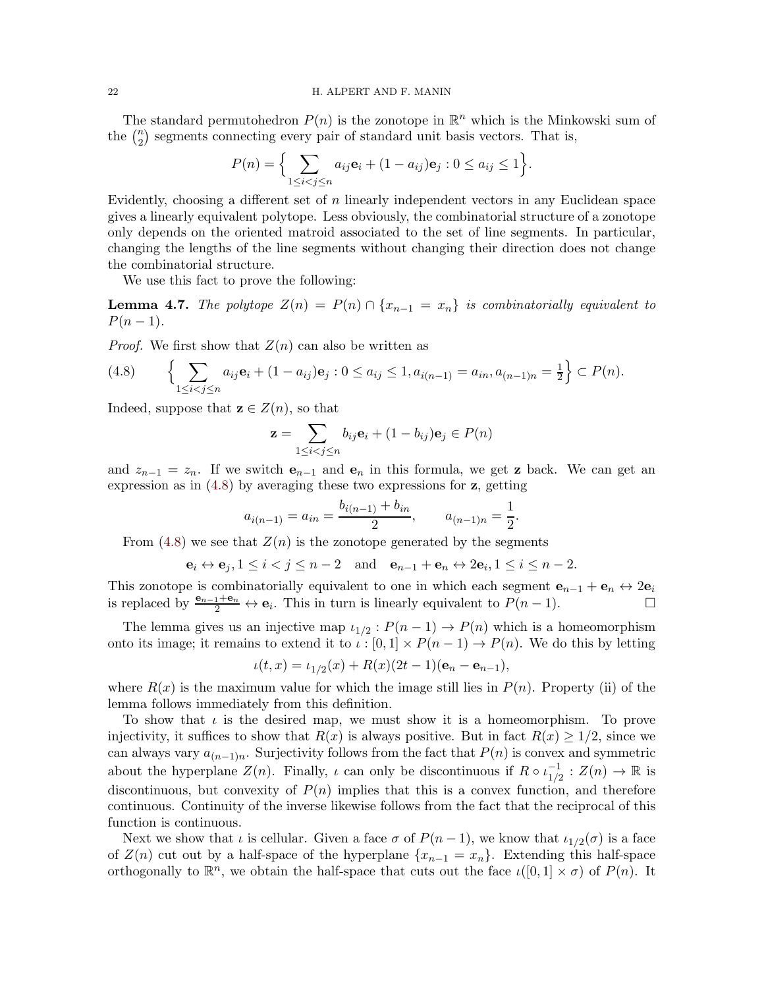The standard permutohedron  $P(n)$  is the zonotope in  $\mathbb{R}^n$  which is the Minkowski sum of the  $\binom{n}{2}$  $n_2$ ) segments connecting every pair of standard unit basis vectors. That is,

$$
P(n) = \Big\{ \sum_{1 \le i < j \le n} a_{ij} \mathbf{e}_i + (1 - a_{ij}) \mathbf{e}_j : 0 \le a_{ij} \le 1 \Big\}.
$$

Evidently, choosing a different set of  $n$  linearly independent vectors in any Euclidean space gives a linearly equivalent polytope. Less obviously, the combinatorial structure of a zonotope only depends on the oriented matroid associated to the set of line segments. In particular, changing the lengths of the line segments without changing their direction does not change the combinatorial structure.

We use this fact to prove the following:

<span id="page-21-1"></span>**Lemma 4.7.** The polytope  $Z(n) = P(n) \cap \{x_{n-1} = x_n\}$  is combinatorially equivalent to  $P(n-1)$ .

*Proof.* We first show that  $Z(n)$  can also be written as

<span id="page-21-0"></span>
$$
(4.8) \qquad \left\{ \sum_{1 \leq i < j \leq n} a_{ij} \mathbf{e}_i + (1 - a_{ij}) \mathbf{e}_j : 0 \leq a_{ij} \leq 1, a_{i(n-1)} = a_{in}, a_{(n-1)n} = \frac{1}{2} \right\} \subset P(n).
$$

Indeed, suppose that  $z \in Z(n)$ , so that

$$
\mathbf{z} = \sum_{1 \le i < j \le n} b_{ij} \mathbf{e}_i + (1 - b_{ij}) \mathbf{e}_j \in P(n)
$$

and  $z_{n-1} = z_n$ . If we switch  $e_{n-1}$  and  $e_n$  in this formula, we get **z** back. We can get an expression as in  $(4.8)$  by averaging these two expressions for  $z$ , getting

$$
a_{i(n-1)} = a_{in} = \frac{b_{i(n-1)} + b_{in}}{2}, \qquad a_{(n-1)n} = \frac{1}{2}.
$$

From  $(4.8)$  we see that  $Z(n)$  is the zonotope generated by the segments

$$
\mathbf{e}_i \leftrightarrow \mathbf{e}_j, 1 \leq i < j \leq n-2
$$
 and  $\mathbf{e}_{n-1} + \mathbf{e}_n \leftrightarrow 2\mathbf{e}_i, 1 \leq i \leq n-2$ .

This zonotope is combinatorially equivalent to one in which each segment  $e_{n-1} + e_n \leftrightarrow 2e_i$ is replaced by  $\frac{e_{n-1}+e_n}{2} \leftrightarrow e_i$ . This in turn is linearly equivalent to  $P(n-1)$ .  $\Box$ 

The lemma gives us an injective map  $\iota_{1/2}: P(n-1) \to P(n)$  which is a homeomorphism onto its image; it remains to extend it to  $\iota : [0,1] \times P(n-1) \to P(n)$ . We do this by letting

$$
\iota(t,x) = \iota_{1/2}(x) + R(x)(2t-1)(\mathbf{e}_n - \mathbf{e}_{n-1}),
$$

where  $R(x)$  is the maximum value for which the image still lies in  $P(n)$ . Property (ii) of the lemma follows immediately from this definition.

To show that  $\iota$  is the desired map, we must show it is a homeomorphism. To prove injectivity, it suffices to show that  $R(x)$  is always positive. But in fact  $R(x) \geq 1/2$ , since we can always vary  $a_{(n-1)n}$ . Surjectivity follows from the fact that  $P(n)$  is convex and symmetric about the hyperplane  $Z(n)$ . Finally,  $\iota$  can only be discontinuous if  $R \circ \iota_{1/2}^{-1}$  $\frac{-1}{1/2} : Z(n) \to \mathbb{R}$  is discontinuous, but convexity of  $P(n)$  implies that this is a convex function, and therefore continuous. Continuity of the inverse likewise follows from the fact that the reciprocal of this function is continuous.

Next we show that  $\iota$  is cellular. Given a face  $\sigma$  of  $P(n-1)$ , we know that  $\iota_{1/2}(\sigma)$  is a face of  $Z(n)$  cut out by a half-space of the hyperplane  $\{x_{n-1} = x_n\}$ . Extending this half-space orthogonally to  $\mathbb{R}^n$ , we obtain the half-space that cuts out the face  $\iota([0,1] \times \sigma)$  of  $P(n)$ . It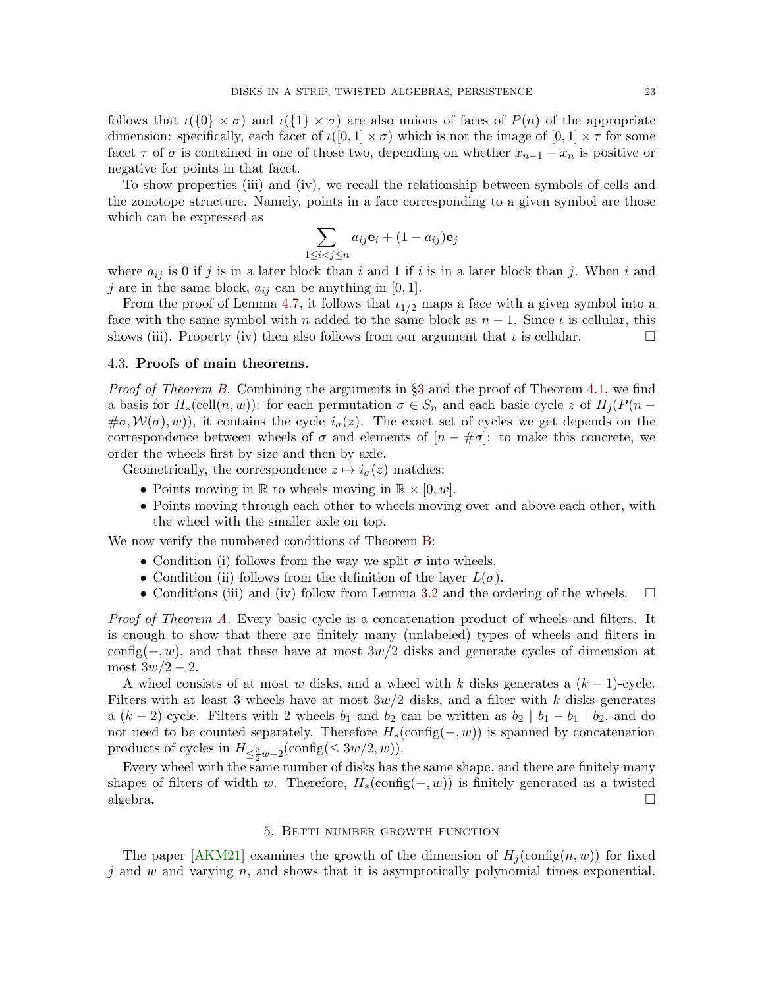follows that  $\iota(\{0\}\times\sigma)$  and  $\iota(\{1\}\times\sigma)$  are also unions of faces of  $P(n)$  of the appropriate dimension: specifically, each facet of  $\iota([0,1] \times \sigma)$  which is not the image of  $[0,1] \times \tau$  for some facet  $\tau$  of  $\sigma$  is contained in one of those two, depending on whether  $x_{n-1} - x_n$  is positive or negative for points in that facet.

To show properties (iii) and (iv), we recall the relationship between symbols of cells and the zonotope structure. Namely, points in a face corresponding to a given symbol are those which can be expressed as

$$
\sum_{1 \le i < j \le n} a_{ij} \mathbf{e}_i + (1 - a_{ij}) \mathbf{e}_j
$$

where  $a_{ij}$  is 0 if j is in a later block than i and 1 if i is in a later block than j. When i and j are in the same block,  $a_{ij}$  can be anything in [0, 1].

From the proof of Lemma [4.7,](#page-21-1) it follows that  $\iota_{1/2}$  maps a face with a given symbol into a face with the same symbol with n added to the same block as  $n-1$ . Since  $\iota$  is cellular, this shows (iii). Property (iv) then also follows from our argument that  $\iota$  is cellular.

# 4.3. Proofs of main theorems.

Proof of Theorem [B.](#page-3-0) Combining the arguments in §[3](#page-11-0) and the proof of Theorem [4.1,](#page-16-2) we find a basis for  $H_*(\text{cell}(n, w))$ : for each permutation  $\sigma \in S_n$  and each basic cycle z of  $H_j(P(n \#\sigma, \mathcal{W}(\sigma), w)$ , it contains the cycle  $i_{\sigma}(z)$ . The exact set of cycles we get depends on the correspondence between wheels of  $\sigma$  and elements of  $[n - \# \sigma]$ : to make this concrete, we order the wheels first by size and then by axle.

Geometrically, the correspondence  $z \mapsto i_{\sigma}(z)$  matches:

- Points moving in  $\mathbb R$  to wheels moving in  $\mathbb R \times [0, w]$ .
- Points moving through each other to wheels moving over and above each other, with the wheel with the smaller axle on top.

We now verify the numbered conditions of Theorem [B:](#page-3-0)

- Condition (i) follows from the way we split  $\sigma$  into wheels.
- Condition (ii) follows from the definition of the layer  $L(\sigma)$ .
- Conditions (iii) and (iv) follow from Lemma [3.2](#page-14-1) and the ordering of the wheels.  $\square$

Proof of Theorem [A.](#page-1-1) Every basic cycle is a concatenation product of wheels and filters. It is enough to show that there are finitely many (unlabeled) types of wheels and filters in config( $-, w$ ), and that these have at most  $3w/2$  disks and generate cycles of dimension at most  $3w/2 - 2$ .

A wheel consists of at most w disks, and a wheel with k disks generates a  $(k-1)$ -cycle. Filters with at least 3 wheels have at most  $3w/2$  disks, and a filter with k disks generates a  $(k-2)$ -cycle. Filters with 2 wheels  $b_1$  and  $b_2$  can be written as  $b_2 \mid b_1 - b_1 \mid b_2$ , and do not need to be counted separately. Therefore  $H_*(\text{config}(-, w))$  is spanned by concatenation products of cycles in  $H_{\leq \frac{3}{2}w-2}(\text{config}(\leq 3w/2, w)).$ 

Every wheel with the same number of disks has the same shape, and there are finitely many shapes of filters of width w. Therefore,  $H_*(\text{config}(-, w))$  is finitely generated as a twisted algebra.  $\square$ 

## 5. Betti number growth function

<span id="page-22-0"></span>The paper [\[AKM21\]](#page-44-4) examines the growth of the dimension of  $H_i(\text{config}(n, w))$  for fixed j and w and varying n, and shows that it is asymptotically polynomial times exponential.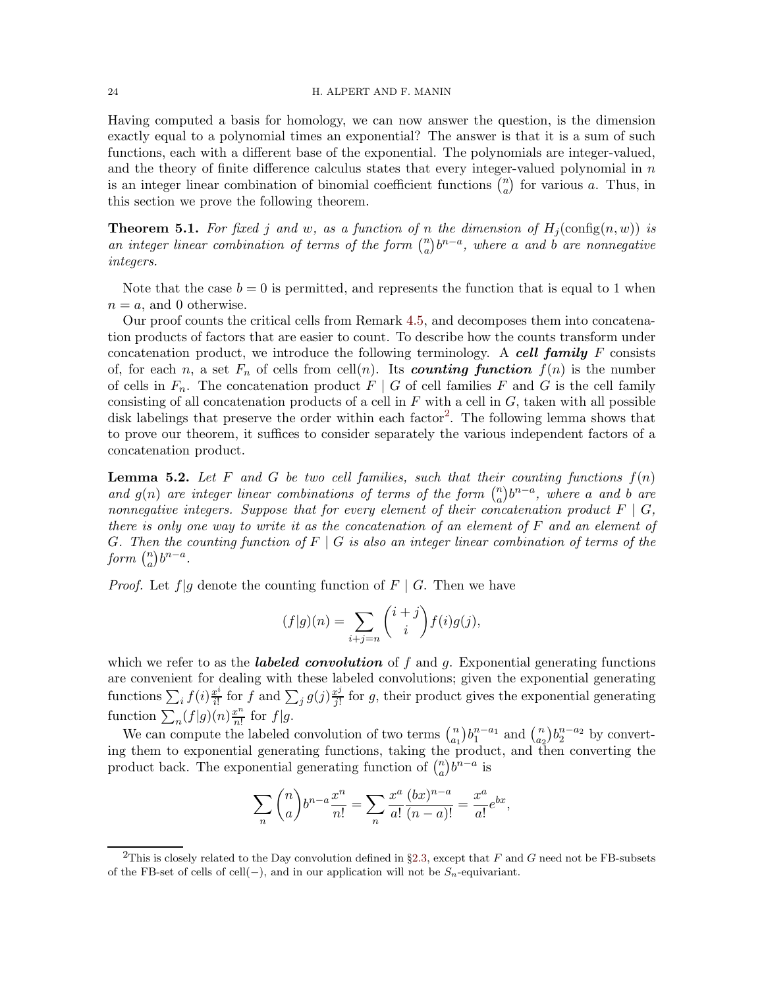#### 24 H. ALPERT AND F. MANIN

Having computed a basis for homology, we can now answer the question, is the dimension exactly equal to a polynomial times an exponential? The answer is that it is a sum of such functions, each with a different base of the exponential. The polynomials are integer-valued, and the theory of finite difference calculus states that every integer-valued polynomial in  $n$ is an integer linear combination of binomial coefficient functions  $\binom{n}{a}$  $\binom{n}{a}$  for various a. Thus, in this section we prove the following theorem.

<span id="page-23-1"></span>**Theorem 5.1.** For fixed j and w, as a function of n the dimension of  $H_i(\text{config}(n, w))$  is an integer linear combination of terms of the form  $\binom{n}{q}$  $\binom{n}{a}b^{n-a},$  where a and  $b$  are nonnegative integers.

Note that the case  $b = 0$  is permitted, and represents the function that is equal to 1 when  $n = a$ , and 0 otherwise.

Our proof counts the critical cells from Remark [4.5,](#page-19-2) and decomposes them into concatenation products of factors that are easier to count. To describe how the counts transform under concatenation product, we introduce the following terminology. A cell family  $F$  consists of, for each n, a set  $F_n$  of cells from cell(n). Its **counting function**  $f(n)$  is the number of cells in  $F_n$ . The concatenation product  $F | G$  of cell families F and G is the cell family consisting of all concatenation products of a cell in  $F$  with a cell in  $G$ , taken with all possible disk labelings that preserve the order within each factor<sup>[2](#page-23-0)</sup>. The following lemma shows that to prove our theorem, it suffices to consider separately the various independent factors of a concatenation product.

<span id="page-23-2"></span>**Lemma 5.2.** Let F and G be two cell families, such that their counting functions  $f(n)$ and  $g(n)$  are integer linear combinations of terms of the form  $\binom{n}{q}$  $\binom{n}{a}b^{n-a}$ , where a and b are nonnegative integers. Suppose that for every element of their concatenation product  $F \mid G$ , there is only one way to write it as the concatenation of an element of F and an element of G. Then the counting function of  $F \mid G$  is also an integer linear combination of terms of the form  $\binom{n}{a}$  ${n \choose a} b^{n-a}.$ 

*Proof.* Let  $f|g$  denote the counting function of  $F | G$ . Then we have

$$
(f|g)(n) = \sum_{i+j=n} {i+j \choose i} f(i)g(j),
$$

which we refer to as the **labeled convolution** of f and g. Exponential generating functions are convenient for dealing with these labeled convolutions; given the exponential generating functions  $\sum_i f(i) \frac{x^i}{i!}$  $\frac{x^i}{i!}$  for f and  $\sum_j g(j) \frac{x^j}{j!}$  $\frac{v^j}{j!}$  for g, their product gives the exponential generating function  $\sum_{n} (f|g)(n) \frac{x^n}{n!}$  $rac{x^n}{n!}$  for  $f|g$ .

We can compute the labeled convolution of two terms  $\binom{n}{a}$  ${n \choose a_1} b_1^{n-a_1}$  and  ${n \choose a_2}$  $\binom{n}{a_2} b_2^{n-a_2}$  by converting them to exponential generating functions, taking the product, and then converting the product back. The exponential generating function of  $\binom{n}{a}$  ${n \choose a} b^{n-a}$  is

$$
\sum_{n} {n \choose a} b^{n-a} \frac{x^n}{n!} = \sum_{n} \frac{x^a}{a!} \frac{(bx)^{n-a}}{(n-a)!} = \frac{x^a}{a!} e^{bx},
$$

<span id="page-23-0"></span><sup>&</sup>lt;sup>2</sup>This is closely related to the Day convolution defined in §[2.3,](#page-9-0) except that F and G need not be FB-subsets of the FB-set of cells of cell(−), and in our application will not be  $S_n$ -equivariant.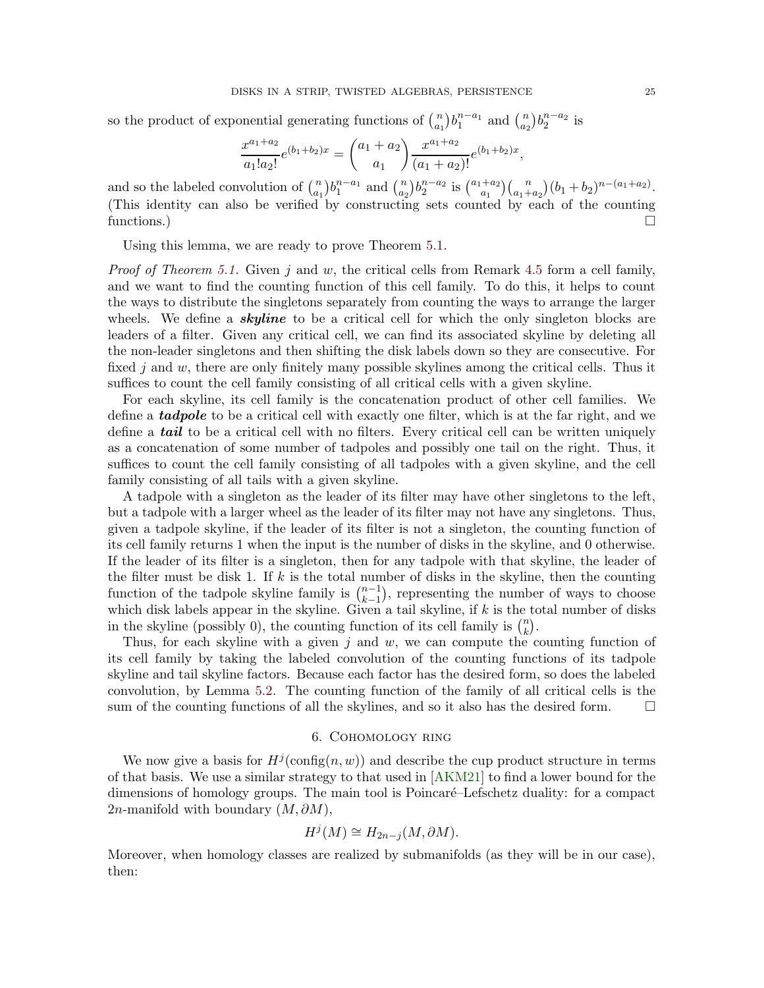so the product of exponential generating functions of  $\binom{n}{a}$  ${n \choose a_1} b_1^{n-a_1}$  and  ${n \choose a_2}$  ${n \choose a_2} b_2^{n-a_2}$  is

$$
\frac{x^{a_1+a_2}}{a_1!a_2!}e^{(b_1+b_2)x} = \binom{a_1+a_2}{a_1} \frac{x^{a_1+a_2}}{(a_1+a_2)!}e^{(b_1+b_2)x}
$$

and so the labeled convolution of  $\binom{n}{a}$  ${n \choose a_1} b_1^{n-a_1}$  and  ${n \choose a_2}$  $\binom{n}{a_2} b_2^{n-a_2}$  is  $\binom{a_1+a_2}{a_1}$  $a_1^{+a_2}$  $\binom{n}{a_1+a_2}$  $(b_1+b_2)^{n-(a_1+a_2)}$ . (This identity can also be verified by constructing sets counted by each of the counting functions.)

Using this lemma, we are ready to prove Theorem [5.1.](#page-23-1)

*Proof of Theorem [5.1.](#page-23-1)* Given j and w, the critical cells from Remark [4.5](#page-19-2) form a cell family, and we want to find the counting function of this cell family. To do this, it helps to count the ways to distribute the singletons separately from counting the ways to arrange the larger wheels. We define a **skyline** to be a critical cell for which the only singleton blocks are leaders of a filter. Given any critical cell, we can find its associated skyline by deleting all the non-leader singletons and then shifting the disk labels down so they are consecutive. For fixed j and w, there are only finitely many possible skylines among the critical cells. Thus it suffices to count the cell family consisting of all critical cells with a given skyline.

For each skyline, its cell family is the concatenation product of other cell families. We define a **tadpole** to be a critical cell with exactly one filter, which is at the far right, and we define a **tail** to be a critical cell with no filters. Every critical cell can be written uniquely as a concatenation of some number of tadpoles and possibly one tail on the right. Thus, it suffices to count the cell family consisting of all tadpoles with a given skyline, and the cell family consisting of all tails with a given skyline.

A tadpole with a singleton as the leader of its filter may have other singletons to the left, but a tadpole with a larger wheel as the leader of its filter may not have any singletons. Thus, given a tadpole skyline, if the leader of its filter is not a singleton, the counting function of its cell family returns 1 when the input is the number of disks in the skyline, and 0 otherwise. If the leader of its filter is a singleton, then for any tadpole with that skyline, the leader of the filter must be disk 1. If  $k$  is the total number of disks in the skyline, then the counting function of the tadpole skyline family is  $\binom{n-1}{k-1}$  $\binom{n-1}{k-1}$ , representing the number of ways to choose which disk labels appear in the skyline. Given a tail skyline, if  $k$  is the total number of disks in the skyline (possibly 0), the counting function of its cell family is  $\binom{n}{k}$  $\binom{n}{k}$ .

Thus, for each skyline with a given  $j$  and  $w$ , we can compute the counting function of its cell family by taking the labeled convolution of the counting functions of its tadpole skyline and tail skyline factors. Because each factor has the desired form, so does the labeled convolution, by Lemma [5.2.](#page-23-2) The counting function of the family of all critical cells is the sum of the counting functions of all the skylines, and so it also has the desired form.  $\Box$ 

## 6. Cohomology ring

<span id="page-24-0"></span>We now give a basis for  $H^j(\text{config}(n, w))$  and describe the cup product structure in terms of that basis. We use a similar strategy to that used in [\[AKM21\]](#page-44-4) to find a lower bound for the dimensions of homology groups. The main tool is Poincaré–Lefschetz duality: for a compact 2n-manifold with boundary  $(M, \partial M)$ ,

$$
H^j(M) \cong H_{2n-j}(M, \partial M).
$$

Moreover, when homology classes are realized by submanifolds (as they will be in our case), then:

,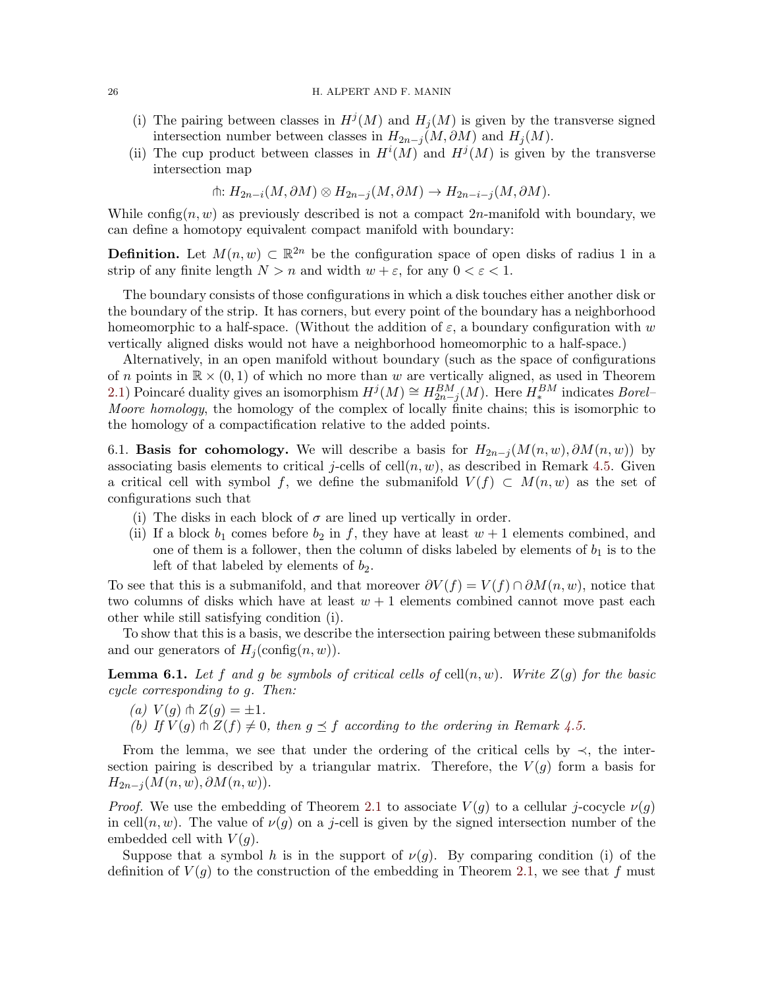#### 26 H. ALPERT AND F. MANIN

- (i) The pairing between classes in  $H^j(M)$  and  $H_j(M)$  is given by the transverse signed intersection number between classes in  $H_{2n-j}(M, \partial M)$  and  $H_j(M)$ .
- (ii) The cup product between classes in  $H^{i}(M)$  and  $H^{j}(M)$  is given by the transverse intersection map

$$
\text{th: } H_{2n-i}(M, \partial M) \otimes H_{2n-j}(M, \partial M) \to H_{2n-i-j}(M, \partial M).
$$

While config(n, w) as previously described is not a compact  $2n$ -manifold with boundary, we can define a homotopy equivalent compact manifold with boundary:

**Definition.** Let  $M(n, w) \subset \mathbb{R}^{2n}$  be the configuration space of open disks of radius 1 in a strip of any finite length  $N > n$  and width  $w + \varepsilon$ , for any  $0 < \varepsilon < 1$ .

The boundary consists of those configurations in which a disk touches either another disk or the boundary of the strip. It has corners, but every point of the boundary has a neighborhood homeomorphic to a half-space. (Without the addition of  $\varepsilon$ , a boundary configuration with w vertically aligned disks would not have a neighborhood homeomorphic to a half-space.)

Alternatively, in an open manifold without boundary (such as the space of configurations of n points in  $\mathbb{R} \times (0,1)$  of which no more than w are vertically aligned, as used in Theorem [2.1\)](#page-7-1) Poincaré duality gives an isomorphism  $H^j(M) \cong H^{BM}_{2n-j}(M)$ . Here  $H^{BM}_*$  indicates *Borel*– Moore homology, the homology of the complex of locally finite chains; this is isomorphic to the homology of a compactification relative to the added points.

<span id="page-25-0"></span>6.1. Basis for cohomology. We will describe a basis for  $H_{2n-j}(M(n, w), \partial M(n, w))$  by associating basis elements to critical j-cells of cell $(n, w)$ , as described in Remark [4.5.](#page-19-2) Given a critical cell with symbol f, we define the submanifold  $V(f) \subset M(n, w)$  as the set of configurations such that

- (i) The disks in each block of  $\sigma$  are lined up vertically in order.
- (ii) If a block  $b_1$  comes before  $b_2$  in f, they have at least  $w + 1$  elements combined, and one of them is a follower, then the column of disks labeled by elements of  $b_1$  is to the left of that labeled by elements of  $b_2$ .

To see that this is a submanifold, and that moreover  $\partial V(f) = V(f) \cap \partial M(n, w)$ , notice that two columns of disks which have at least  $w + 1$  elements combined cannot move past each other while still satisfying condition (i).

To show that this is a basis, we describe the intersection pairing between these submanifolds and our generators of  $H_i(\text{config}(n, w))$ .

**Lemma 6.1.** Let f and g be symbols of critical cells of cell $(n, w)$ . Write  $Z(q)$  for the basic cycle corresponding to g. Then:

(a) 
$$
V(g) \uparrow Z(g) = \pm 1
$$
.

(b) If  $V(g) \pitchfork Z(f) \neq 0$ , then  $g \preceq f$  according to the ordering in Remark [4.5.](#page-19-2)

From the lemma, we see that under the ordering of the critical cells by  $\prec$ , the intersection pairing is described by a triangular matrix. Therefore, the  $V(g)$  form a basis for  $H_{2n-j}(M(n, w), \partial M(n, w)).$ 

*Proof.* We use the embedding of Theorem [2.1](#page-7-1) to associate  $V(g)$  to a cellular j-cocycle  $\nu(g)$ in cell $(n, w)$ . The value of  $\nu(g)$  on a j-cell is given by the signed intersection number of the embedded cell with  $V(q)$ .

Suppose that a symbol h is in the support of  $\nu(g)$ . By comparing condition (i) of the definition of  $V(g)$  to the construction of the embedding in Theorem [2.1,](#page-7-1) we see that f must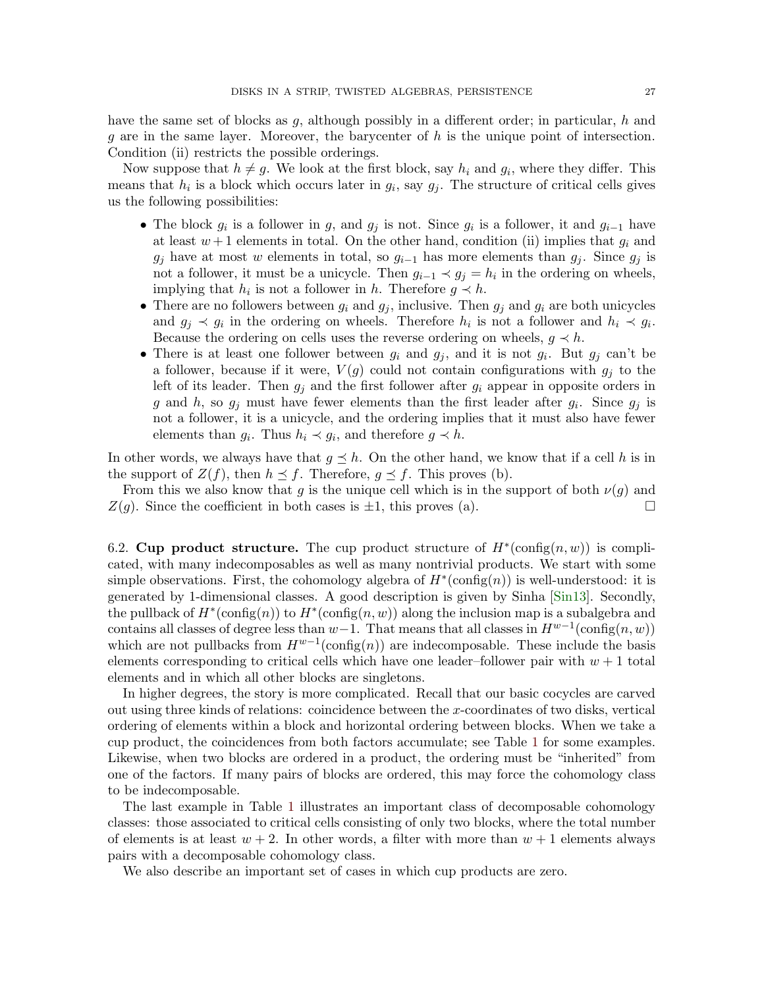have the same set of blocks as  $q$ , although possibly in a different order; in particular,  $h$  and  $g$  are in the same layer. Moreover, the barycenter of  $h$  is the unique point of intersection. Condition (ii) restricts the possible orderings.

Now suppose that  $h \neq g$ . We look at the first block, say  $h_i$  and  $g_i$ , where they differ. This means that  $h_i$  is a block which occurs later in  $g_i$ , say  $g_j$ . The structure of critical cells gives us the following possibilities:

- The block  $g_i$  is a follower in g, and  $g_j$  is not. Since  $g_i$  is a follower, it and  $g_{i-1}$  have at least  $w + 1$  elements in total. On the other hand, condition (ii) implies that  $g_i$  and  $g_i$  have at most w elements in total, so  $g_{i-1}$  has more elements than  $g_i$ . Since  $g_i$  is not a follower, it must be a unicycle. Then  $g_{i-1} \prec g_j = h_i$  in the ordering on wheels, implying that  $h_i$  is not a follower in h. Therefore  $g \prec h$ .
- There are no followers between  $g_i$  and  $g_j$ , inclusive. Then  $g_j$  and  $g_i$  are both unicycles and  $g_j \prec g_i$  in the ordering on wheels. Therefore  $h_i$  is not a follower and  $h_i \prec g_i$ . Because the ordering on cells uses the reverse ordering on wheels,  $q \prec h$ .
- There is at least one follower between  $g_i$  and  $g_j$ , and it is not  $g_i$ . But  $g_j$  can't be a follower, because if it were,  $V(g)$  could not contain configurations with  $g_i$  to the left of its leader. Then  $g_i$  and the first follower after  $g_i$  appear in opposite orders in g and h, so  $g_j$  must have fewer elements than the first leader after  $g_i$ . Since  $g_j$  is not a follower, it is a unicycle, and the ordering implies that it must also have fewer elements than  $g_i$ . Thus  $h_i \prec g_i$ , and therefore  $g \prec h$ .

In other words, we always have that  $g \preceq h$ . On the other hand, we know that if a cell h is in the support of  $Z(f)$ , then  $h \preceq f$ . Therefore,  $g \preceq f$ . This proves (b).

From this we also know that g is the unique cell which is in the support of both  $\nu(g)$  and  $Z(g)$ . Since the coefficient in both cases is  $\pm 1$ , this proves (a).

6.2. Cup product structure. The cup product structure of  $H^*(\text{config}(n, w))$  is complicated, with many indecomposables as well as many nontrivial products. We start with some simple observations. First, the cohomology algebra of  $H^*(\text{config}(n))$  is well-understood: it is generated by 1-dimensional classes. A good description is given by Sinha [\[Sin13\]](#page-48-0). Secondly, the pullback of  $H^*(\text{config}(n))$  to  $H^*(\text{config}(n,w))$  along the inclusion map is a subalgebra and contains all classes of degree less than  $w-1$ . That means that all classes in  $H^{w-1}(\text{config}(n, w))$ which are not pullbacks from  $H^{w-1}(\text{config}(n))$  are indecomposable. These include the basis elements corresponding to critical cells which have one leader–follower pair with  $w + 1$  total elements and in which all other blocks are singletons.

In higher degrees, the story is more complicated. Recall that our basic cocycles are carved out using three kinds of relations: coincidence between the x-coordinates of two disks, vertical ordering of elements within a block and horizontal ordering between blocks. When we take a cup product, the coincidences from both factors accumulate; see Table [1](#page-27-1) for some examples. Likewise, when two blocks are ordered in a product, the ordering must be "inherited" from one of the factors. If many pairs of blocks are ordered, this may force the cohomology class to be indecomposable.

The last example in Table [1](#page-27-1) illustrates an important class of decomposable cohomology classes: those associated to critical cells consisting of only two blocks, where the total number of elements is at least  $w + 2$ . In other words, a filter with more than  $w + 1$  elements always pairs with a decomposable cohomology class.

We also describe an important set of cases in which cup products are zero.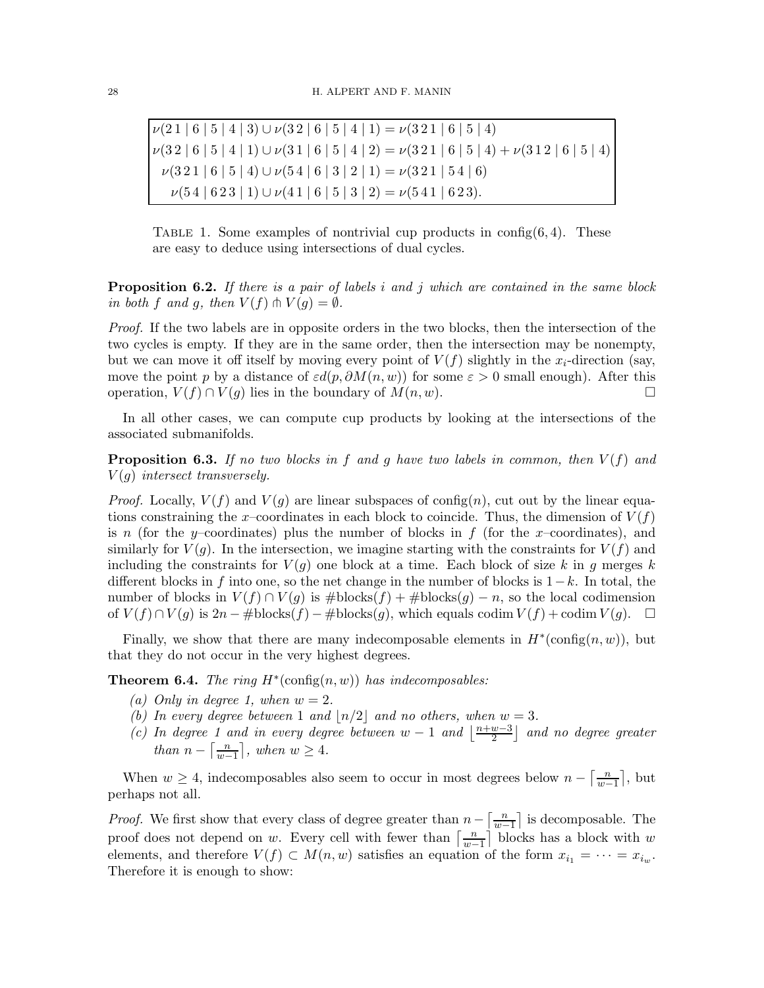<span id="page-27-1"></span> $\nu(21 \mid 6 \mid 5 \mid 4 \mid 3) \cup \nu(32 \mid 6 \mid 5 \mid 4 \mid 1) = \nu(321 \mid 6 \mid 5 \mid 4)$  $\nu(3\,2\mid 6\mid 5\mid 4\mid 1)\cup\nu(3\,1\mid 6\mid 5\mid 4\mid 2)=\nu(3\,2\,1\mid 6\mid 5\mid 4)+\nu(3\,1\,2\mid 6\mid 5\mid 4)$  $\nu(3\,2\,1\mid 6\mid 5\mid 4)\cup\nu(5\,4\mid 6\mid 3\mid 2\mid 1)=\nu(3\,2\,1\mid 5\,4\mid 6)$  $\nu(54 | 623 | 1) \cup \nu(41 | 6 | 5 | 3 | 2) = \nu(541 | 623).$ 

TABLE 1. Some examples of nontrivial cup products in config $(6, 4)$ . These are easy to deduce using intersections of dual cycles.

**Proposition 6.2.** If there is a pair of labels i and j which are contained in the same block in both f and g, then  $V(f) \pitchfork V(g) = \emptyset$ .

Proof. If the two labels are in opposite orders in the two blocks, then the intersection of the two cycles is empty. If they are in the same order, then the intersection may be nonempty, but we can move it off itself by moving every point of  $V(f)$  slightly in the  $x_i$ -direction (say, move the point p by a distance of  $\varepsilon d(p, \partial M(n, w))$  for some  $\varepsilon > 0$  small enough). After this operation,  $V(f) \cap V(g)$  lies in the boundary of  $M(n, w)$ . □

In all other cases, we can compute cup products by looking at the intersections of the associated submanifolds.

**Proposition 6.3.** If no two blocks in f and g have two labels in common, then  $V(f)$  and  $V(q)$  intersect transversely.

*Proof.* Locally,  $V(f)$  and  $V(g)$  are linear subspaces of config(n), cut out by the linear equations constraining the x-coordinates in each block to coincide. Thus, the dimension of  $V(f)$ is n (for the y–coordinates) plus the number of blocks in  $f$  (for the x–coordinates), and similarly for  $V(g)$ . In the intersection, we imagine starting with the constraints for  $V(f)$  and including the constraints for  $V(q)$  one block at a time. Each block of size k in g merges k different blocks in f into one, so the net change in the number of blocks is  $1-k$ . In total, the number of blocks in  $V(f) \cap V(g)$  is  $\# \text{blocks}(f) + \# \text{blocks}(g) - n$ , so the local codimension of  $V(f) \cap V(q)$  is  $2n - \# \text{blocks}(f) - \# \text{blocks}(g)$ , which equals codim  $V(f) + \text{codim } V(q)$ .  $\Box$ 

Finally, we show that there are many indecomposable elements in  $H^*(\text{config}(n, w))$ , but that they do not occur in the very highest degrees.

<span id="page-27-0"></span>**Theorem 6.4.** The ring  $H^*(\text{config}(n, w))$  has indecomposables:

- (a) Only in degree 1, when  $w = 2$ .
- (b) In every degree between 1 and  $\lfloor n/2 \rfloor$  and no others, when  $w = 3$ .
- (c) In degree 1 and in every degree between  $w-1$  and  $\frac{n+w-3}{2}$  $\left(\frac{w-3}{2}\right)$  and no degree greater than  $n - \left\lceil \frac{n}{m} \right\rceil$  $\left\lfloor \frac{n}{w-1} \right\rfloor$ , when  $w \geq 4$ .

When  $w \geq 4$ , indecomposables also seem to occur in most degrees below  $n - \frac{n}{w-1}$  $\frac{n}{w-1}$ , but perhaps not all.

*Proof.* We first show that every class of degree greater than  $n - \frac{n}{m}$  $\frac{n}{w-1}$  is decomposable. The proof does not depend on w. Every cell with fewer than  $\left[\frac{n}{m}\right]$  $\frac{n}{w-1}$  blocks has a block with w elements, and therefore  $V(f) \subset M(n, w)$  satisfies an equation of the form  $x_{i_1} = \cdots = x_{i_w}$ . Therefore it is enough to show: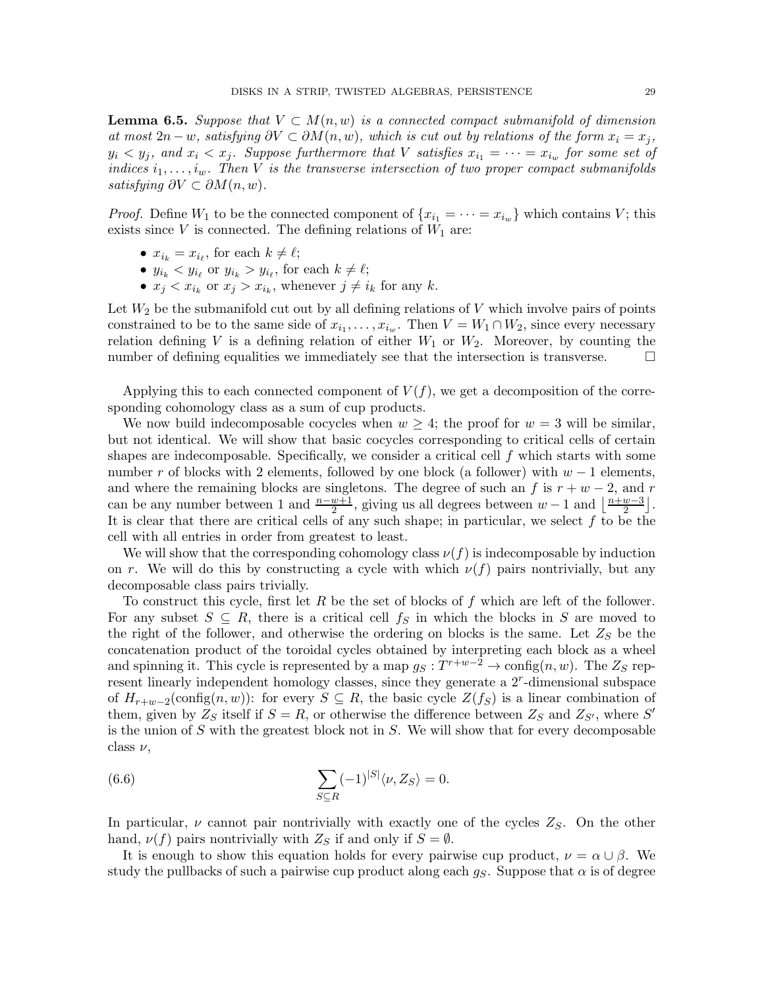**Lemma 6.5.** Suppose that  $V \subset M(n, w)$  is a connected compact submanifold of dimension at most  $2n - w$ , satisfying  $\partial V \subset \partial M(n, w)$ , which is cut out by relations of the form  $x_i = x_j$ ,  $y_i \leq y_j$ , and  $x_i \leq x_j$ . Suppose furthermore that V satisfies  $x_{i_1} = \cdots = x_{i_w}$  for some set of indices  $i_1, \ldots, i_w$ . Then V is the transverse intersection of two proper compact submanifolds satisfying  $\partial V \subset \partial M(n, w)$ .

*Proof.* Define  $W_1$  to be the connected component of  $\{x_{i_1} = \cdots = x_{i_w}\}\$  which contains V; this exists since  $V$  is connected. The defining relations of  $W_1$  are:

- $x_{i_k} = x_{i_\ell}$ , for each  $k \neq \ell$ ;
- $y_{i_k} < y_{i_\ell}$  or  $y_{i_k} > y_{i_\ell}$ , for each  $k \neq \ell$ ;
- $x_j < x_{i_k}$  or  $x_j > x_{i_k}$ , whenever  $j \neq i_k$  for any k.

Let  $W_2$  be the submanifold cut out by all defining relations of V which involve pairs of points constrained to be to the same side of  $x_{i_1}, \ldots, x_{i_w}$ . Then  $V = W_1 \cap W_2$ , since every necessary relation defining V is a defining relation of either  $W_1$  or  $W_2$ . Moreover, by counting the number of defining equalities we immediately see that the intersection is transverse.  $\Box$ 

Applying this to each connected component of  $V(f)$ , we get a decomposition of the corresponding cohomology class as a sum of cup products.

We now build indecomposable cocycles when  $w \geq 4$ ; the proof for  $w = 3$  will be similar, but not identical. We will show that basic cocycles corresponding to critical cells of certain shapes are indecomposable. Specifically, we consider a critical cell  $f$  which starts with some number r of blocks with 2 elements, followed by one block (a follower) with  $w - 1$  elements, and where the remaining blocks are singletons. The degree of such an f is  $r + w - 2$ , and r can be any number between 1 and  $\frac{n-w+1}{2}$ , giving us all degrees between  $w-1$  and  $\lfloor \frac{n+w-3}{2} \rfloor$  $\frac{w-3}{2}$ . It is clear that there are critical cells of any such shape; in particular, we select  $f$  to be the cell with all entries in order from greatest to least.

We will show that the corresponding cohomology class  $\nu(f)$  is indecomposable by induction on r. We will do this by constructing a cycle with which  $\nu(f)$  pairs nontrivially, but any decomposable class pairs trivially.

To construct this cycle, first let R be the set of blocks of f which are left of the follower. For any subset  $S \subseteq R$ , there is a critical cell  $f_S$  in which the blocks in S are moved to the right of the follower, and otherwise the ordering on blocks is the same. Let  $Z<sub>S</sub>$  be the concatenation product of the toroidal cycles obtained by interpreting each block as a wheel and spinning it. This cycle is represented by a map  $g_S: T^{r+w-2} \to \text{config}(n, w)$ . The  $Z_S$  represent linearly independent homology classes, since they generate a  $2^r$ -dimensional subspace of  $H_{r+w-2}(\text{config}(n,w))$ : for every  $S \subseteq R$ , the basic cycle  $Z(f_S)$  is a linear combination of them, given by  $Z_S$  itself if  $S = R$ , or otherwise the difference between  $Z_S$  and  $Z_{S'}$ , where  $S'$ is the union of  $S$  with the greatest block not in  $S$ . We will show that for every decomposable class  $\nu$ ,

<span id="page-28-0"></span>(6.6) 
$$
\sum_{S \subseteq R} (-1)^{|S|} \langle \nu, Z_S \rangle = 0.
$$

In particular,  $\nu$  cannot pair nontrivially with exactly one of the cycles  $Z_S$ . On the other hand,  $\nu(f)$  pairs nontrivially with  $Z_S$  if and only if  $S = \emptyset$ .

It is enough to show this equation holds for every pairwise cup product,  $\nu = \alpha \cup \beta$ . We study the pullbacks of such a pairwise cup product along each  $g_S$ . Suppose that  $\alpha$  is of degree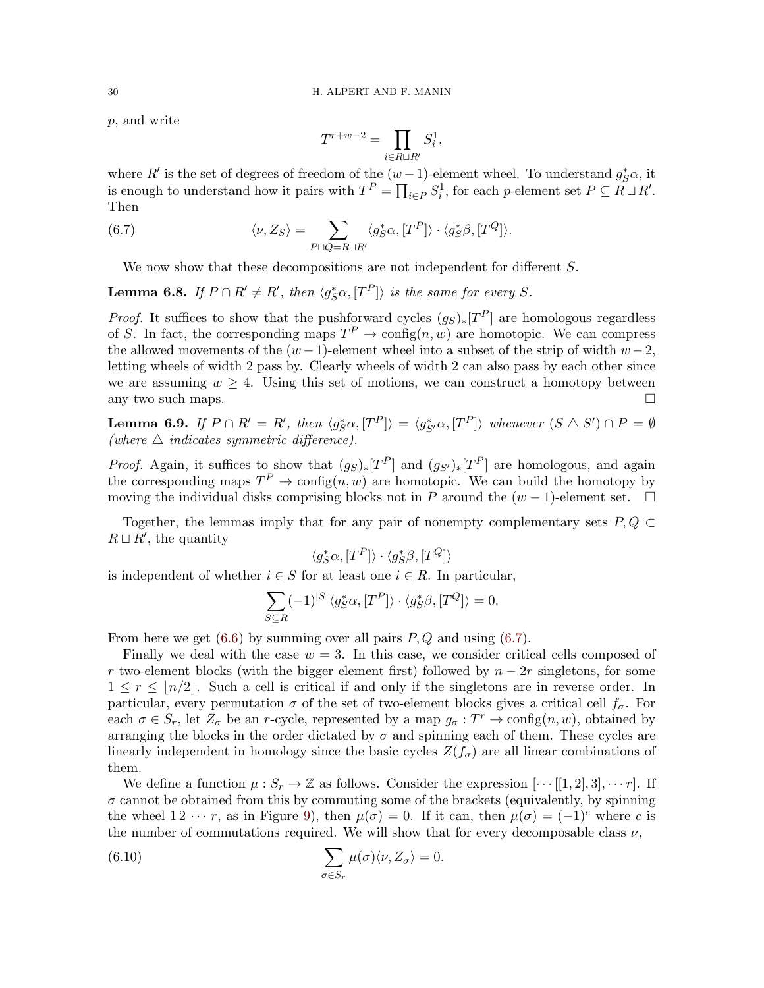p, and write

<span id="page-29-0"></span>
$$
T^{r+w-2} = \prod_{i \in R \sqcup R'} S_i^1,
$$

where R' is the set of degrees of freedom of the  $(w-1)$ -element wheel. To understand  $g_S^*\alpha$ , it is enough to understand how it pairs with  $T^P = \prod_{i \in P} S_i^1$ , for each p-element set  $P \subseteq R \sqcup R'$ . Then

(6.7) 
$$
\langle \nu, Z_S \rangle = \sum_{P \sqcup Q = R \sqcup R'} \langle g_S^* \alpha, [T^P] \rangle \cdot \langle g_S^* \beta, [T^Q] \rangle.
$$

We now show that these decompositions are not independent for different S.

**Lemma 6.8.** If  $P \cap R' \neq R'$ , then  $\langle g_S^* \alpha, [T^P] \rangle$  is the same for every S.

*Proof.* It suffices to show that the pushforward cycles  $(g_S)_*[T^P]$  are homologous regardless of S. In fact, the corresponding maps  $T^P \to \text{config}(n, w)$  are homotopic. We can compress the allowed movements of the  $(w-1)$ -element wheel into a subset of the strip of width  $w-2$ , letting wheels of width 2 pass by. Clearly wheels of width 2 can also pass by each other since we are assuming  $w \geq 4$ . Using this set of motions, we can construct a homotopy between any two such maps.  $\Box$ 

**Lemma 6.9.** If  $P \cap R' = R'$ , then  $\langle g_S^* \alpha, [T^P] \rangle = \langle g_{S'}^* \alpha, [T^P] \rangle$  whenever  $(S \triangle S') \cap P = \emptyset$ (where  $\triangle$  indicates symmetric difference).

*Proof.* Again, it suffices to show that  $(g_S)_*[T^P]$  and  $(g_{S'})*[T^P]$  are homologous, and again the corresponding maps  $T^P \to \text{config}(n, w)$  are homotopic. We can build the homotopy by moving the individual disks comprising blocks not in P around the  $(w - 1)$ -element set.  $\square$ 

Together, the lemmas imply that for any pair of nonempty complementary sets  $P, Q \subset$  $R \sqcup R'$ , the quantity

$$
\langle g^*_S\alpha, [T^P] \rangle \cdot \langle g^*_S\beta, [T^Q] \rangle
$$

is independent of whether  $i \in S$  for at least one  $i \in R$ . In particular,

$$
\sum_{S \subseteq R} (-1)^{|S|} \langle g_S^* \alpha, [T^P] \rangle \cdot \langle g_S^* \beta, [T^Q] \rangle = 0.
$$

From here we get  $(6.6)$  by summing over all pairs  $P, Q$  and using  $(6.7)$ .

Finally we deal with the case  $w = 3$ . In this case, we consider critical cells composed of r two-element blocks (with the bigger element first) followed by  $n - 2r$  singletons, for some  $1 \leq r \leq \lfloor n/2 \rfloor$ . Such a cell is critical if and only if the singletons are in reverse order. In particular, every permutation  $\sigma$  of the set of two-element blocks gives a critical cell  $f_{\sigma}$ . For each  $\sigma \in S_r$ , let  $Z_{\sigma}$  be an r-cycle, represented by a map  $g_{\sigma}: T^r \to \text{config}(n, w)$ , obtained by arranging the blocks in the order dictated by  $\sigma$  and spinning each of them. These cycles are linearly independent in homology since the basic cycles  $Z(f_{\sigma})$  are all linear combinations of them.

We define a function  $\mu: S_r \to \mathbb{Z}$  as follows. Consider the expression  $[\cdots[[1,2],3], \cdots r]$ . If  $\sigma$  cannot be obtained from this by commuting some of the brackets (equivalently, by spinning the wheel  $1 \, 2 \, \cdots r$ , as in Figure [9\)](#page-19-0), then  $\mu(\sigma) = 0$ . If it can, then  $\mu(\sigma) = (-1)^c$  where c is the number of commutations required. We will show that for every decomposable class  $\nu$ ,

<span id="page-29-1"></span>(6.10) 
$$
\sum_{\sigma \in S_r} \mu(\sigma) \langle \nu, Z_{\sigma} \rangle = 0.
$$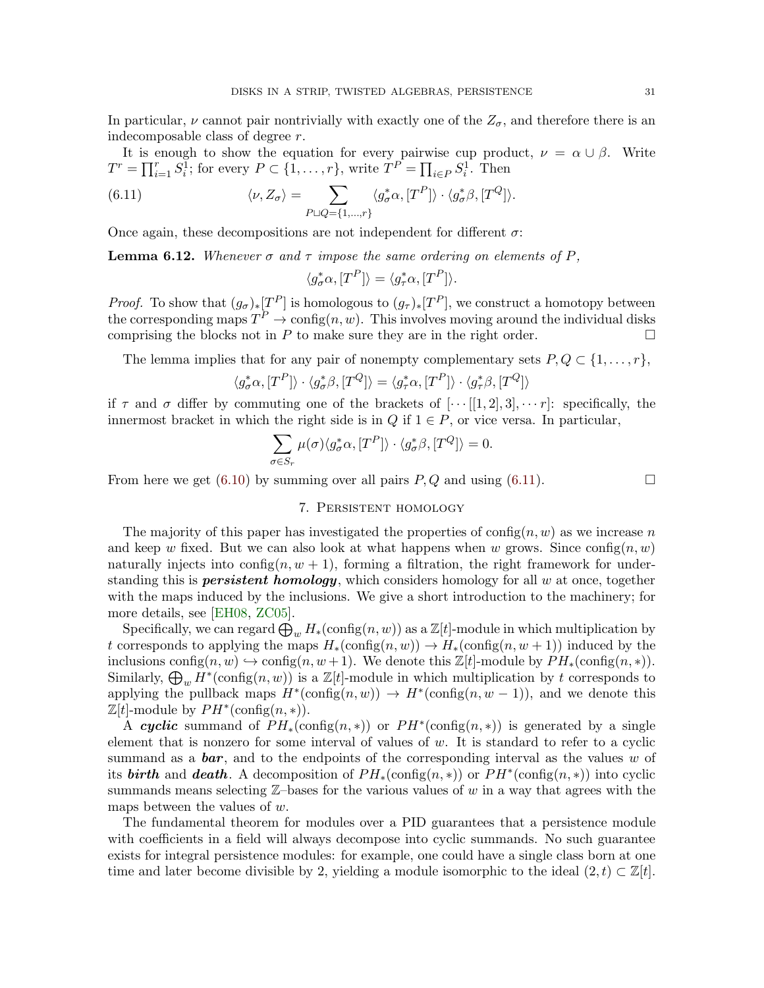In particular,  $\nu$  cannot pair nontrivially with exactly one of the  $Z_{\sigma}$ , and therefore there is an indecomposable class of degree r.

It is enough to show the equation for every pairwise cup product,  $\nu = \alpha \cup \beta$ . Write  $T^r = \prod_{i=1}^r S_i^{\bar{1}}$ ; for every  $P \subset \{1, \ldots, r\}$ , write  $T^{\bar{P}} = \prod_{i \in P} S_i^{\bar{1}}$ . Then

(6.11) 
$$
\langle \nu, Z_{\sigma} \rangle = \sum_{P \sqcup Q = \{1, ..., r\}} \langle g_{\sigma}^* \alpha, [T^P] \rangle \cdot \langle g_{\sigma}^* \beta, [T^Q] \rangle.
$$

Once again, these decompositions are not independent for different  $\sigma$ :

**Lemma 6.12.** Whenever  $\sigma$  and  $\tau$  impose the same ordering on elements of P,

<span id="page-30-1"></span>
$$
\langle g_{\sigma}^* \alpha, [T^P] \rangle = \langle g_{\tau}^* \alpha, [T^P] \rangle.
$$

*Proof.* To show that  $(g_{\sigma})_*[T^P]$  is homologous to  $(g_{\tau})_*[T^P]$ , we construct a homotopy between the corresponding maps  $T^P \to \text{config}(n, w)$ . This involves moving around the individual disks comprising the blocks not in P to make sure they are in the right order.  $\Box$ 

The lemma implies that for any pair of nonempty complementary sets  $P, Q \subset \{1, \ldots, r\},\$ 

$$
\langle g_{\sigma}^* \alpha, [T^P] \rangle \cdot \langle g_{\sigma}^* \beta, [T^Q] \rangle = \langle g_{\tau}^* \alpha, [T^P] \rangle \cdot \langle g_{\tau}^* \beta, [T^Q] \rangle
$$

if  $\tau$  and  $\sigma$  differ by commuting one of the brackets of  $[\cdots[[1,2],3],\cdots r]$ : specifically, the innermost bracket in which the right side is in Q if  $1 \in P$ , or vice versa. In particular,

$$
\sum_{\sigma \in S_r} \mu(\sigma) \langle g_{\sigma}^* \alpha, [T^P] \rangle \cdot \langle g_{\sigma}^* \beta, [T^Q] \rangle = 0.
$$

<span id="page-30-0"></span>From here we get [\(6.10\)](#page-29-1) by summing over all pairs  $P, Q$  and using [\(6.11\)](#page-30-1).

# 7. Persistent homology

The majority of this paper has investigated the properties of  $\text{config}(n, w)$  as we increase n and keep w fixed. But we can also look at what happens when w grows. Since  $\text{config}(n, w)$ naturally injects into config $(n, w + 1)$ , forming a filtration, the right framework for understanding this is **persistent homology**, which considers homology for all  $w$  at once, together with the maps induced by the inclusions. We give a short introduction to the machinery; for more details, see [\[EH08,](#page-48-9) [ZC05\]](#page-48-10).

Specifically, we can regard  $\bigoplus_w H_*(\mathrm{config}(n,w))$  as a  $\mathbb{Z}[t]$ -module in which multiplication by t corresponds to applying the maps  $H_*(\text{config}(n, w)) \to H_*(\text{config}(n, w+1))$  induced by the inclusions config $(n, w) \hookrightarrow \text{config}(n, w+1)$ . We denote this  $\mathbb{Z}[t]$ -module by  $PH_*(\text{config}(n, *))$ . Similarly,  $\bigoplus_w H^*(\text{config}(n, w))$  is a  $\mathbb{Z}[t]$ -module in which multiplication by t corresponds to applying the pullback maps  $H^*(\text{config}(n, w)) \to H^*(\text{config}(n, w - 1))$ , and we denote this  $\mathbb{Z}[t]$ -module by  $PH^*(\text{config}(n,*))$ .

A cyclic summand of  $PH_*(\text{config}(n,*))$  or  $PH^*(\text{config}(n,*))$  is generated by a single element that is nonzero for some interval of values of  $w$ . It is standard to refer to a cyclic summand as a  $bar$ , and to the endpoints of the corresponding interval as the values w of its **birth** and **death**. A decomposition of  $PH_*(\text{config}(n,*))$  or  $PH^*(\text{config}(n,*))$  into cyclic summands means selecting  $\mathbb{Z}-$ bases for the various values of w in a way that agrees with the maps between the values of w.

The fundamental theorem for modules over a PID guarantees that a persistence module with coefficients in a field will always decompose into cyclic summands. No such guarantee exists for integral persistence modules: for example, one could have a single class born at one time and later become divisible by 2, yielding a module isomorphic to the ideal  $(2, t) \subset \mathbb{Z}[t]$ .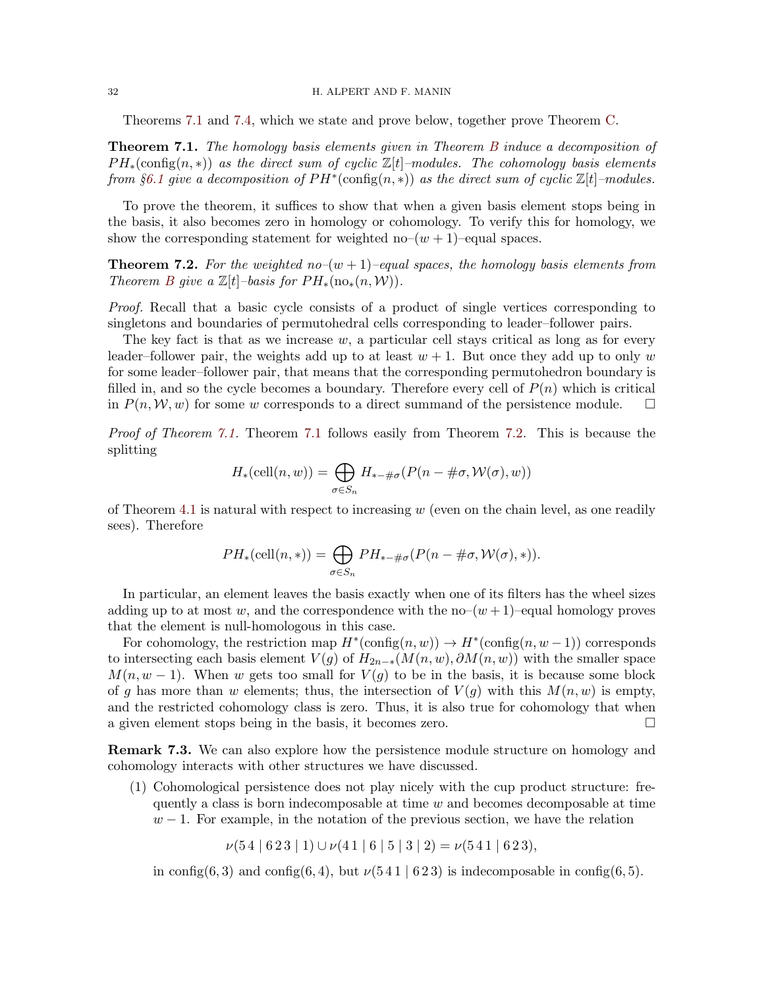#### 32 H. ALPERT AND F. MANIN

Theorems [7.1](#page-31-0) and [7.4,](#page-32-0) which we state and prove below, together prove Theorem [C.](#page-4-0)

<span id="page-31-0"></span>Theorem 7.1. The homology basis elements given in Theorem [B](#page-3-0) induce a decomposition of  $PH_*(\text{config}(n,*))$  as the direct sum of cyclic  $\mathbb{Z}[t]$ –modules. The cohomology basis elements from §[6.1](#page-25-0) give a decomposition of  $PH^*(\text{config}(n,*))$  as the direct sum of cyclic  $\mathbb{Z}[t]$ -modules.

To prove the theorem, it suffices to show that when a given basis element stops being in the basis, it also becomes zero in homology or cohomology. To verify this for homology, we show the corresponding statement for weighted no– $(w + 1)$ –equal spaces.

<span id="page-31-1"></span>**Theorem 7.2.** For the weighted no– $(w + 1)$ –equal spaces, the homology basis elements from Theorem [B](#page-3-0) give a  $\mathbb{Z}[t]$ –basis for  $PH_*(\text{no}_*(n,\mathcal{W}))$ .

Proof. Recall that a basic cycle consists of a product of single vertices corresponding to singletons and boundaries of permutohedral cells corresponding to leader–follower pairs.

The key fact is that as we increase  $w$ , a particular cell stays critical as long as for every leader–follower pair, the weights add up to at least  $w + 1$ . But once they add up to only w for some leader–follower pair, that means that the corresponding permutohedron boundary is filled in, and so the cycle becomes a boundary. Therefore every cell of  $P(n)$  which is critical in  $P(n, W, w)$  for some w corresponds to a direct summand of the persistence module.  $\square$ 

Proof of Theorem [7.1.](#page-31-0) Theorem [7.1](#page-31-0) follows easily from Theorem [7.2.](#page-31-1) This is because the splitting

$$
H_*\left(\text{cell}(n, w)\right) = \bigoplus_{\sigma \in S_n} H_{*-\#\sigma}(P(n - \#\sigma, \mathcal{W}(\sigma), w))
$$

of Theorem [4.1](#page-16-2) is natural with respect to increasing  $w$  (even on the chain level, as one readily sees). Therefore

$$
PH_*(\text{cell}(n,*)) = \bigoplus_{\sigma \in S_n} PH_{*-\#\sigma}(P(n-\#\sigma, \mathcal{W}(\sigma),*)).
$$

In particular, an element leaves the basis exactly when one of its filters has the wheel sizes adding up to at most w, and the correspondence with the no– $(w+1)$ –equal homology proves that the element is null-homologous in this case.

For cohomology, the restriction map  $H^*(\text{config}(n, w)) \to H^*(\text{config}(n, w-1))$  corresponds to intersecting each basis element  $V(g)$  of  $H_{2n-*}(M(n, w), \partial M(n, w))$  with the smaller space  $M(n, w - 1)$ . When w gets too small for  $V(g)$  to be in the basis, it is because some block of g has more than w elements; thus, the intersection of  $V(g)$  with this  $M(n, w)$  is empty, and the restricted cohomology class is zero. Thus, it is also true for cohomology that when a given element stops being in the basis, it becomes zero.

Remark 7.3. We can also explore how the persistence module structure on homology and cohomology interacts with other structures we have discussed.

(1) Cohomological persistence does not play nicely with the cup product structure: frequently a class is born indecomposable at time  $w$  and becomes decomposable at time  $w-1$ . For example, in the notation of the previous section, we have the relation

 $\nu(54 | 623 | 1) \cup \nu(41 | 6 | 5 | 3 | 2) = \nu(541 | 623),$ 

in config(6,3) and config(6,4), but  $\nu(541 \mid 623)$  is indecomposable in config(6,5).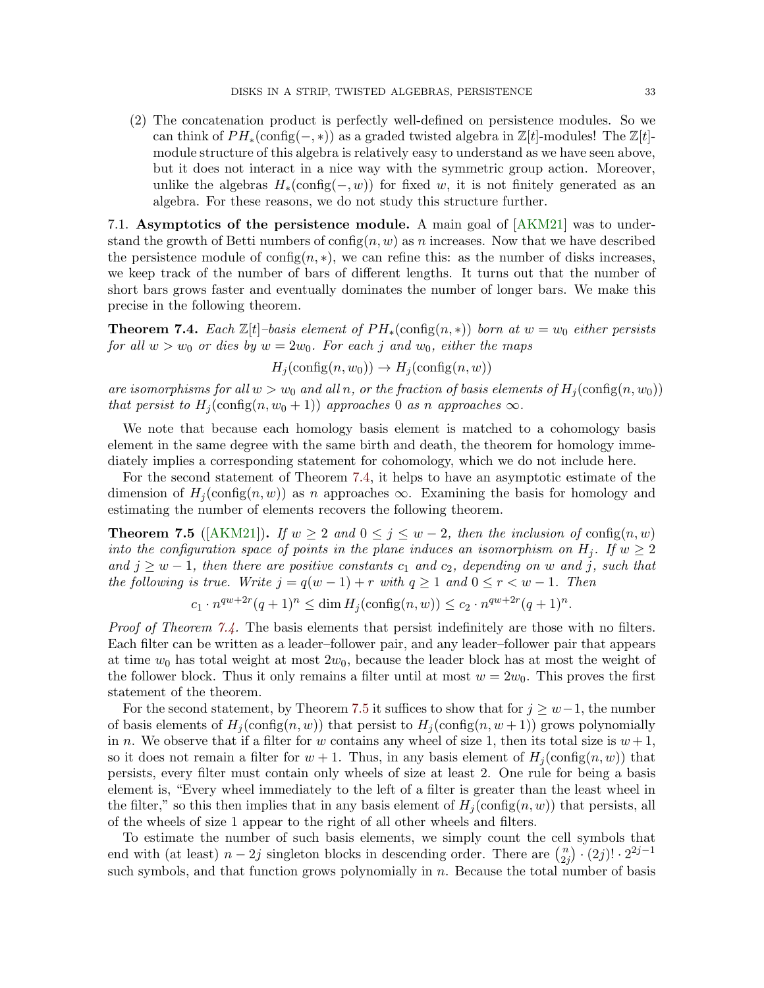(2) The concatenation product is perfectly well-defined on persistence modules. So we can think of  $PH_*(\text{config}(-,*))$  as a graded twisted algebra in  $\mathbb{Z}[t]$ -modules! The  $\mathbb{Z}[t]$ module structure of this algebra is relatively easy to understand as we have seen above, but it does not interact in a nice way with the symmetric group action. Moreover, unlike the algebras  $H_*(\text{config}(-, w))$  for fixed w, it is not finitely generated as an algebra. For these reasons, we do not study this structure further.

7.1. Asymptotics of the persistence module. A main goal of [\[AKM21\]](#page-44-4) was to understand the growth of Betti numbers of  $\text{config}(n, w)$  as n increases. Now that we have described the persistence module of config $(n, *)$ , we can refine this: as the number of disks increases, we keep track of the number of bars of different lengths. It turns out that the number of short bars grows faster and eventually dominates the number of longer bars. We make this precise in the following theorem.

<span id="page-32-0"></span>**Theorem 7.4.** Each  $\mathbb{Z}[t]$ –basis element of  $PH_*(\text{config}(n,*))$  born at  $w = w_0$  either persists for all  $w > w_0$  or dies by  $w = 2w_0$ . For each j and  $w_0$ , either the maps

 $H_i(\text{config}(n, w_0)) \rightarrow H_i(\text{config}(n, w))$ 

are isomorphisms for all  $w > w_0$  and all n, or the fraction of basis elements of  $H_i(\text{config}(n, w_0))$ that persist to  $H_i(\text{config}(n, w_0 + 1))$  approaches 0 as n approaches  $\infty$ .

We note that because each homology basis element is matched to a cohomology basis element in the same degree with the same birth and death, the theorem for homology immediately implies a corresponding statement for cohomology, which we do not include here.

For the second statement of Theorem [7.4,](#page-32-0) it helps to have an asymptotic estimate of the dimension of  $H_i(\text{config}(n, w))$  as n approaches  $\infty$ . Examining the basis for homology and estimating the number of elements recovers the following theorem.

<span id="page-32-1"></span>**Theorem 7.5** ([\[AKM21\]](#page-44-4)). If  $w \ge 2$  and  $0 \le j \le w-2$ , then the inclusion of config $(n, w)$ into the configuration space of points in the plane induces an isomorphism on  $H_j$ . If  $w \geq 2$ and  $j \geq w-1$ , then there are positive constants  $c_1$  and  $c_2$ , depending on w and j, such that the following is true. Write  $j = q(w - 1) + r$  with  $q \ge 1$  and  $0 \le r < w - 1$ . Then

 $c_1 \cdot n^{qw+2r} (q+1)^n \leq \dim H_j(\text{config}(n,w)) \leq c_2 \cdot n^{qw+2r} (q+1)^n.$ 

*Proof of Theorem [7.4.](#page-32-0)* The basis elements that persist indefinitely are those with no filters. Each filter can be written as a leader–follower pair, and any leader–follower pair that appears at time  $w_0$  has total weight at most  $2w_0$ , because the leader block has at most the weight of the follower block. Thus it only remains a filter until at most  $w = 2w_0$ . This proves the first statement of the theorem.

For the second statement, by Theorem [7.5](#page-32-1) it suffices to show that for  $j \geq w-1$ , the number of basis elements of  $H_i(\text{config}(n, w))$  that persist to  $H_i(\text{config}(n, w+1))$  grows polynomially in n. We observe that if a filter for w contains any wheel of size 1, then its total size is  $w + 1$ , so it does not remain a filter for  $w + 1$ . Thus, in any basis element of  $H_i(\text{config}(n, w))$  that persists, every filter must contain only wheels of size at least 2. One rule for being a basis element is, "Every wheel immediately to the left of a filter is greater than the least wheel in the filter," so this then implies that in any basis element of  $H_i$  (config(n, w)) that persists, all of the wheels of size 1 appear to the right of all other wheels and filters.

To estimate the number of such basis elements, we simply count the cell symbols that end with (at least)  $n-2j$  singleton blocks in descending order. There are  $\binom{n}{2i}$  $\binom{n}{2j} \cdot (2j)! \cdot 2^{2j-1}$ such symbols, and that function grows polynomially in  $n$ . Because the total number of basis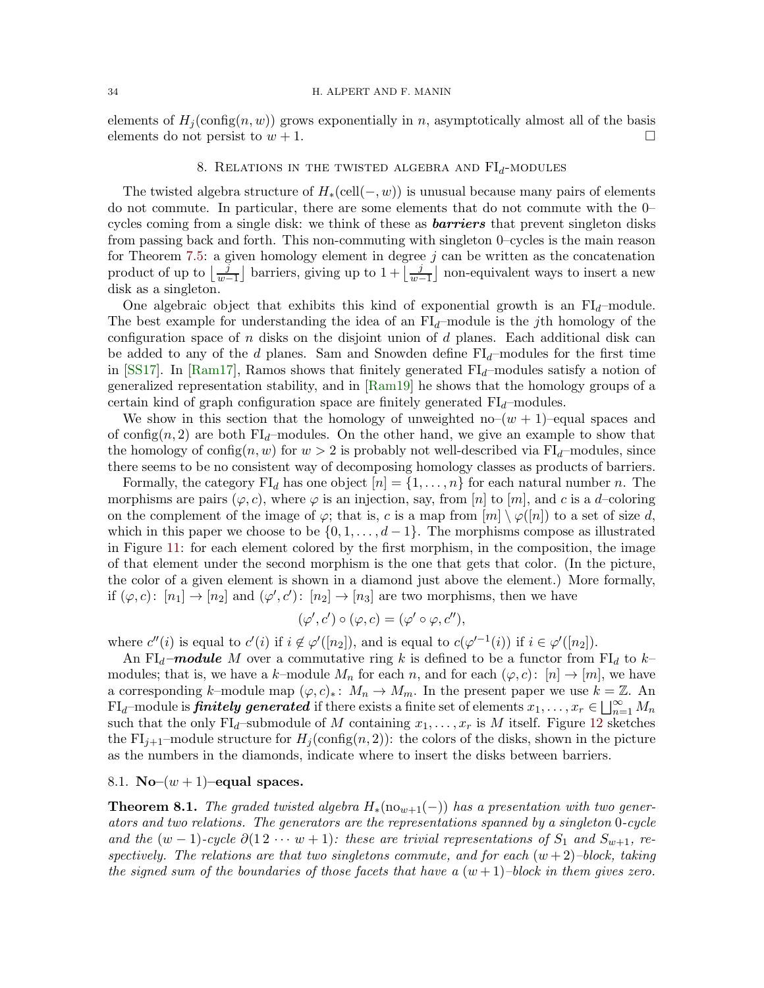<span id="page-33-0"></span>elements of  $H_j(\text{config}(n, w))$  grows exponentially in n, asymptotically almost all of the basis elements do not persist to  $w + 1$ .

## 8. RELATIONS IN THE TWISTED ALGEBRA AND  $FI_d$ -MODULES

The twisted algebra structure of  $H_*(\text{cell}(-, w))$  is unusual because many pairs of elements do not commute. In particular, there are some elements that do not commute with the 0– cycles coming from a single disk: we think of these as **barriers** that prevent singleton disks from passing back and forth. This non-commuting with singleton 0–cycles is the main reason for Theorem [7.5:](#page-32-1) a given homology element in degree  $j$  can be written as the concatenation product of up to  $\lfloor \frac{j}{w-1} \rfloor$  barriers, giving up to  $1 + \lfloor \frac{j}{w-1} \rfloor$  non-equivalent ways to insert a new disk as a singleton.

One algebraic object that exhibits this kind of exponential growth is an  $FI_d$ -module. The best example for understanding the idea of an  $FI<sub>d</sub>$ -module is the jth homology of the configuration space of n disks on the disjoint union of d planes. Each additional disk can be added to any of the d planes. Sam and Snowden define  $FI_d$ –modules for the first time in [\[SS17\]](#page-48-11). In [\[Ram17\]](#page-48-12), Ramos shows that finitely generated  $FI_d$ –modules satisfy a notion of generalized representation stability, and in [\[Ram19\]](#page-48-13) he shows that the homology groups of a certain kind of graph configuration space are finitely generated  $FI<sub>d</sub>$ –modules.

We show in this section that the homology of unweighted no– $(w + 1)$ –equal spaces and of config(n, 2) are both  $FI_d$ -modules. On the other hand, we give an example to show that the homology of config $(n, w)$  for  $w > 2$  is probably not well-described via FI<sub>d</sub>–modules, since there seems to be no consistent way of decomposing homology classes as products of barriers.

Formally, the category  $FI_d$  has one object  $[n] = \{1, \ldots, n\}$  for each natural number n. The morphisms are pairs  $(\varphi, c)$ , where  $\varphi$  is an injection, say, from [n] to [m], and c is a d–coloring on the complement of the image of  $\varphi$ ; that is, c is a map from  $[m] \setminus \varphi([n])$  to a set of size d, which in this paper we choose to be  $\{0, 1, \ldots, d-1\}$ . The morphisms compose as illustrated in Figure [11:](#page-34-0) for each element colored by the first morphism, in the composition, the image of that element under the second morphism is the one that gets that color. (In the picture, the color of a given element is shown in a diamond just above the element.) More formally, if  $(\varphi, c)$ :  $[n_1] \to [n_2]$  and  $(\varphi', c')$ :  $[n_2] \to [n_3]$  are two morphisms, then we have

$$
(\varphi',c')\circ(\varphi,c)=(\varphi'\circ\varphi,c''),
$$

where  $c''(i)$  is equal to  $c'(i)$  if  $i \notin \varphi'([n_2])$ , and is equal to  $c(\varphi'^{-1}(i))$  if  $i \in \varphi'([n_2])$ .

An FI<sub>d</sub>–module M over a commutative ring k is defined to be a functor from FI<sub>d</sub> to k– modules; that is, we have a k–module  $M_n$  for each  $n$ , and for each  $(\varphi, c) : [n] \to [m]$ , we have a corresponding k–module map  $(\varphi, c)_*: M_n \to M_m$ . In the present paper we use  $k = \mathbb{Z}$ . An  $\text{FI}_d\text{--module is}\ \pmb{\bar{f}}\pmb{initely}\ \pmb{generated}\ \text{if there exists a finite set of elements}\ x_1,\ldots,x_r\in\bigsqcup_{n=1}^\infty M_n$ such that the only  $FI_d$ -submodule of M containing  $x_1, \ldots, x_r$  is M itself. Figure [12](#page-34-1) sketches the FI<sub>j+1</sub>–module structure for  $H_i(\text{config}(n, 2))$ : the colors of the disks, shown in the picture as the numbers in the diamonds, indicate where to insert the disks between barriers.

# 8.1. No– $(w + 1)$ –equal spaces.

<span id="page-33-1"></span>**Theorem 8.1.** The graded twisted algebra  $H_*(\text{no}_{w+1}(-))$  has a presentation with two generators and two relations. The generators are the representations spanned by a singleton 0-cycle and the  $(w-1)$ -cycle  $\partial(12 \cdots w+1)$ : these are trivial representations of  $S_1$  and  $S_{w+1}$ , respectively. The relations are that two singletons commute, and for each  $(w+2)$ –block, taking the signed sum of the boundaries of those facets that have a  $(w+1)$ –block in them gives zero.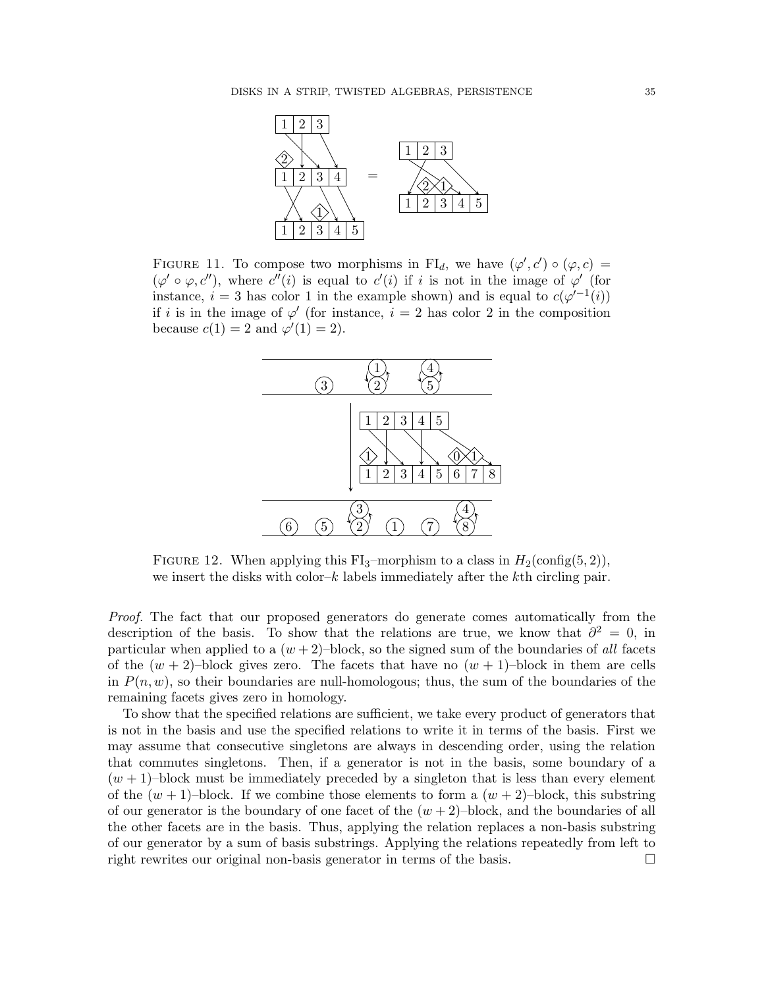<span id="page-34-0"></span>

<span id="page-34-1"></span>FIGURE 11. To compose two morphisms in FI<sub>d</sub>, we have  $(\varphi', c') \circ (\varphi, c) =$  $(\varphi' \circ \varphi, c'')$ , where  $c''(i)$  is equal to  $c'(i)$  if i is not in the image of  $\varphi'$  (for instance,  $i = 3$  has color 1 in the example shown) and is equal to  $c(\varphi^{-1}(i))$ if i is in the image of  $\varphi'$  (for instance,  $i = 2$  has color 2 in the composition because  $c(1) = 2$  and  $\varphi'(1) = 2$ .



FIGURE 12. When applying this FI<sub>3</sub>–morphism to a class in  $H_2(\text{config}(5, 2)),$ we insert the disks with color– $k$  labels immediately after the kth circling pair.

Proof. The fact that our proposed generators do generate comes automatically from the description of the basis. To show that the relations are true, we know that  $\partial^2 = 0$ , in particular when applied to a  $(w+2)$ –block, so the signed sum of the boundaries of all facets of the  $(w + 2)$ –block gives zero. The facets that have no  $(w + 1)$ –block in them are cells in  $P(n, w)$ , so their boundaries are null-homologous; thus, the sum of the boundaries of the remaining facets gives zero in homology.

To show that the specified relations are sufficient, we take every product of generators that is not in the basis and use the specified relations to write it in terms of the basis. First we may assume that consecutive singletons are always in descending order, using the relation that commutes singletons. Then, if a generator is not in the basis, some boundary of a  $(w + 1)$ –block must be immediately preceded by a singleton that is less than every element of the  $(w + 1)$ –block. If we combine those elements to form a  $(w + 2)$ –block, this substring of our generator is the boundary of one facet of the  $(w + 2)$ –block, and the boundaries of all the other facets are in the basis. Thus, applying the relation replaces a non-basis substring of our generator by a sum of basis substrings. Applying the relations repeatedly from left to right rewrites our original non-basis generator in terms of the basis.  $\Box$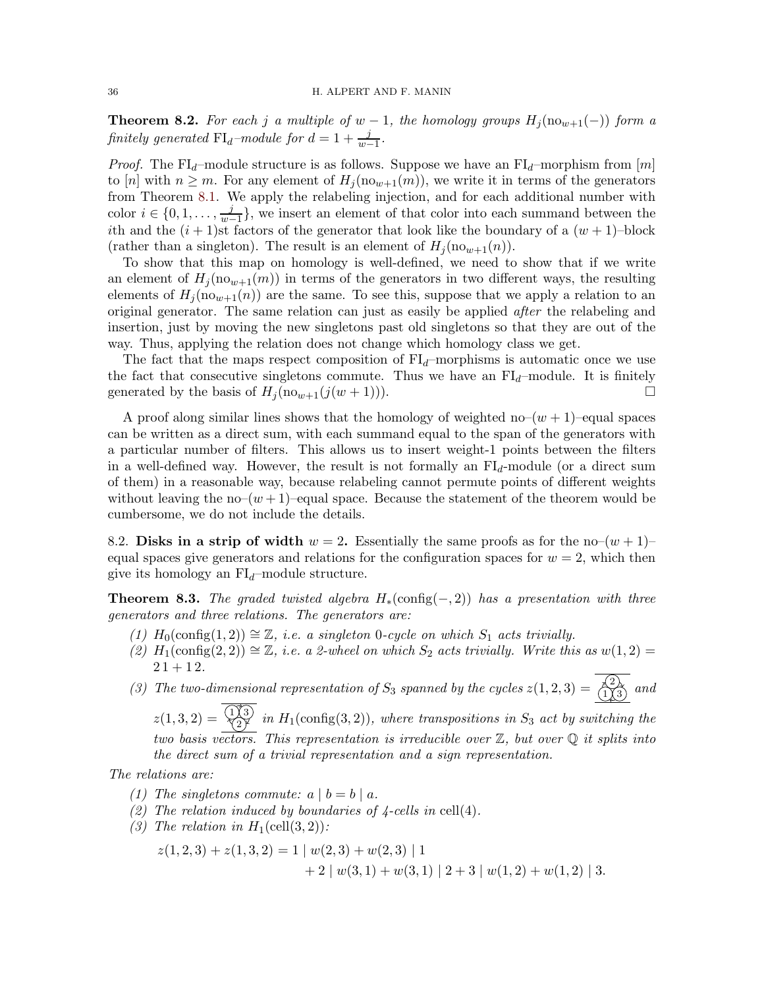<span id="page-35-0"></span>**Theorem 8.2.** For each j a multiple of  $w - 1$ , the homology groups  $H_i(\text{no}_{w+1}(-))$  form a finitely generated  $\text{FI}_d$ -module for  $d = 1 + \frac{j}{w-1}$ .

*Proof.* The FI<sub>d</sub>–module structure is as follows. Suppose we have an FI<sub>d</sub>–morphism from  $[m]$ to [n] with  $n \geq m$ . For any element of  $H_i(\text{no}_{w+1}(m))$ , we write it in terms of the generators from Theorem [8.1.](#page-33-1) We apply the relabeling injection, and for each additional number with color  $i \in \{0, 1, \ldots, \frac{j}{w} \}$  $\frac{J}{w-1}$ , we insert an element of that color into each summand between the ith and the  $(i + 1)$ st factors of the generator that look like the boundary of a  $(w + 1)$ –block (rather than a singleton). The result is an element of  $H_i(\text{no}_{w+1}(n))$ .

To show that this map on homology is well-defined, we need to show that if we write an element of  $H_i(\text{no}_{w+1}(m))$  in terms of the generators in two different ways, the resulting elements of  $H_i(\text{no}_{w+1}(n))$  are the same. To see this, suppose that we apply a relation to an original generator. The same relation can just as easily be applied after the relabeling and insertion, just by moving the new singletons past old singletons so that they are out of the way. Thus, applying the relation does not change which homology class we get.

The fact that the maps respect composition of  $FI<sub>d</sub>$ –morphisms is automatic once we use the fact that consecutive singletons commute. Thus we have an  $FI_d$ –module. It is finitely generated by the basis of  $H_j(\text{no}_{w+1}(j(w+1)))$ .

A proof along similar lines shows that the homology of weighted no– $(w + 1)$ –equal spaces can be written as a direct sum, with each summand equal to the span of the generators with a particular number of filters. This allows us to insert weight-1 points between the filters in a well-defined way. However, the result is not formally an  $FI_d$ -module (or a direct sum of them) in a reasonable way, because relabeling cannot permute points of different weights without leaving the no– $(w + 1)$ –equal space. Because the statement of the theorem would be cumbersome, we do not include the details.

8.2. Disks in a strip of width  $w = 2$ . Essentially the same proofs as for the no– $(w + 1)$ – equal spaces give generators and relations for the configuration spaces for  $w = 2$ , which then give its homology an  $FI_d$ –module structure.

**Theorem 8.3.** The graded twisted algebra  $H_*(\text{config}(-, 2))$  has a presentation with three generators and three relations. The generators are:

- (1)  $H_0(\text{config}(1,2)) \cong \mathbb{Z}$ , i.e. a singleton 0-cycle on which  $S_1$  acts trivially.
- (2)  $H_1(\text{config}(2, 2)) \cong \mathbb{Z}$ , i.e. a 2-wheel on which  $S_2$  acts trivially. Write this as  $w(1, 2) =$  $21 + 12.$

(3) The two-dimensional representation of  $S_3$  spanned by the cycles  $z(1,2,3) = \frac{\langle 2 \rangle}{\langle 1 \rangle \langle 3 \rangle}$  and

 $z(1,3,2) = \frac{113}{27}$  in  $H_1$ (config(3,2)), where transpositions in  $S_3$  act by switching the two basis vectors. This representation is irreducible over  $\mathbb{Z}$ , but over  $\mathbb{Q}$  it splits into the direct sum of a trivial representation and a sign representation.

The relations are:

- (1) The singletons commute:  $a | b = b | a$ .
- (2) The relation induced by boundaries of  $\frac{1}{4}$ -cells in cell(4).
- (3) The relation in  $H_1(\text{cell}(3,2))$ :

$$
z(1,2,3) + z(1,3,2) = 1 | w(2,3) + w(2,3) | 1 + 2 | w(3,1) + w(3,1) | 2 + 3 | w(1,2) + w(1,2) | 3.
$$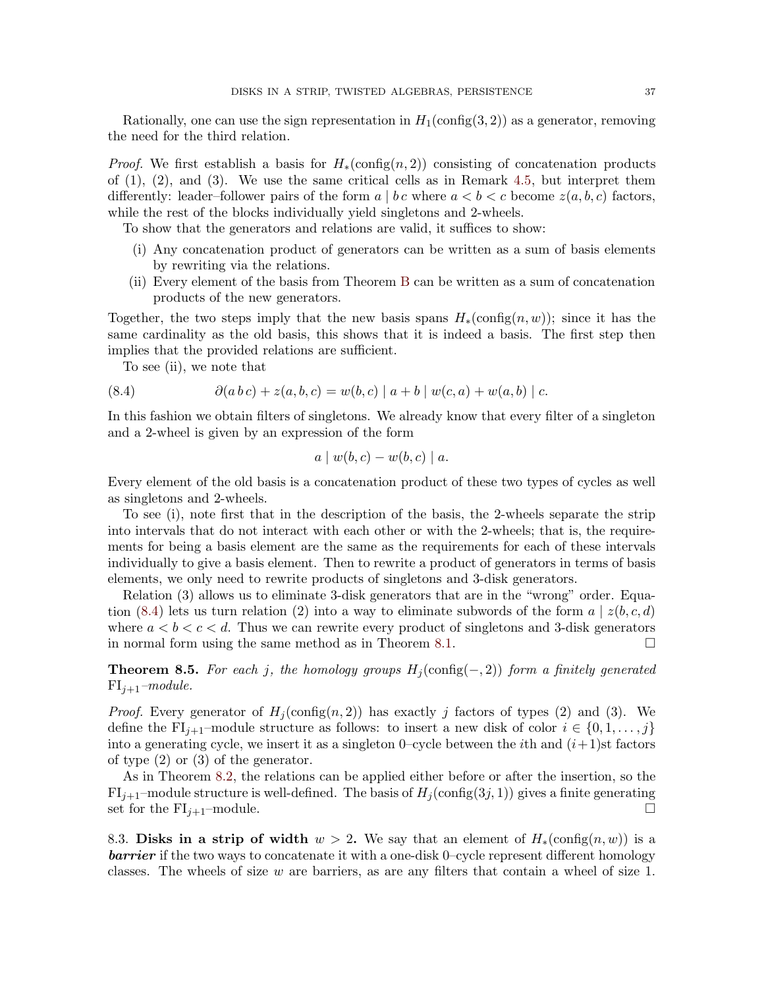Rationally, one can use the sign representation in  $H_1(\text{config}(3, 2))$  as a generator, removing the need for the third relation.

*Proof.* We first establish a basis for  $H_*(\text{config}(n,2))$  consisting of concatenation products of  $(1)$ ,  $(2)$ , and  $(3)$ . We use the same critical cells as in Remark [4.5,](#page-19-2) but interpret them differently: leader–follower pairs of the form  $a \mid b \, c$  where  $a \leq b \leq c$  become  $z(a, b, c)$  factors, while the rest of the blocks individually yield singletons and 2-wheels.

To show that the generators and relations are valid, it suffices to show:

- (i) Any concatenation product of generators can be written as a sum of basis elements by rewriting via the relations.
- (ii) Every element of the basis from Theorem [B](#page-3-0) can be written as a sum of concatenation products of the new generators.

Together, the two steps imply that the new basis spans  $H_*(\text{config}(n, w))$ ; since it has the same cardinality as the old basis, this shows that it is indeed a basis. The first step then implies that the provided relations are sufficient.

<span id="page-36-0"></span>To see (ii), we note that

(8.4) 
$$
\partial(ab c) + z(a, b, c) = w(b, c) |a + b| w(c, a) + w(a, b) |c.
$$

In this fashion we obtain filters of singletons. We already know that every filter of a singleton and a 2-wheel is given by an expression of the form

$$
a \mid w(b, c) - w(b, c) \mid a.
$$

Every element of the old basis is a concatenation product of these two types of cycles as well as singletons and 2-wheels.

To see (i), note first that in the description of the basis, the 2-wheels separate the strip into intervals that do not interact with each other or with the 2-wheels; that is, the requirements for being a basis element are the same as the requirements for each of these intervals individually to give a basis element. Then to rewrite a product of generators in terms of basis elements, we only need to rewrite products of singletons and 3-disk generators.

Relation (3) allows us to eliminate 3-disk generators that are in the "wrong" order. Equa-tion [\(8.4\)](#page-36-0) lets us turn relation (2) into a way to eliminate subwords of the form  $a \mid z(b, c, d)$ where  $a < b < c < d$ . Thus we can rewrite every product of singletons and 3-disk generators in normal form using the same method as in Theorem [8.1.](#page-33-1)

**Theorem 8.5.** For each j, the homology groups  $H_j(\text{config}(-, 2))$  form a finitely generated  $FI_{i+1}$ –module.

*Proof.* Every generator of  $H_j(\text{config}(n, 2))$  has exactly j factors of types (2) and (3). We define the FI<sub>j+1</sub>–module structure as follows: to insert a new disk of color  $i \in \{0, 1, \ldots, j\}$ into a generating cycle, we insert it as a singleton 0–cycle between the *i*th and  $(i+1)$ st factors of type (2) or (3) of the generator.

As in Theorem [8.2,](#page-35-0) the relations can be applied either before or after the insertion, so the  $FI_{j+1}$ –module structure is well-defined. The basis of  $H_j(\text{config}(3j, 1))$  gives a finite generating set for the  $FI_{j+1}$ –module.

8.3. Disks in a strip of width  $w > 2$ . We say that an element of  $H_*(\text{config}(n,w))$  is a **barrier** if the two ways to concatenate it with a one-disk 0–cycle represent different homology classes. The wheels of size  $w$  are barriers, as are any filters that contain a wheel of size 1.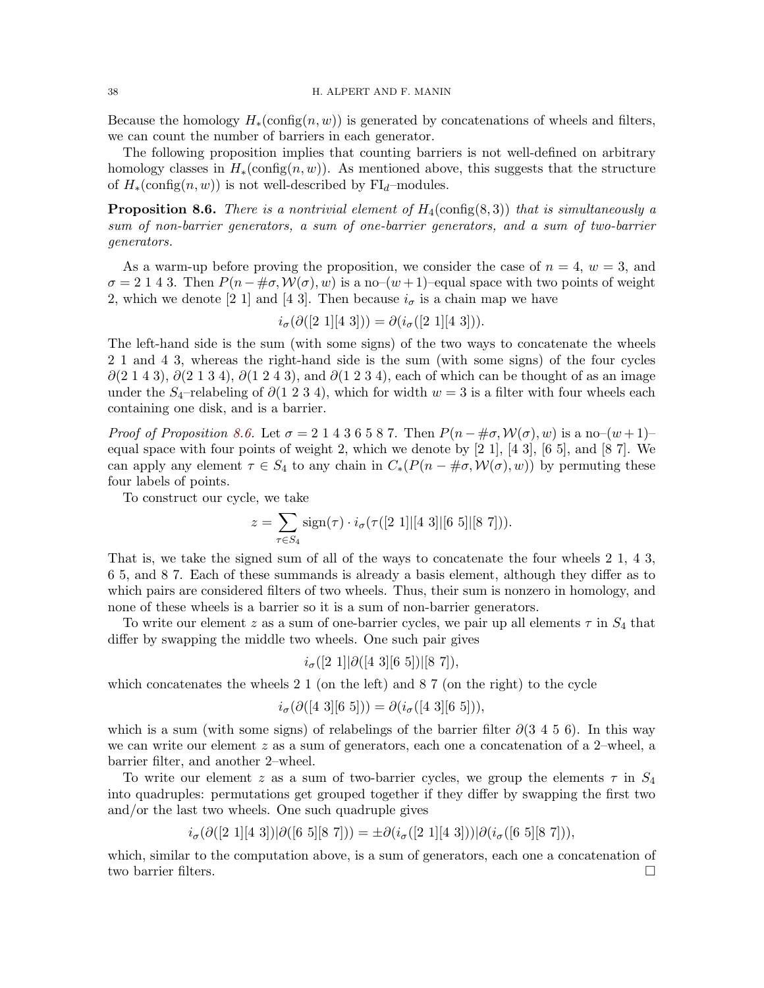Because the homology  $H_*(\text{config}(n, w))$  is generated by concatenations of wheels and filters, we can count the number of barriers in each generator.

The following proposition implies that counting barriers is not well-defined on arbitrary homology classes in  $H_*(\text{config}(n, w))$ . As mentioned above, this suggests that the structure of  $H_*(\text{config}(n, w))$  is not well-described by FI<sub>d</sub>–modules.

<span id="page-37-0"></span>**Proposition 8.6.** There is a nontrivial element of  $H_4$ (config(8,3)) that is simultaneously a sum of non-barrier generators, a sum of one-barrier generators, and a sum of two-barrier generators.

As a warm-up before proving the proposition, we consider the case of  $n = 4$ ,  $w = 3$ , and  $\sigma = 2$  1 4 3. Then  $P(n - \text{#}\sigma, \mathcal{W}(\sigma), w)$  is a no– $(w + 1)$ –equal space with two points of weight 2, which we denote [2 1] and [4 3]. Then because  $i_{\sigma}$  is a chain map we have

$$
i_{\sigma}(\partial([2\;1][4\;3])) = \partial(i_{\sigma}([2\;1][4\;3])).
$$

The left-hand side is the sum (with some signs) of the two ways to concatenate the wheels 2 1 and 4 3, whereas the right-hand side is the sum (with some signs) of the four cycles  $\partial(2\ 1\ 4\ 3), \partial(2\ 1\ 3\ 4), \partial(1\ 2\ 4\ 3),$  and  $\partial(1\ 2\ 3\ 4),$  each of which can be thought of as an image under the S<sub>4</sub>–relabeling of  $\partial(1\ 2\ 3\ 4)$ , which for width  $w=3$  is a filter with four wheels each containing one disk, and is a barrier.

Proof of Proposition [8.6.](#page-37-0) Let  $\sigma = 2 \cdot 1 \cdot 4 \cdot 3 \cdot 6 \cdot 5 \cdot 8 \cdot 7$ . Then  $P(n - \# \sigma, \mathcal{W}(\sigma), w)$  is a no– $(w + 1)$ – equal space with four points of weight 2, which we denote by  $[2 1]$ ,  $[4 3]$ ,  $[6 5]$ , and  $[8 7]$ . We can apply any element  $\tau \in S_4$  to any chain in  $C_*(P(n - \#\sigma, \mathcal{W}(\sigma), w))$  by permuting these four labels of points.

To construct our cycle, we take

$$
z = \sum_{\tau \in S_4} sign(\tau) \cdot i_{\sigma}(\tau([2\ 1] \mid [4\ 3] \mid [6\ 5] \mid [8\ 7])).
$$

That is, we take the signed sum of all of the ways to concatenate the four wheels 2 1, 4 3, 6 5, and 8 7. Each of these summands is already a basis element, although they differ as to which pairs are considered filters of two wheels. Thus, their sum is nonzero in homology, and none of these wheels is a barrier so it is a sum of non-barrier generators.

To write our element z as a sum of one-barrier cycles, we pair up all elements  $\tau$  in  $S_4$  that differ by swapping the middle two wheels. One such pair gives

$$
i_{\sigma}([2\;1]|\partial([4\;3][6\;5])|[8\;7]),
$$

which concatenates the wheels 2 1 (on the left) and 8 7 (on the right) to the cycle

$$
i_{\sigma}(\partial([4\;3][6\;5])) = \partial(i_{\sigma}([4\;3][6\;5])),
$$

which is a sum (with some signs) of relabelings of the barrier filter  $\partial(3\ 4\ 5\ 6)$ . In this way we can write our element z as a sum of generators, each one a concatenation of a 2–wheel, a barrier filter, and another 2–wheel.

To write our element z as a sum of two-barrier cycles, we group the elements  $\tau$  in  $S_4$ into quadruples: permutations get grouped together if they differ by swapping the first two and/or the last two wheels. One such quadruple gives

 $i_{\sigma}(\partial([2\;1][4\;3])|\partial([6\;5][8\;7])) = \pm \partial(i_{\sigma}([2\;1][4\;3]))|\partial(i_{\sigma}([6\;5][8\;7])),$ 

which, similar to the computation above, is a sum of generators, each one a concatenation of two barrier filters.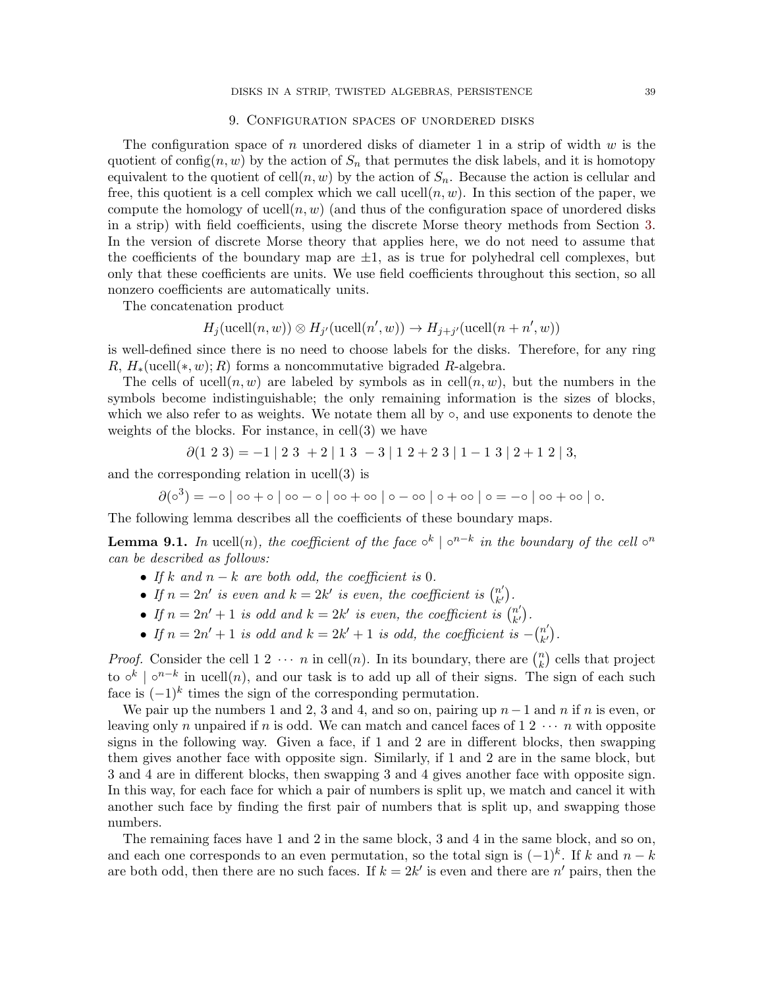## 9. Configuration spaces of unordered disks

<span id="page-38-0"></span>The configuration space of n unordered disks of diameter 1 in a strip of width  $w$  is the quotient of config $(n, w)$  by the action of  $S_n$  that permutes the disk labels, and it is homotopy equivalent to the quotient of cell $(n, w)$  by the action of  $S_n$ . Because the action is cellular and free, this quotient is a cell complex which we call ucell $(n, w)$ . In this section of the paper, we compute the homology of ucell $(n, w)$  (and thus of the configuration space of unordered disks in a strip) with field coefficients, using the discrete Morse theory methods from Section [3.](#page-11-0) In the version of discrete Morse theory that applies here, we do not need to assume that the coefficients of the boundary map are  $\pm 1$ , as is true for polyhedral cell complexes, but only that these coefficients are units. We use field coefficients throughout this section, so all nonzero coefficients are automatically units.

The concatenation product

$$
H_j(\text{ucell}(n, w)) \otimes H_{j'}(\text{ucell}(n', w)) \to H_{j+j'}(\text{ucell}(n + n', w))
$$

is well-defined since there is no need to choose labels for the disks. Therefore, for any ring R,  $H_*(\text{ucell}(*, w); R)$  forms a noncommutative bigraded R-algebra.

The cells of ucell $(n, w)$  are labeled by symbols as in cell $(n, w)$ , but the numbers in the symbols become indistinguishable; the only remaining information is the sizes of blocks, which we also refer to as weights. We notate them all by  $\circ$ , and use exponents to denote the weights of the blocks. For instance, in cell(3) we have

$$
\partial(1\ 2\ 3) = -1 \begin{vmatrix} 2 & 3 & +2 \end{vmatrix} \begin{vmatrix} 1 & 3 & -3 \end{vmatrix} \begin{vmatrix} 1 & 2+2 & 3 \end{vmatrix} \begin{vmatrix} 1 & -1 & 3 \end{vmatrix} \begin{vmatrix} 2+1 & 2 & 3 \end{vmatrix},
$$

and the corresponding relation in ucell(3) is

 $\partial(\circ^3) = -\circ | \circ \circ + \circ | \circ \circ - \circ | \circ \circ + \circ \circ | \circ - \circ \circ | \circ + \circ \circ | \circ - \circ | \circ \circ + \circ \circ | \circ.$ 

The following lemma describes all the coefficients of these boundary maps.

**Lemma 9.1.** In ucell $(n)$ , the coefficient of the face  $\circ^{k} | \circ^{n-k}$  in the boundary of the cell  $\circ^{n}$ can be described as follows:

- If k and  $n k$  are both odd, the coefficient is 0.
- If  $n = 2n'$  is even and  $k = 2k'$  is even, the coefficient is  $\binom{n'}{k'}$  $\binom{n'}{k'}$ .
- If  $n = 2n' + 1$  is odd and  $k = 2k'$  is even, the coefficient is  $\begin{pmatrix} n' \\ k' \end{pmatrix}$  $\binom{n'}{k'}$ .
- If  $n = 2n' + 1$  is odd and  $k = 2k' + 1$  is odd, the coefficient is  $-(\frac{n'}{k'})$  $\binom{n'}{k'}$ .

*Proof.* Consider the cell  $1 \ 2 \ \cdots \ n$  in cell(n). In its boundary, there are  $\binom{n}{k}$  cells that project k to  $\circ^k$  |  $\circ^{n-k}$  in ucell $(n)$ , and our task is to add up all of their signs. The sign of each such face is  $(-1)^k$  times the sign of the corresponding permutation.

We pair up the numbers 1 and 2, 3 and 4, and so on, pairing up  $n-1$  and n if n is even, or leaving only n unpaired if n is odd. We can match and cancel faces of  $1\ 2\ \cdots\ n$  with opposite signs in the following way. Given a face, if 1 and 2 are in different blocks, then swapping them gives another face with opposite sign. Similarly, if 1 and 2 are in the same block, but 3 and 4 are in different blocks, then swapping 3 and 4 gives another face with opposite sign. In this way, for each face for which a pair of numbers is split up, we match and cancel it with another such face by finding the first pair of numbers that is split up, and swapping those numbers.

The remaining faces have 1 and 2 in the same block, 3 and 4 in the same block, and so on, and each one corresponds to an even permutation, so the total sign is  $(-1)^k$ . If k and  $n - k$ are both odd, then there are no such faces. If  $k = 2k'$  is even and there are n' pairs, then the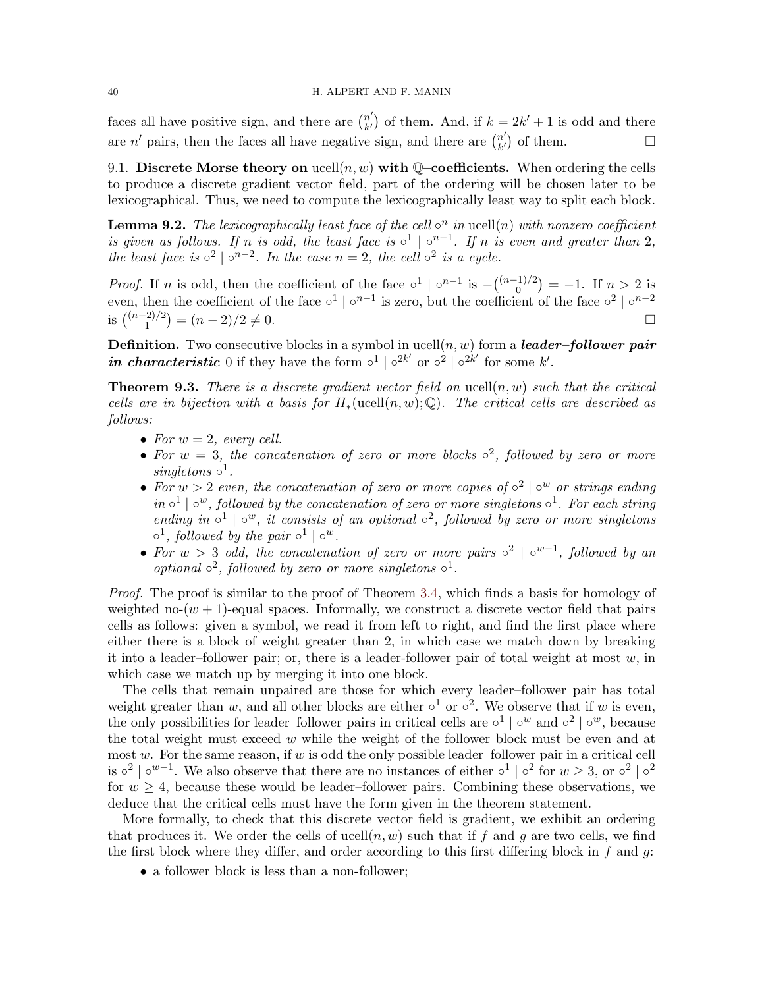faces all have positive sign, and there are  $\binom{n'}{k'}$  $\binom{n'}{k'}$  of them. And, if  $k = 2k' + 1$  is odd and there are *n'* pairs, then the faces all have negative sign, and there are  $\binom{n'}{k'}$  $\binom{n'}{k'}$  of them.

9.1. Discrete Morse theory on  $\text{ucell}(n, w)$  with Q-coefficients. When ordering the cells to produce a discrete gradient vector field, part of the ordering will be chosen later to be lexicographical. Thus, we need to compute the lexicographically least way to split each block.

**Lemma 9.2.** The lexicographically least face of the cell  $\circ^n$  in ucell(n) with nonzero coefficient is given as follows. If n is odd, the least face is  $\circ^1 \mid \circ^{n-1}$ . If n is even and greater than 2, the least face is  $\circ^2 | \circ^{n-2}$ . In the case  $n = 2$ , the cell  $\circ^2$  is a cycle.

*Proof.* If *n* is odd, then the coefficient of the face  $\circ^1 \circ^{n-1}$  is  $-{\binom{(n-1)/2}{0}}$  $\binom{1}{0}$  = -1. If  $n > 2$  is even, then the coefficient of the face  $\circ^1 \circ^{n-1}$  is zero, but the coefficient of the face  $\circ^2 \circ^{n-2}$ is  $\binom{(n-2)/2}{1}$  $\binom{1}{1}$  =  $(n-2)/2 \neq 0$ .

**Definition.** Two consecutive blocks in a symbol in ucell $(n, w)$  form a **leader-follower pair** in characteristic 0 if they have the form  $\circ^1 | \circ^{2k'}$  or  $\circ^2 | \circ^{2k'}$  for some k'.

<span id="page-39-0"></span>**Theorem 9.3.** There is a discrete gradient vector field on ucell $(n, w)$  such that the critical cells are in bijection with a basis for  $H_*(\text{ucell}(n, w); \mathbb{Q})$ . The critical cells are described as follows:

- For  $w = 2$ , every cell.
- For  $w = 3$ , the concatenation of zero or more blocks  $\circ^2$ , followed by zero or more singletons  $\circ^1$ .
- For  $w > 2$  even, the concatenation of zero or more copies of  $\circ^2 | \circ^w$  or strings ending  $in \circ^1 | \circ^w$ , followed by the concatenation of zero or more singletons  $\circ^1$ . For each string ending in  $\circ^1$  |  $\circ^w$ , it consists of an optional  $\circ^2$ , followed by zero or more singletons  $\circ^1$ , followed by the pair  $\circ^1 | \circ^w$ .
- For  $w > 3$  odd, the concatenation of zero or more pairs  $\circ^2 | \circ^{w-1}$ , followed by an optional  $\circ^2$ , followed by zero or more singletons  $\circ^1$ .

Proof. The proof is similar to the proof of Theorem [3.4,](#page-15-0) which finds a basis for homology of weighted no- $(w + 1)$ -equal spaces. Informally, we construct a discrete vector field that pairs cells as follows: given a symbol, we read it from left to right, and find the first place where either there is a block of weight greater than 2, in which case we match down by breaking it into a leader–follower pair; or, there is a leader-follower pair of total weight at most  $w$ , in which case we match up by merging it into one block.

The cells that remain unpaired are those for which every leader–follower pair has total weight greater than w, and all other blocks are either  $\circ^1$  or  $\circ^2$ . We observe that if w is even, the only possibilities for leader–follower pairs in critical cells are  $\circ^1 | \circ^w$  and  $\circ^2 | \circ^w$ , because the total weight must exceed  $w$  while the weight of the follower block must be even and at most  $w$ . For the same reason, if  $w$  is odd the only possible leader-follower pair in a critical cell is  $\circ^2 | \circ^{w-1}$ . We also observe that there are no instances of either  $\circ^1 | \circ^2$  for  $w \geq 3$ , or  $\circ^2 | \circ^2$ for  $w \geq 4$ , because these would be leader–follower pairs. Combining these observations, we deduce that the critical cells must have the form given in the theorem statement.

More formally, to check that this discrete vector field is gradient, we exhibit an ordering that produces it. We order the cells of ucell $(n, w)$  such that if f and g are two cells, we find the first block where they differ, and order according to this first differing block in  $f$  and  $g$ :

• a follower block is less than a non-follower;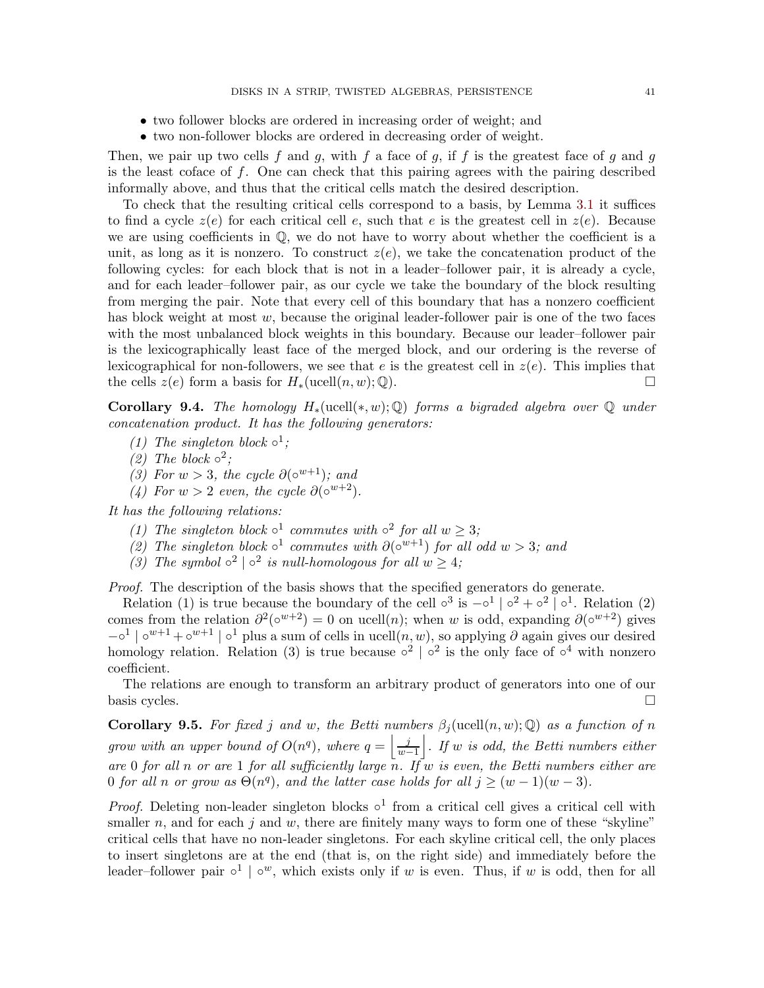- two follower blocks are ordered in increasing order of weight; and
- two non-follower blocks are ordered in decreasing order of weight.

Then, we pair up two cells f and g, with f a face of g, if f is the greatest face of g and g is the least coface of  $f$ . One can check that this pairing agrees with the pairing described informally above, and thus that the critical cells match the desired description.

To check that the resulting critical cells correspond to a basis, by Lemma [3.1](#page-13-0) it suffices to find a cycle  $z(e)$  for each critical cell e, such that e is the greatest cell in  $z(e)$ . Because we are using coefficients in Q, we do not have to worry about whether the coefficient is a unit, as long as it is nonzero. To construct  $z(e)$ , we take the concatenation product of the following cycles: for each block that is not in a leader–follower pair, it is already a cycle, and for each leader–follower pair, as our cycle we take the boundary of the block resulting from merging the pair. Note that every cell of this boundary that has a nonzero coefficient has block weight at most  $w$ , because the original leader-follower pair is one of the two faces with the most unbalanced block weights in this boundary. Because our leader–follower pair is the lexicographically least face of the merged block, and our ordering is the reverse of lexicographical for non-followers, we see that e is the greatest cell in  $z(e)$ . This implies that the cells  $z(e)$  form a basis for  $H_*(\text{ucell}(n, w); \mathbb{Q})$ .

**Corollary 9.4.** The homology  $H_*(\text{ucell}(*, w); \mathbb{Q})$  forms a bigraded algebra over  $\mathbb{Q}$  under concatenation product. It has the following generators:

- (1) The singleton block  $\circ^1$ ;
- (2) The block  $\circ^2$ ;
- (3) For  $w > 3$ , the cycle  $\partial(\circ^{w+1})$ ; and
- (4) For  $w > 2$  even, the cycle  $\partial(\circ^{w+2})$ .

It has the following relations:

- (1) The singleton block  $\circ^1$  commutes with  $\circ^2$  for all  $w \geq 3$ ;
- (2) The singleton block  $\circ^1$  commutes with  $\partial(\circ^{w+1})$  for all odd  $w > 3$ ; and
- (3) The symbol  $\circ^2 \circ^2$  is null-homologous for all  $w \geq 4$ ;

Proof. The description of the basis shows that the specified generators do generate.

Relation (1) is true because the boundary of the cell  $\circ^3$  is  $-\circ^1 | \circ^2 + \circ^2 | \circ^1$ . Relation (2) comes from the relation  $\partial^2(\circ^{w+2}) = 0$  on ucell $(n)$ ; when w is odd, expanding  $\partial(\circ^{w+2})$  gives  $-\circ^1 |\circ^{w+1} + \circ^{w+1} |\circ^1$  plus a sum of cells in ucell $(n, w)$ , so applying  $\partial$  again gives our desired homology relation. Relation (3) is true because  $\circ^2$  |  $\circ^2$  is the only face of  $\circ^4$  with nonzero coefficient.

The relations are enough to transform an arbitrary product of generators into one of our basis cycles.  $\Box$ 

<span id="page-40-0"></span>**Corollary 9.5.** For fixed j and w, the Betti numbers  $\beta_j(\text{ucell}(n, w); \mathbb{Q})$  as a function of n grow with an upper bound of  $O(n^q)$ , where  $q = \frac{j}{n}$  $\frac{j}{w-1}$ . If w is odd, the Betti numbers either are 0 for all n or are 1 for all sufficiently large n. If w is even, the Betti numbers either are 0 for all n or grow as  $\Theta(n^q)$ , and the latter case holds for all  $j \geq (w-1)(w-3)$ .

*Proof.* Deleting non-leader singleton blocks  $\circ^1$  from a critical cell gives a critical cell with smaller n, and for each j and w, there are finitely many ways to form one of these "skyline" critical cells that have no non-leader singletons. For each skyline critical cell, the only places to insert singletons are at the end (that is, on the right side) and immediately before the leader–follower pair  $\circ^1$  |  $\circ^w$ , which exists only if w is even. Thus, if w is odd, then for all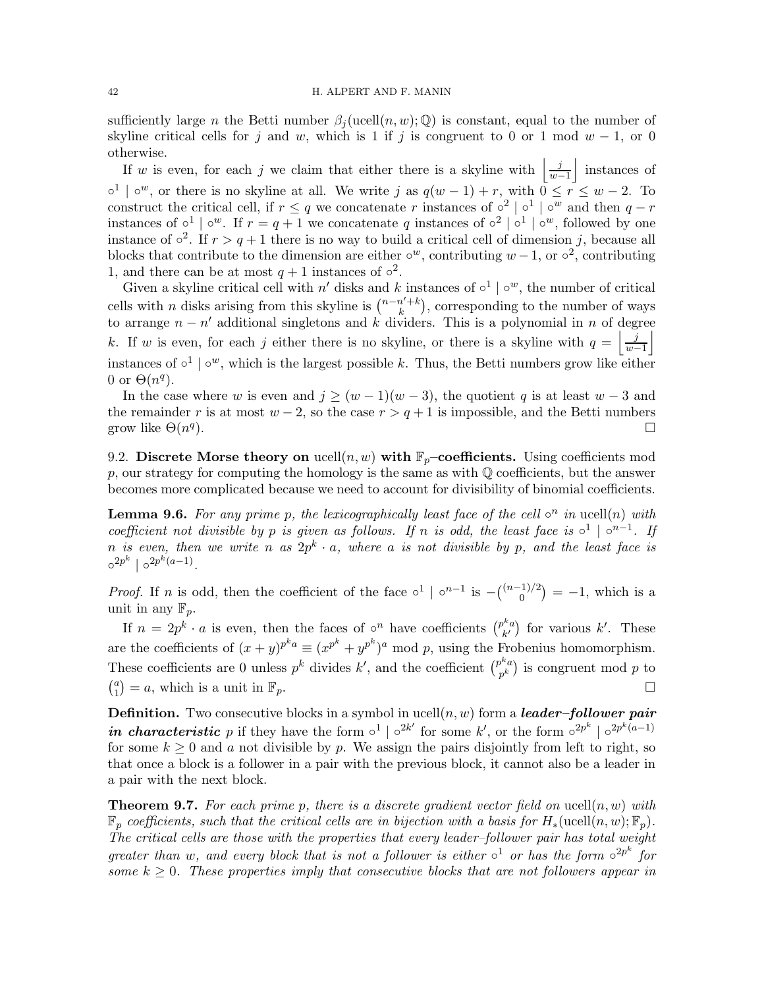sufficiently large n the Betti number  $\beta_i$  (ucell $(n, w)$ ; Q) is constant, equal to the number of skyline critical cells for j and w, which is 1 if j is congruent to 0 or 1 mod  $w - 1$ , or 0 otherwise.

If w is even, for each j we claim that either there is a skyline with  $\frac{j}{m}$  $\frac{j}{w-1}$  instances of  $\circ^1$  |  $\circ^w$ , or there is no skyline at all. We write j as  $q(w-1) + r$ , with  $0 \le r \le w-2$ . To construct the critical cell, if  $r \leq q$  we concatenate r instances of  $\circ^2 | \circ^1 | \circ^w$  and then  $q-r$ instances of  $\circ^1 | \circ^w$ . If  $r = q + 1$  we concatenate q instances of  $\circ^2 | \circ^1 | \circ^w$ , followed by one instance of  $\circ^2$ . If  $r > q + 1$  there is no way to build a critical cell of dimension j, because all blocks that contribute to the dimension are either  $\circ^w$ , contributing  $w-1$ , or  $\circ^2$ , contributing 1, and there can be at most  $q + 1$  instances of  $\circ^2$ .

Given a skyline critical cell with n' disks and k instances of  $\circ^1 | \circ^w$ , the number of critical cells with *n* disks arising from this skyline is  $\binom{n-n'+k}{k}$  $\binom{n'+k}{k}$ , corresponding to the number of ways to arrange  $n - n'$  additional singletons and k dividers. This is a polynomial in n of degree k. If w is even, for each j either there is no skyline, or there is a skyline with  $q = \frac{j}{m}$  $\frac{j}{w-1}$ instances of  $\circ^1 \mid \circ^w$ , which is the largest possible k. Thus, the Betti numbers grow like either 0 or  $\Theta(n^q)$ .

In the case where w is even and  $j \geq (w-1)(w-3)$ , the quotient q is at least  $w-3$  and the remainder r is at most  $w - 2$ , so the case  $r > q + 1$  is impossible, and the Betti numbers grow like  $\Theta(n^q)$ ).  $\Box$ 

9.2. Discrete Morse theory on ucell $(n, w)$  with  $\mathbb{F}_p$ –coefficients. Using coefficients mod p, our strategy for computing the homology is the same as with  $\mathbb Q$  coefficients, but the answer becomes more complicated because we need to account for divisibility of binomial coefficients.

**Lemma 9.6.** For any prime p, the lexicographically least face of the cell  $\circ^n$  in ucell(n) with coefficient not divisible by p is given as follows. If n is odd, the least face is  $\circ^1 \circ^{n-1}$ . If n is even, then we write n as  $2p^k \cdot a$ , where a is not divisible by p, and the least face is  $\circ^{2p^k} \mid \circ^{2p^k(a-1)}$ .

*Proof.* If *n* is odd, then the coefficient of the face  $\circ^1 \circ^{n-1}$  is  $- \binom{(n-1)/2}{0}$  $\binom{1}{0}$  = -1, which is a unit in any  $\mathbb{F}_p$ .

If  $n = 2p^k \cdot a$  is even, then the faces of  $\circ^n$  have coefficients  $\binom{p^ka}{k'}$  $\binom{k}{k'}$  for various  $k'$ . These are the coefficients of  $(x + y)^{p^k a} \equiv (x^{p^k} + y^{p^k})^a \mod p$ , using the Frobenius homomorphism. These coefficients are 0 unless  $p^k$  divides  $k'$ , and the coefficient  $\binom{p^ka}{k}$  $\binom{p^n a}{p^k}$  is congruent mod p to  $\binom{a}{1}$  $\binom{a}{1} = a$ , which is a unit in  $\mathbb{F}_p$ .

**Definition.** Two consecutive blocks in a symbol in ucell $(n, w)$  form a *leader-follower pair* in characteristic p if they have the form  $\circ^1 | \circ^{2k'}$  for some k', or the form  $\circ^{2p^k} | \circ^{2p^k(a-1)}$ for some  $k \geq 0$  and a not divisible by p. We assign the pairs disjointly from left to right, so that once a block is a follower in a pair with the previous block, it cannot also be a leader in a pair with the next block.

**Theorem 9.7.** For each prime p, there is a discrete gradient vector field on ucell $(n, w)$  with  $\mathbb{F}_p$  coefficients, such that the critical cells are in bijection with a basis for  $H_*(\text{ucell}(n, w); \mathbb{F}_p)$ . The critical cells are those with the properties that every leader–follower pair has total weight greater than w, and every block that is not a follower is either  $\circ^1$  or has the form  $\circ^{2p^k}$  for some  $k \geq 0$ . These properties imply that consecutive blocks that are not followers appear in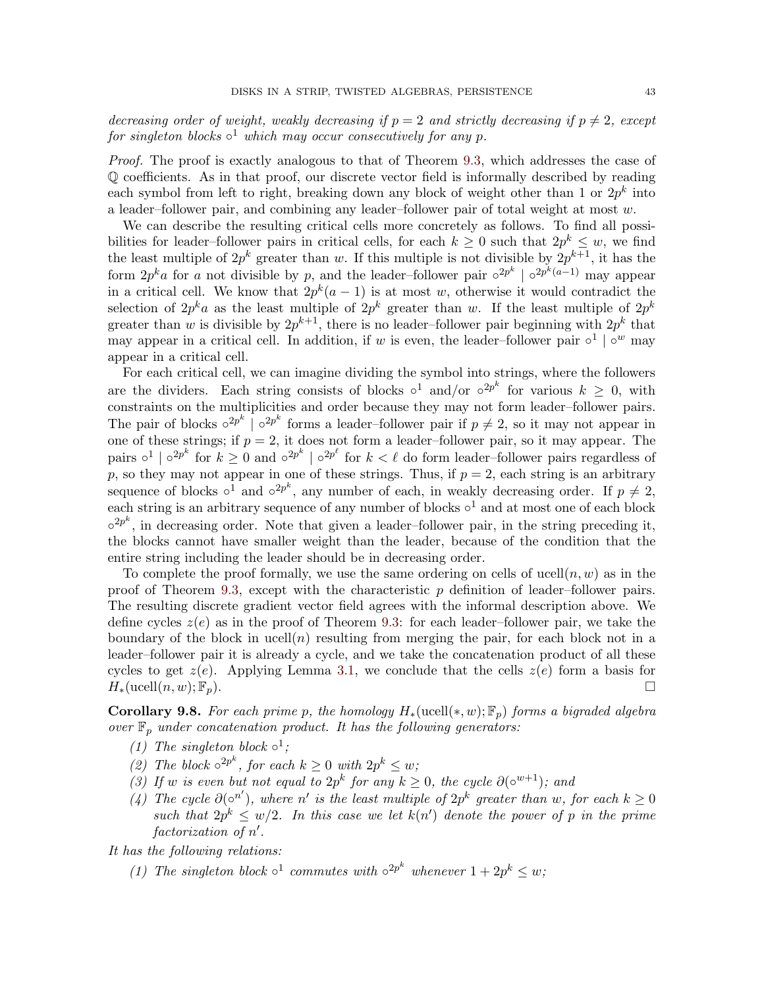decreasing order of weight, weakly decreasing if  $p = 2$  and strictly decreasing if  $p \neq 2$ , except for singleton blocks  $\circ^1$  which may occur consecutively for any p.

Proof. The proof is exactly analogous to that of Theorem [9.3,](#page-39-0) which addresses the case of Q coefficients. As in that proof, our discrete vector field is informally described by reading each symbol from left to right, breaking down any block of weight other than 1 or  $2p^k$  into a leader–follower pair, and combining any leader–follower pair of total weight at most w.

We can describe the resulting critical cells more concretely as follows. To find all possibilities for leader–follower pairs in critical cells, for each  $k \geq 0$  such that  $2p^k \leq w$ , we find the least multiple of  $2p^k$  greater than w. If this multiple is not divisible by  $2p^{k+1}$ , it has the form  $2p^ka$  for a not divisible by p, and the leader–follower pair  $\circ^{2p^k}$  |  $\circ^{2p^k(a-1)}$  may appear in a critical cell. We know that  $2p^k(a-1)$  is at most w, otherwise it would contradict the selection of  $2p^k a$  as the least multiple of  $2p^k$  greater than w. If the least multiple of  $2p^k$ greater than w is divisible by  $2p^{k+1}$ , there is no leader-follower pair beginning with  $2p^k$  that may appear in a critical cell. In addition, if w is even, the leader-follower pair  $\circ^1 \circ^w$  may appear in a critical cell.

For each critical cell, we can imagine dividing the symbol into strings, where the followers are the dividers. Each string consists of blocks  $\circ^1$  and/or  $\circ^{2p^k}$  for various  $k \geq 0$ , with constraints on the multiplicities and order because they may not form leader–follower pairs. The pair of blocks  $\circ^{2p^k}$  |  $\circ^{2p^k}$  forms a leader-follower pair if  $p \neq 2$ , so it may not appear in one of these strings; if  $p = 2$ , it does not form a leader-follower pair, so it may appear. The pairs  $\circ^1 | \circ^{2p^k}$  for  $k \geq 0$  and  $\circ^{2p^k} | \circ^{2p^\ell}$  for  $k \lt \ell$  do form leader–follower pairs regardless of p, so they may not appear in one of these strings. Thus, if  $p = 2$ , each string is an arbitrary sequence of blocks  $\circ^1$  and  $\circ^{2p^k}$ , any number of each, in weakly decreasing order. If  $p \neq 2$ , each string is an arbitrary sequence of any number of blocks  $\circ^1$  and at most one of each block  $\circ^{2p^k}$ , in decreasing order. Note that given a leader-follower pair, in the string preceding it, the blocks cannot have smaller weight than the leader, because of the condition that the entire string including the leader should be in decreasing order.

To complete the proof formally, we use the same ordering on cells of ucell $(n, w)$  as in the proof of Theorem [9.3,](#page-39-0) except with the characteristic  $p$  definition of leader–follower pairs. The resulting discrete gradient vector field agrees with the informal description above. We define cycles  $z(e)$  as in the proof of Theorem [9.3:](#page-39-0) for each leader–follower pair, we take the boundary of the block in ucell $(n)$  resulting from merging the pair, for each block not in a leader–follower pair it is already a cycle, and we take the concatenation product of all these cycles to get  $z(e)$ . Applying Lemma [3.1,](#page-13-0) we conclude that the cells  $z(e)$  form a basis for  $H_*(\text{ucell}(n, w); \mathbb{F}_n).$ 

Corollary 9.8. For each prime p, the homology  $H_*(\text{ucell}(*, w); \mathbb{F}_p)$  forms a bigraded algebra over  $\mathbb{F}_p$  under concatenation product. It has the following generators:

- (1) The singleton block  $\circ^1$ ;
- (2) The block  $\circ^{2p^k}$ , for each  $k \geq 0$  with  $2p^k \leq w$ ;
- (3) If w is even but not equal to  $2p^k$  for any  $k \geq 0$ , the cycle  $\partial(\circ^{w+1})$ ; and
- (4) The cycle  $\partial(\circ^{n'})$ , where n' is the least multiple of  $2p^k$  greater than w, for each  $k \geq 0$ such that  $2p^k \leq w/2$ . In this case we let  $k(n')$  denote the power of p in the prime factorization of  $n'$ .

It has the following relations:

(1) The singleton block  $\circ^1$  commutes with  $\circ^{2p^k}$  whenever  $1+2p^k \leq w$ ;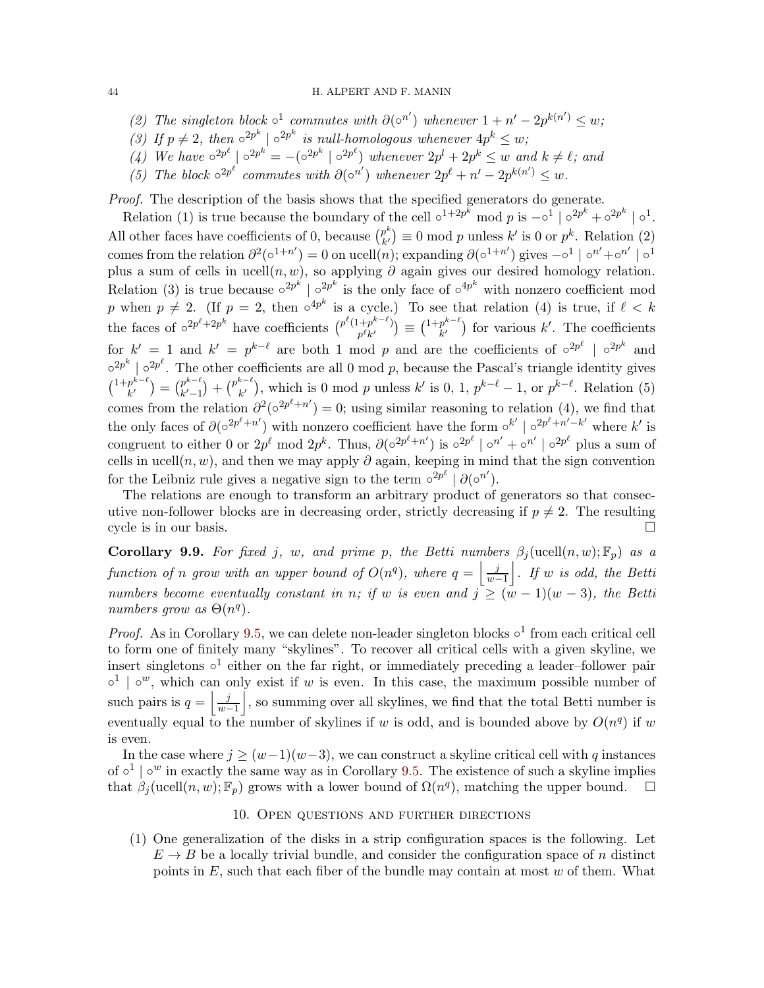#### 44 H. ALPERT AND F. MANIN

- (2) The singleton block  $\circ^1$  commutes with  $\partial(\circ^{n'})$  whenever  $1 + n' 2p^{k(n')} \leq w$ ;
- (3) If  $p \neq 2$ , then  $\circ^{2p^k}$  |  $\circ^{2p^k}$  is null-homologous whenever  $4p^k \leq w$ ;
- (4) We have  $\circ^{2p^{\ell}} \mid \circ^{2p^k} = -(\circ^{2p^k} \mid \circ^{2p^{\ell}})$  whenever  $2p^l + 2p^k \leq w$  and  $k \neq \ell$ ; and
- (5) The block  $\circ^{2p^{\ell}}$  commutes with  $\partial(\circ^{n'})$  whenever  $2p^{\ell} + n' 2p^{k(n')} \leq w$ .

Proof. The description of the basis shows that the specified generators do generate.

Relation (1) is true because the boundary of the cell  $\circ^{1+2p^k}$  mod p is  $-\circ^1 |\circ^{2p^k} + \circ^{2p^k} | \circ^1$ . All other faces have coefficients of 0, because  $\binom{p^k}{k'}$  $p^{\kappa}_{k'}$  = 0 mod p unless  $k'$  is 0 or  $p^k$ . Relation (2) comes from the relation  $\partial^2(\circ^{1+n'})=0$  on ucell $(n)$ ; expanding  $\partial(\circ^{1+n'})$  gives  $-\circ^1|\circ^{n'}+\circ^{n'}|\circ^1$ plus a sum of cells in ucell $(n, w)$ , so applying  $\partial$  again gives our desired homology relation. Relation (3) is true because  $\circ^{2p^k}$  |  $\circ^{2p^k}$  is the only face of  $\circ^{4p^k}$  with nonzero coefficient mod p when  $p \neq 2$ . (If  $p = 2$ , then  $\circ^{4p^k}$  is a cycle.) To see that relation (4) is true, if  $\ell < k$ the faces of  $\circ^{2p^{\ell}+2p^k}$  have coefficients  $\binom{p^{\ell}(1+p^{k-\ell})}{p^{\ell}p^{\ell}}$  $\binom{p^k+p^{k-\ell}}{p^\ell k'}\equiv \binom{1+p^{k-\ell}}{k'}$  $\binom{p^{k-k}}{k'}$  for various k'. The coefficients for  $k' = 1$  and  $k' = p^{k-\ell}$  are both 1 mod p and are the coefficients of  $\circ^{2p^{\ell}}$  |  $\circ^{2p^k}$  and  $\circ^{2p^k}$  |  $\circ^{2p^\ell}$ . The other coefficients are all 0 mod p, because the Pascal's triangle identity gives  $\binom{1+p^{k-\ell}}{k'}$  $\binom{p^{k-\ell}}{k'} = \binom{p^{k-\ell}}{k'-1}$  $\binom{p^{k-\ell}}{k'-1} + \binom{p^{k-\ell}}{k'}$  $\binom{k}{k'}$ , which is 0 mod p unless k' is 0, 1,  $p^{k-\ell} - 1$ , or  $p^{k-\ell}$ . Relation (5) comes from the relation  $\partial^2(\circ^{2p^{\ell}+n'})=0$ ; using similar reasoning to relation (4), we find that the only faces of  $\partial (\circ^{2p^{\ell}+n'})$  with nonzero coefficient have the form  $\circ^{k'} | \circ^{2p^{\ell}+n'-k'}$  where k' is congruent to either 0 or  $2p^{\ell}$  mod  $2p^k$ . Thus,  $\partial(\circ^{2p^{\ell}+n'})$  is  $\circ^{2p^{\ell}} \mid \circ^{n'} + \circ^{n'} \mid \circ^{2p^{\ell}}$  plus a sum of cells in ucell $(n, w)$ , and then we may apply  $\partial$  again, keeping in mind that the sign convention for the Leibniz rule gives a negative sign to the term  $\circ^{2p^{\ell}} \left[ \partial(\circ^{n^{\ell}}) \right]$ .

The relations are enough to transform an arbitrary product of generators so that consecutive non-follower blocks are in decreasing order, strictly decreasing if  $p \neq 2$ . The resulting cycle is in our basis.  $\Box$ 

Corollary 9.9. For fixed j, w, and prime p, the Betti numbers  $\beta_j(\text{ucell}(n, w); \mathbb{F}_p)$  as a function of n grow with an upper bound of  $O(n^q)$ , where  $q = \frac{j}{n}$  $\frac{j}{w-1}$ . If w is odd, the Betti numbers become eventually constant in n; if w is even and  $j \geq (w-1)(w-3)$ , the Betti numbers grow as  $\Theta(n^q)$ .

*Proof.* As in Corollary [9.5,](#page-40-0) we can delete non-leader singleton blocks  $\circ^1$  from each critical cell to form one of finitely many "skylines". To recover all critical cells with a given skyline, we insert singletons  $\circ^1$  either on the far right, or immediately preceding a leader–follower pair  $\circ^1$  |  $\circ^w$ , which can only exist if w is even. In this case, the maximum possible number of such pairs is  $q = \frac{j}{w}$  $\left| \frac{j}{w-1} \right|$ , so summing over all skylines, we find that the total Betti number is eventually equal to the number of skylines if w is odd, and is bounded above by  $O(n^q)$  if w is even.

In the case where  $j \geq (w-1)(w-3)$ , we can construct a skyline critical cell with q instances of  $\circ^1$  |  $\circ^w$  in exactly the same way as in Corollary [9.5.](#page-40-0) The existence of such a skyline implies that  $\beta_j(\text{ucell}(n, w); \mathbb{F}_p)$  grows with a lower bound of  $\Omega(n^q)$ , matching the upper bound.  $\Box$ 

## 10. Open questions and further directions

<span id="page-43-0"></span>(1) One generalization of the disks in a strip configuration spaces is the following. Let  $E \to B$  be a locally trivial bundle, and consider the configuration space of n distinct points in  $E$ , such that each fiber of the bundle may contain at most  $w$  of them. What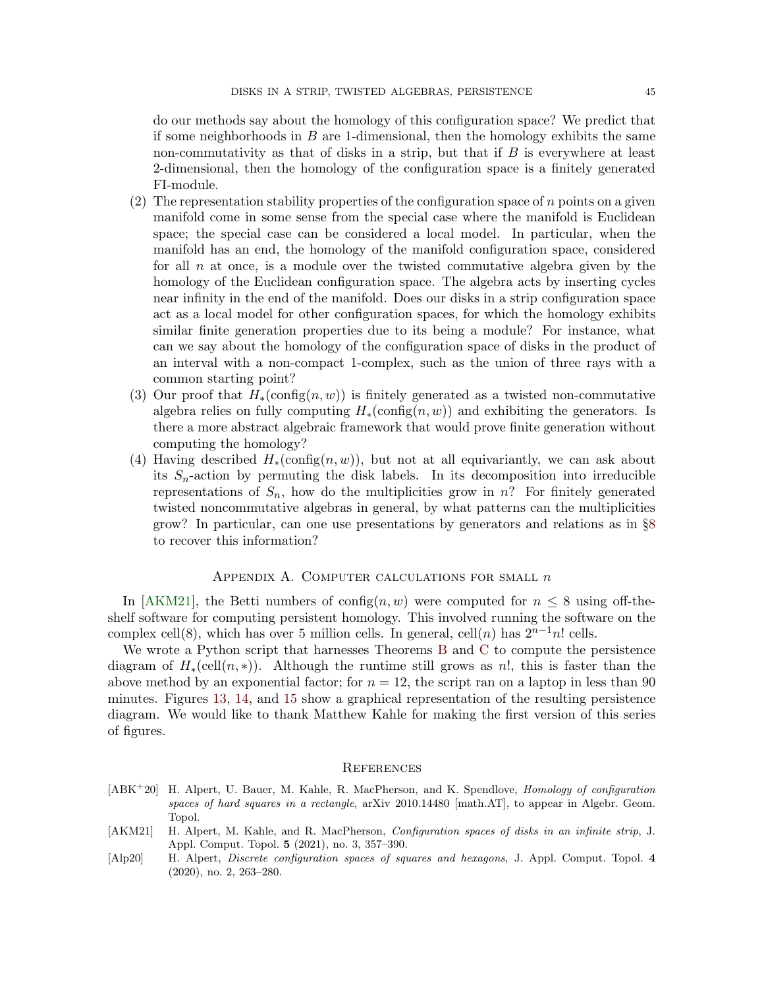do our methods say about the homology of this configuration space? We predict that if some neighborhoods in  $B$  are 1-dimensional, then the homology exhibits the same non-commutativity as that of disks in a strip, but that if  $B$  is everywhere at least 2-dimensional, then the homology of the configuration space is a finitely generated FI-module.

- (2) The representation stability properties of the configuration space of  $n$  points on a given manifold come in some sense from the special case where the manifold is Euclidean space; the special case can be considered a local model. In particular, when the manifold has an end, the homology of the manifold configuration space, considered for all  $n$  at once, is a module over the twisted commutative algebra given by the homology of the Euclidean configuration space. The algebra acts by inserting cycles near infinity in the end of the manifold. Does our disks in a strip configuration space act as a local model for other configuration spaces, for which the homology exhibits similar finite generation properties due to its being a module? For instance, what can we say about the homology of the configuration space of disks in the product of an interval with a non-compact 1-complex, such as the union of three rays with a common starting point?
- (3) Our proof that  $H_*(\text{config}(n, w))$  is finitely generated as a twisted non-commutative algebra relies on fully computing  $H_*(\text{config}(n, w))$  and exhibiting the generators. Is there a more abstract algebraic framework that would prove finite generation without computing the homology?
- (4) Having described  $H_*(\text{config}(n, w))$ , but not at all equivariantly, we can ask about its  $S_n$ -action by permuting the disk labels. In its decomposition into irreducible representations of  $S_n$ , how do the multiplicities grow in n? For finitely generated twisted noncommutative algebras in general, by what patterns can the multiplicities grow? In particular, can one use presentations by generators and relations as in §[8](#page-33-0) to recover this information?

# APPENDIX A. COMPUTER CALCULATIONS FOR SMALL  $n$

<span id="page-44-0"></span>In [\[AKM21\]](#page-44-4), the Betti numbers of config $(n, w)$  were computed for  $n \leq 8$  using off-theshelf software for computing persistent homology. This involved running the software on the complex cell(8), which has over 5 million cells. In general, cell(n) has  $2^{n-1}n!$  cells.

We wrote a Python script that harnesses Theorems [B](#page-3-0) and [C](#page-4-0) to compute the persistence diagram of  $H_*(\text{cell}(n,*))$ . Although the runtime still grows as n!, this is faster than the above method by an exponential factor; for  $n = 12$ , the script ran on a laptop in less than 90 minutes. Figures [13,](#page-45-2) [14,](#page-46-0) and [15](#page-47-7) show a graphical representation of the resulting persistence diagram. We would like to thank Matthew Kahle for making the first version of this series of figures.

#### <span id="page-44-1"></span>**REFERENCES**

- <span id="page-44-3"></span>[ABK<sup>+</sup>20] H. Alpert, U. Bauer, M. Kahle, R. MacPherson, and K. Spendlove, Homology of configuration spaces of hard squares in a rectangle, arXiv 2010.14480 [math.AT], to appear in Algebr. Geom. Topol.
- <span id="page-44-4"></span>[AKM21] H. Alpert, M. Kahle, and R. MacPherson, *Configuration spaces of disks in an infinite strip*, J. Appl. Comput. Topol. 5 (2021), no. 3, 357–390.
- <span id="page-44-2"></span>[Alp20] H. Alpert, Discrete configuration spaces of squares and hexagons, J. Appl. Comput. Topol. 4 (2020), no. 2, 263–280.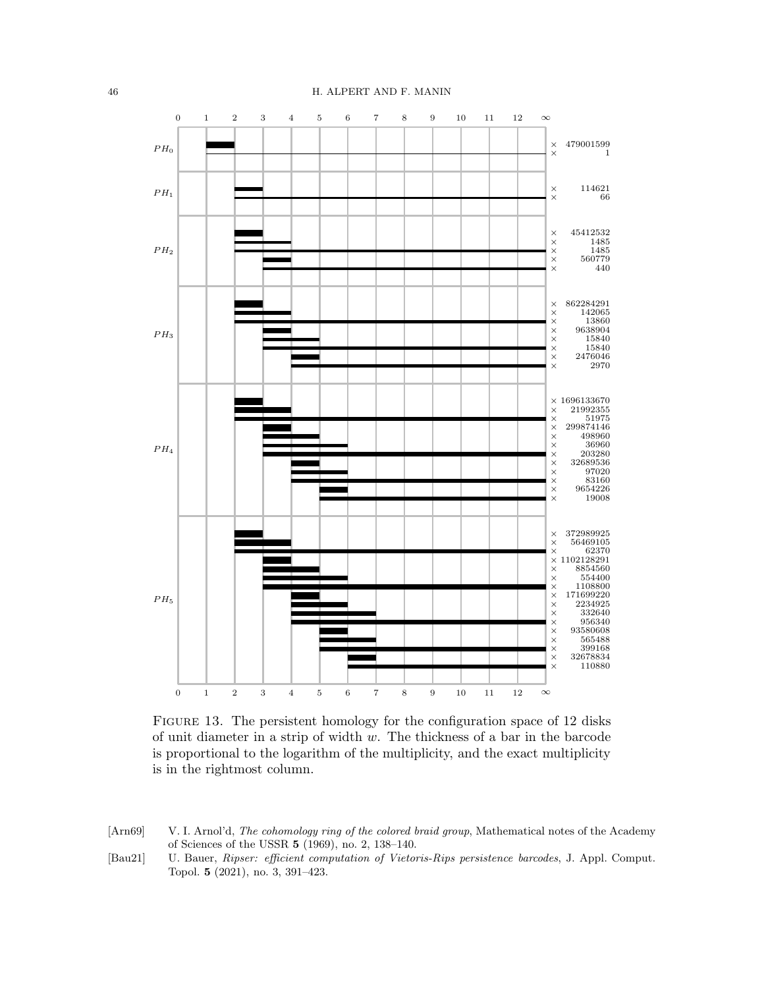<span id="page-45-2"></span>

FIGURE 13. The persistent homology for the configuration space of 12 disks of unit diameter in a strip of width w. The thickness of a bar in the barcode is proportional to the logarithm of the multiplicity, and the exact multiplicity is in the rightmost column.

- <span id="page-45-0"></span>[Arn69] V. I. Arnol'd, The cohomology ring of the colored braid group, Mathematical notes of the Academy of Sciences of the USSR 5 (1969), no. 2, 138–140.
- <span id="page-45-1"></span>[Bau21] U. Bauer, Ripser: efficient computation of Vietoris-Rips persistence barcodes, J. Appl. Comput. Topol. 5 (2021), no. 3, 391–423.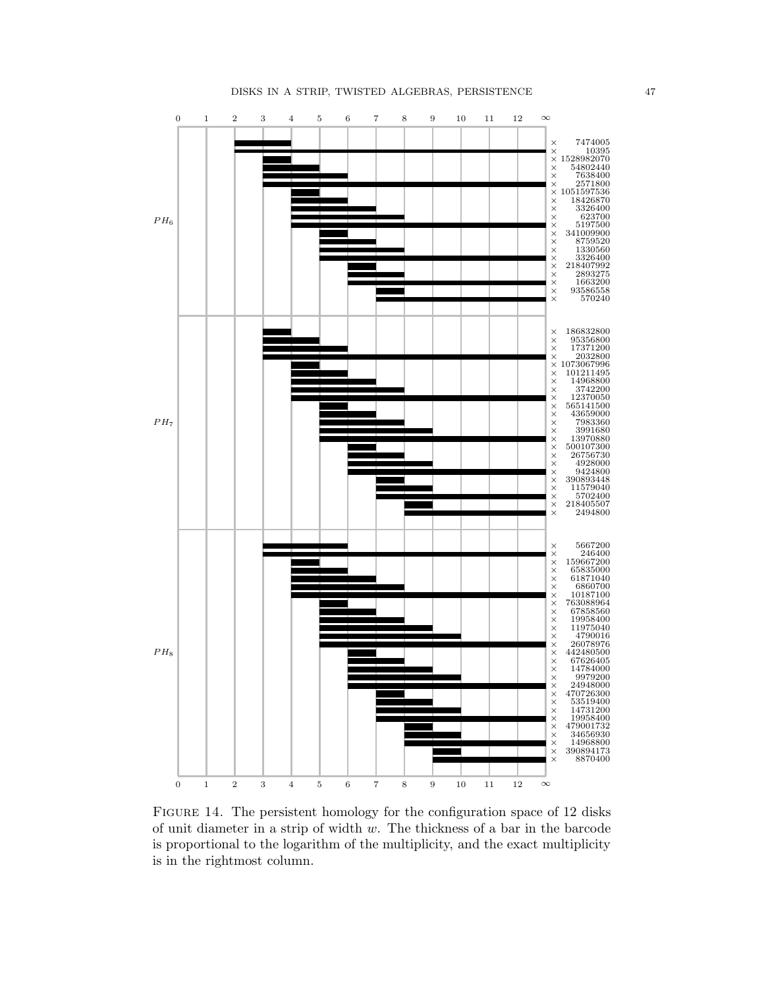<span id="page-46-0"></span>

FIGURE 14. The persistent homology for the configuration space of 12 disks of unit diameter in a strip of width  $w$ . The thickness of a bar in the barcode is proportional to the logarithm of the multiplicity, and the exact multiplicity is in the rightmost column.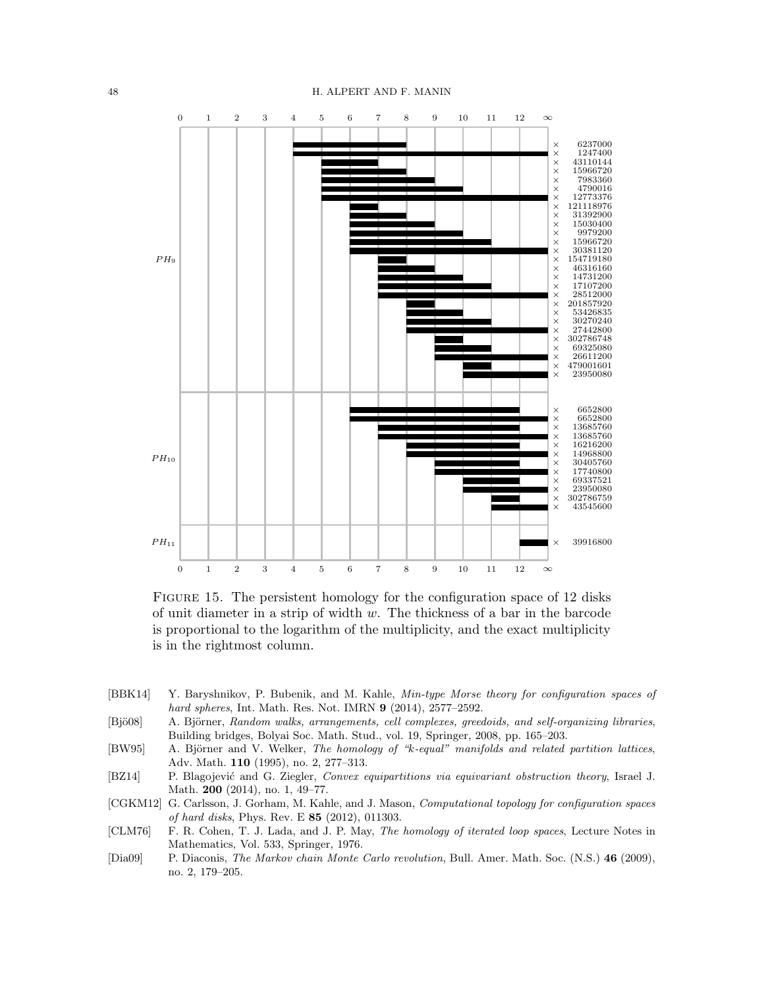<span id="page-47-7"></span>

FIGURE 15. The persistent homology for the configuration space of 12 disks of unit diameter in a strip of width  $w$ . The thickness of a bar in the barcode is proportional to the logarithm of the multiplicity, and the exact multiplicity is in the rightmost column.

- <span id="page-47-2"></span>[BBK14] Y. Baryshnikov, P. Bubenik, and M. Kahle, Min-type Morse theory for configuration spaces of hard spheres, Int. Math. Res. Not. IMRN 9 (2014), 2577–2592.
- <span id="page-47-5"></span>[Bjö08] A. Björner, Random walks, arrangements, cell complexes, greedoids, and self-organizing libraries, Building bridges, Bolyai Soc. Math. Stud., vol. 19, Springer, 2008, pp. 165–203.
- <span id="page-47-4"></span>[BW95] A. Björner and V. Welker, The homology of "k-equal" manifolds and related partition lattices, Adv. Math. 110 (1995), no. 2, 277–313.
- <span id="page-47-6"></span>[BZ14] P. Blagojević and G. Ziegler, Convex equipartitions via equivariant obstruction theory, Israel J. Math. 200 (2014), no. 1, 49–77.
- <span id="page-47-3"></span>[CGKM12] G. Carlsson, J. Gorham, M. Kahle, and J. Mason, Computational topology for configuration spaces of hard disks, Phys. Rev. E 85 (2012), 011303.
- <span id="page-47-0"></span>[CLM76] F. R. Cohen, T. J. Lada, and J. P. May, The homology of iterated loop spaces, Lecture Notes in Mathematics, Vol. 533, Springer, 1976.
- <span id="page-47-1"></span>[Dia09] P. Diaconis, The Markov chain Monte Carlo revolution, Bull. Amer. Math. Soc. (N.S.) 46 (2009), no. 2, 179–205.